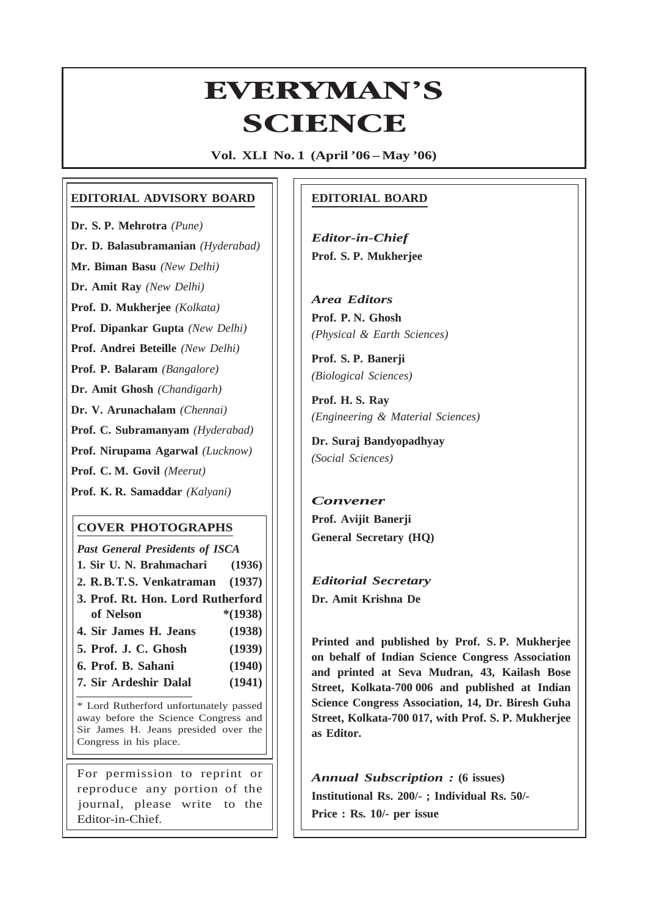## **Everyman's Science VOL. XLI NO. 1, April '06 —May '06** EVERYMAN'S **/ERYMAN<br>SCIENCE**

**Vol. XLI No. 1 (April '06 – May '06)**

#### **EDITORIAL ADVISORY BOARD**

**Dr. S. P. Mehrotra** *(Pune)*

**Dr. D. Balasubramanian** *(Hyderabad)*

**Mr. Biman Basu** *(New Delhi)*

**Dr. Amit Ray** *(New Delhi)*

**Prof. D. Mukherjee** *(Kolkata)*

**Prof. Dipankar Gupta** *(New Delhi)*

**Prof. Andrei Beteille** *(New Delhi)*

**Prof. P. Balaram** *(Bangalore)*

**Dr. Amit Ghosh** *(Chandigarh)*

**Dr. V. Arunachalam** *(Chennai)*

**Prof. C. Subramanyam** *(Hyderabad)*

**Prof. Nirupama Agarwal** *(Lucknow)*

**Prof. C. M. Govil** *(Meerut)*

**Prof. K. R. Samaddar** *(Kalyani)*

#### **COVER PHOTOGRAPHS**

*Past General Presidents of ISCA* **1. Sir U. N. Brahmachari (1936) 2. R.B.T.S. Venkatraman (1937) 3. Prof. Rt. Hon. Lord Rutherford of Nelson \*(1938) 4. Sir James H. Jeans (1938) 5. Prof. J. C. Ghosh (1939)**

- **6. Prof. B. Sahani (1940)**
- **7. Sir Ardeshir Dalal (1941)**

\* Lord Rutherford unfortunately passed away before the Science Congress and Sir James H. Jeans presided over the Congress in his place.

For permission to reprint or reproduce any portion of the journal, please write to the Editor-in-Chief.

#### **EDITORIAL BOARD**

*Editor-in-Chief* **Prof. S. P. Mukherjee**

*Area Editors* **Prof. P. N. Ghosh** *(Physical & Earth Sciences)*

**Prof. S. P. Banerji** *(Biological Sciences)*

**Prof. H. S. Ray** *(Engineering & Material Sciences)*

**Dr. Suraj Bandyopadhyay** *(Social Sciences)*

### *Convener* **Prof. Avijit Banerji General Secretary (HQ)**

*Editorial Secretary* **Dr. Amit Krishna De**

1

**Printed and published by Prof. S. P. Mukherjee on behalf of Indian Science Congress Association and printed at Seva Mudran, 43, Kailash Bose Street, Kolkata-700 006 and published at Indian Science Congress Association, 14, Dr. Biresh Guha Street, Kolkata-700 017, with Prof. S. P. Mukherjee as Editor.**

*Annual Subscription :* **(6 issues) Institutional Rs. 200/- ; Individual Rs. 50/- Price : Rs. 10/- per issue**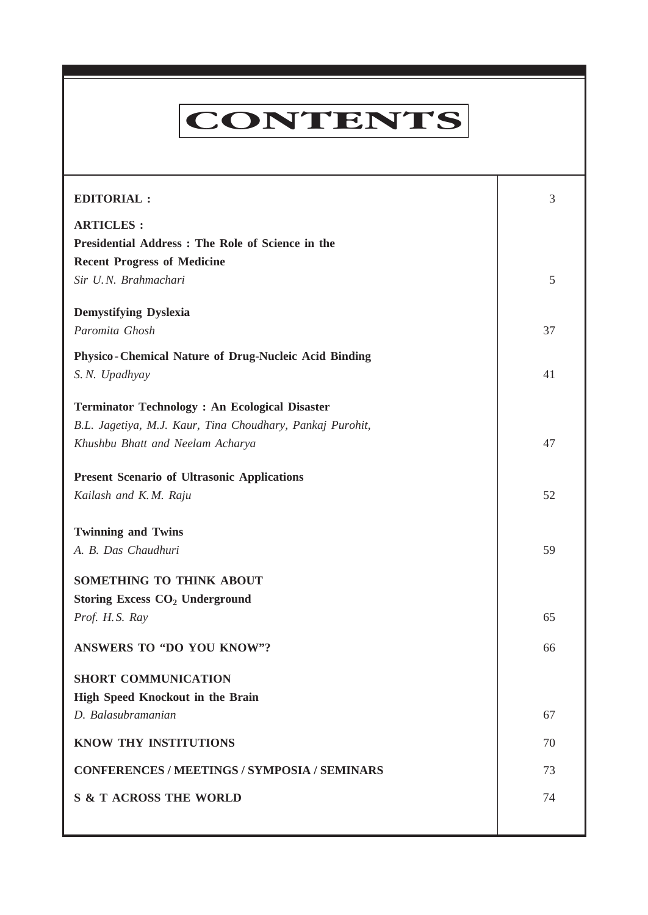# CONTENTS

**Everyman's Science VOL. XLI NO. 1, April '06 —May '06**

| <b>EDITORIAL:</b>                                         | 3  |
|-----------------------------------------------------------|----|
| <b>ARTICLES:</b>                                          |    |
| <b>Presidential Address: The Role of Science in the</b>   |    |
| <b>Recent Progress of Medicine</b>                        |    |
| Sir U.N. Brahmachari                                      | 5  |
|                                                           |    |
| <b>Demystifying Dyslexia</b>                              |    |
| Paromita Ghosh                                            | 37 |
| Physico-Chemical Nature of Drug-Nucleic Acid Binding      |    |
| S. N. Upadhyay                                            | 41 |
|                                                           |    |
| <b>Terminator Technology: An Ecological Disaster</b>      |    |
| B.L. Jagetiya, M.J. Kaur, Tina Choudhary, Pankaj Purohit, |    |
| Khushbu Bhatt and Neelam Acharya                          | 47 |
|                                                           |    |
| <b>Present Scenario of Ultrasonic Applications</b>        |    |
| Kailash and K.M. Raju                                     | 52 |
|                                                           |    |
| <b>Twinning and Twins</b>                                 |    |
| A. B. Das Chaudhuri                                       | 59 |
| SOMETHING TO THINK ABOUT                                  |    |
| Storing Excess CO <sub>2</sub> Underground                |    |
| Prof. H.S. Ray                                            | 65 |
|                                                           |    |
| ANSWERS TO "DO YOU KNOW"?                                 | 66 |
| <b>SHORT COMMUNICATION</b>                                |    |
|                                                           |    |
| <b>High Speed Knockout in the Brain</b>                   |    |
| D. Balasubramanian                                        | 67 |
| <b>KNOW THY INSTITUTIONS</b>                              | 70 |
| <b>CONFERENCES / MEETINGS / SYMPOSIA / SEMINARS</b>       | 73 |
| <b>S &amp; T ACROSS THE WORLD</b>                         | 74 |
|                                                           |    |
|                                                           |    |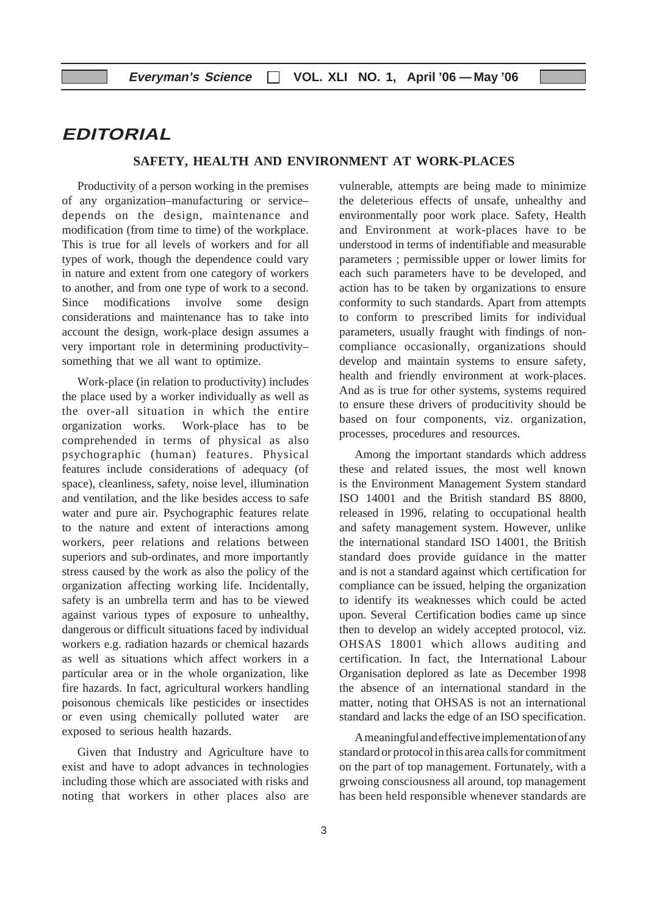#### **EDITORIAL**

#### **SAFETY, HEALTH AND ENVIRONMENT AT WORK-PLACES**

Productivity of a person working in the premises of any organization–manufacturing or service– depends on the design, maintenance and modification (from time to time) of the workplace. This is true for all levels of workers and for all types of work, though the dependence could vary in nature and extent from one category of workers to another, and from one type of work to a second. Since modifications involve some design considerations and maintenance has to take into account the design, work-place design assumes a very important role in determining productivity– something that we all want to optimize.

Work-place (in relation to productivity) includes the place used by a worker individually as well as the over-all situation in which the entire organization works. Work-place has to be comprehended in terms of physical as also psychographic (human) features. Physical features include considerations of adequacy (of space), cleanliness, safety, noise level, illumination and ventilation, and the like besides access to safe water and pure air. Psychographic features relate to the nature and extent of interactions among workers, peer relations and relations between superiors and sub-ordinates, and more importantly stress caused by the work as also the policy of the organization affecting working life. Incidentally, safety is an umbrella term and has to be viewed against various types of exposure to unhealthy, dangerous or difficult situations faced by individual workers e.g. radiation hazards or chemical hazards as well as situations which affect workers in a particular area or in the whole organization, like fire hazards. In fact, agricultural workers handling poisonous chemicals like pesticides or insectides or even using chemically polluted water are exposed to serious health hazards.

Given that Industry and Agriculture have to exist and have to adopt advances in technologies including those which are associated with risks and noting that workers in other places also are vulnerable, attempts are being made to minimize the deleterious effects of unsafe, unhealthy and environmentally poor work place. Safety, Health and Environment at work-places have to be understood in terms of indentifiable and measurable parameters ; permissible upper or lower limits for each such parameters have to be developed, and action has to be taken by organizations to ensure conformity to such standards. Apart from attempts to conform to prescribed limits for individual parameters, usually fraught with findings of noncompliance occasionally, organizations should develop and maintain systems to ensure safety, health and friendly environment at work-places. And as is true for other systems, systems required to ensure these drivers of producitivity should be based on four components, viz. organization, processes, procedures and resources.

Among the important standards which address these and related issues, the most well known is the Environment Management System standard ISO 14001 and the British standard BS 8800, released in 1996, relating to occupational health and safety management system. However, unlike the international standard ISO 14001, the British standard does provide guidance in the matter and is not a standard against which certification for compliance can be issued, helping the organization to identify its weaknesses which could be acted upon. Several Certification bodies came up since then to develop an widely accepted protocol, viz. OHSAS 18001 which allows auditing and certification. In fact, the International Labour Organisation deplored as late as December 1998 the absence of an international standard in the matter, noting that OHSAS is not an international standard and lacks the edge of an ISO specification.

A meaningful and effective implementation of any standard or protocol in this area calls for commitment on the part of top management. Fortunately, with a grwoing consciousness all around, top management has been held responsible whenever standards are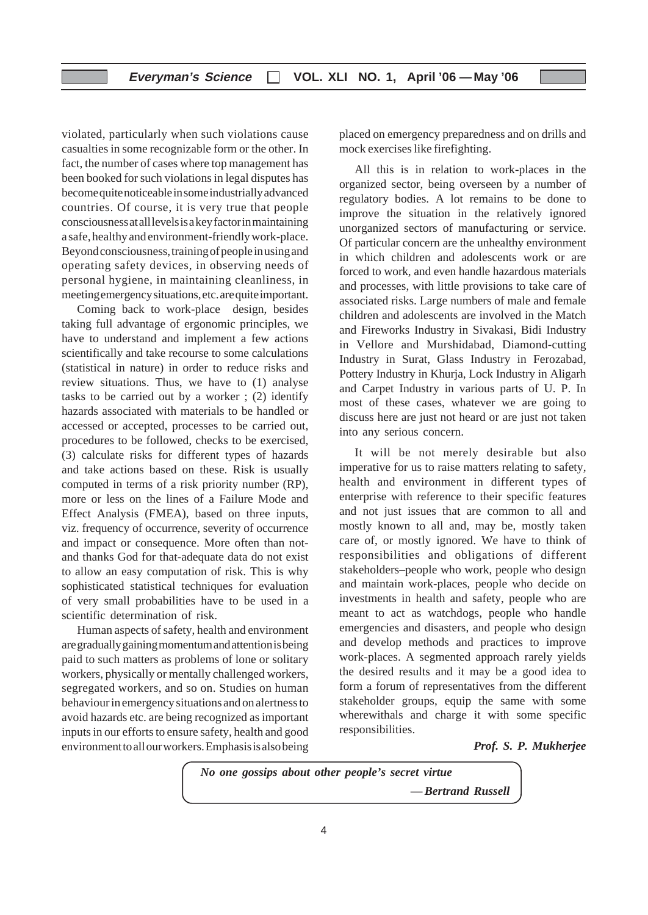violated, particularly when such violations cause casualties in some recognizable form or the other. In fact, the number of cases where top management has been booked for such violations in legal disputes has become quite noticeable in some industrially advanced countries. Of course, it is very true that people consciousness at all levels is a key factor in maintaining a safe, healthy and environment-friendly work-place. Beyond consciousness, training of people in using and operating safety devices, in observing needs of personal hygiene, in maintaining cleanliness, in meeting emergency situations, etc. are quite important.

Coming back to work-place design, besides taking full advantage of ergonomic principles, we have to understand and implement a few actions scientifically and take recourse to some calculations (statistical in nature) in order to reduce risks and review situations. Thus, we have to (1) analyse tasks to be carried out by a worker ; (2) identify hazards associated with materials to be handled or accessed or accepted, processes to be carried out, procedures to be followed, checks to be exercised, (3) calculate risks for different types of hazards and take actions based on these. Risk is usually computed in terms of a risk priority number (RP), more or less on the lines of a Failure Mode and Effect Analysis (FMEA), based on three inputs, viz. frequency of occurrence, severity of occurrence and impact or consequence. More often than notand thanks God for that-adequate data do not exist to allow an easy computation of risk. This is why sophisticated statistical techniques for evaluation of very small probabilities have to be used in a scientific determination of risk.

Human aspects of safety, health and environment are gradually gaining momentum and attention is being paid to such matters as problems of lone or solitary workers, physically or mentally challenged workers, segregated workers, and so on. Studies on human behaviour in emergency situations and on alertness to avoid hazards etc. are being recognized as important inputs in our efforts to ensure safety, health and good environment to all our workers. Emphasis is also being

placed on emergency preparedness and on drills and mock exercises like firefighting.

All this is in relation to work-places in the organized sector, being overseen by a number of regulatory bodies. A lot remains to be done to improve the situation in the relatively ignored unorganized sectors of manufacturing or service. Of particular concern are the unhealthy environment in which children and adolescents work or are forced to work, and even handle hazardous materials and processes, with little provisions to take care of associated risks. Large numbers of male and female children and adolescents are involved in the Match and Fireworks Industry in Sivakasi, Bidi Industry in Vellore and Murshidabad, Diamond-cutting Industry in Surat, Glass Industry in Ferozabad, Pottery Industry in Khurja, Lock Industry in Aligarh and Carpet Industry in various parts of U. P. In most of these cases, whatever we are going to discuss here are just not heard or are just not taken into any serious concern.

It will be not merely desirable but also imperative for us to raise matters relating to safety, health and environment in different types of enterprise with reference to their specific features and not just issues that are common to all and mostly known to all and, may be, mostly taken care of, or mostly ignored. We have to think of responsibilities and obligations of different stakeholders–people who work, people who design and maintain work-places, people who decide on investments in health and safety, people who are meant to act as watchdogs, people who handle emergencies and disasters, and people who design and develop methods and practices to improve work-places. A segmented approach rarely yields the desired results and it may be a good idea to form a forum of representatives from the different stakeholder groups, equip the same with some wherewithals and charge it with some specific responsibilities.

#### *Prof. S. P. Mukherjee*

*No one gossips about other people's secret virtue — Bertrand Russell*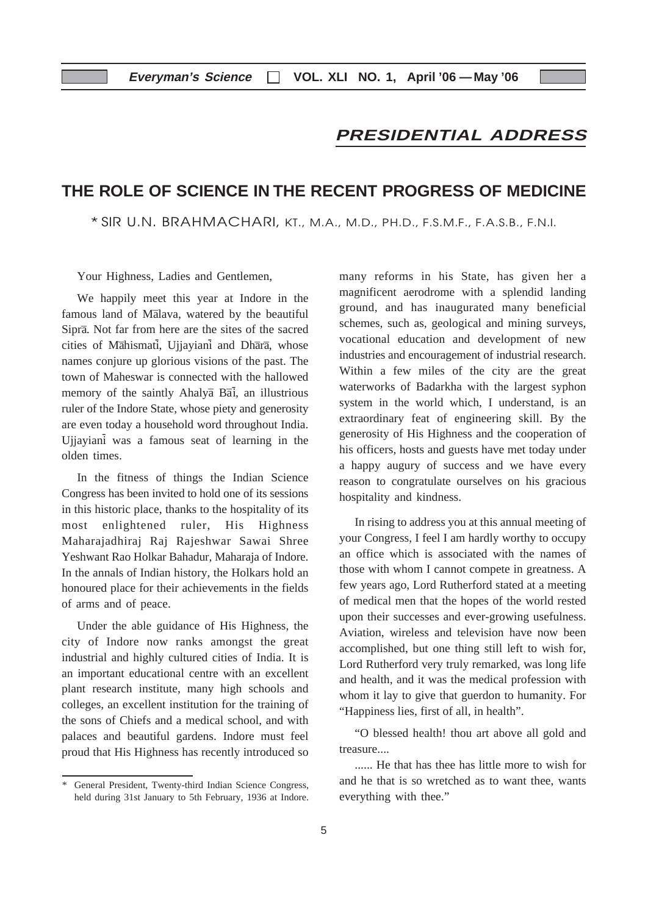#### **PRESIDENTIAL ADDRESS**

#### **THE ROLE OF SCIENCE IN THE RECENT PROGRESS OF MEDICINE**

\* SIR U.N. BRAHMACHARI, KT., M.A., M.D., PH.D., F.S.M.F., F.A.S.B., F.N.I.

Your Highness, Ladies and Gentlemen,

We happily meet this year at Indore in the famous land of Malava, watered by the beautiful Sipra–. Not far from here are the sites of the sacred cities of Mahismati, Ujjayiani and Dhara, whose names conjure up glorious visions of the past. The town of Maheswar is connected with the hallowed memory of the saintly Ahalya<sup>g</sup> Ba<sub>1</sub>, an illustrious ruler of the Indore State, whose piety and generosity are even today a household word throughout India. Ujjayiani was a famous seat of learning in the olden times.

In the fitness of things the Indian Science Congress has been invited to hold one of its sessions in this historic place, thanks to the hospitality of its most enlightened ruler, His Highness Maharajadhiraj Raj Rajeshwar Sawai Shree Yeshwant Rao Holkar Bahadur, Maharaja of Indore. In the annals of Indian history, the Holkars hold an honoured place for their achievements in the fields of arms and of peace.

Under the able guidance of His Highness, the city of Indore now ranks amongst the great industrial and highly cultured cities of India. It is an important educational centre with an excellent plant research institute, many high schools and colleges, an excellent institution for the training of the sons of Chiefs and a medical school, and with palaces and beautiful gardens. Indore must feel proud that His Highness has recently introduced so many reforms in his State, has given her a magnificent aerodrome with a splendid landing ground, and has inaugurated many beneficial schemes, such as, geological and mining surveys, vocational education and development of new industries and encouragement of industrial research. Within a few miles of the city are the great waterworks of Badarkha with the largest syphon system in the world which, I understand, is an extraordinary feat of engineering skill. By the generosity of His Highness and the cooperation of his officers, hosts and guests have met today under a happy augury of success and we have every reason to congratulate ourselves on his gracious hospitality and kindness.

In rising to address you at this annual meeting of your Congress, I feel I am hardly worthy to occupy an office which is associated with the names of those with whom I cannot compete in greatness. A few years ago, Lord Rutherford stated at a meeting of medical men that the hopes of the world rested upon their successes and ever-growing usefulness. Aviation, wireless and television have now been accomplished, but one thing still left to wish for, Lord Rutherford very truly remarked, was long life and health, and it was the medical profession with whom it lay to give that guerdon to humanity. For "Happiness lies, first of all, in health".

"O blessed health! thou art above all gold and treasure

...... He that has thee has little more to wish for and he that is so wretched as to want thee, wants everything with thee."

<sup>\*</sup> General President, Twenty-third Indian Science Congress, held during 31st January to 5th February, 1936 at Indore.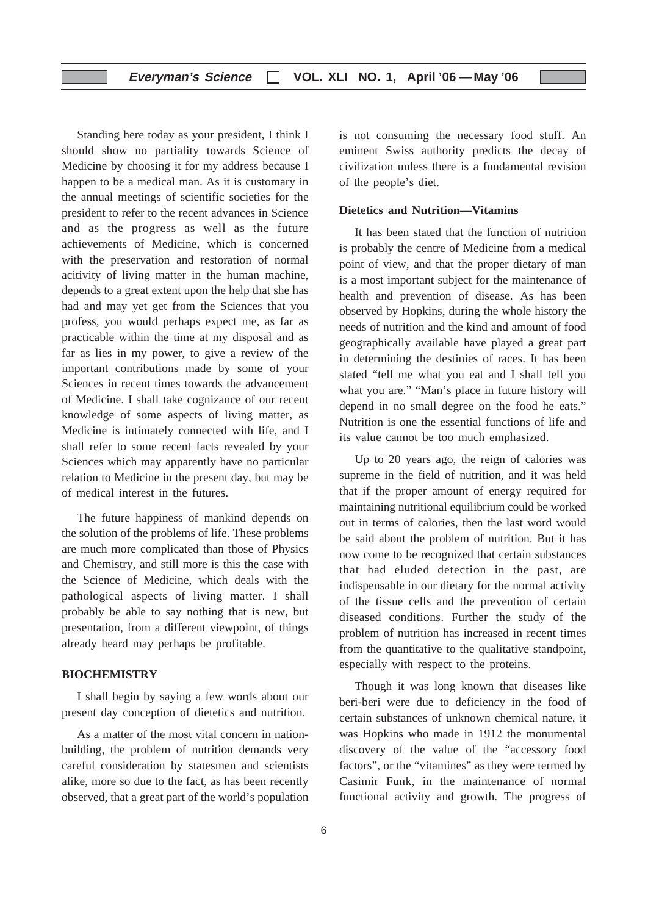Standing here today as your president, I think I should show no partiality towards Science of Medicine by choosing it for my address because I happen to be a medical man. As it is customary in the annual meetings of scientific societies for the president to refer to the recent advances in Science and as the progress as well as the future achievements of Medicine, which is concerned with the preservation and restoration of normal acitivity of living matter in the human machine, depends to a great extent upon the help that she has had and may yet get from the Sciences that you profess, you would perhaps expect me, as far as practicable within the time at my disposal and as far as lies in my power, to give a review of the important contributions made by some of your Sciences in recent times towards the advancement of Medicine. I shall take cognizance of our recent knowledge of some aspects of living matter, as Medicine is intimately connected with life, and I shall refer to some recent facts revealed by your Sciences which may apparently have no particular relation to Medicine in the present day, but may be of medical interest in the futures.

The future happiness of mankind depends on the solution of the problems of life. These problems are much more complicated than those of Physics and Chemistry, and still more is this the case with the Science of Medicine, which deals with the pathological aspects of living matter. I shall probably be able to say nothing that is new, but presentation, from a different viewpoint, of things already heard may perhaps be profitable.

#### **BIOCHEMISTRY**

I shall begin by saying a few words about our present day conception of dietetics and nutrition.

As a matter of the most vital concern in nationbuilding, the problem of nutrition demands very careful consideration by statesmen and scientists alike, more so due to the fact, as has been recently observed, that a great part of the world's population is not consuming the necessary food stuff. An eminent Swiss authority predicts the decay of civilization unless there is a fundamental revision of the people's diet.

#### **Dietetics and Nutrition—Vitamins**

It has been stated that the function of nutrition is probably the centre of Medicine from a medical point of view, and that the proper dietary of man is a most important subject for the maintenance of health and prevention of disease. As has been observed by Hopkins, during the whole history the needs of nutrition and the kind and amount of food geographically available have played a great part in determining the destinies of races. It has been stated "tell me what you eat and I shall tell you what you are." "Man's place in future history will depend in no small degree on the food he eats." Nutrition is one the essential functions of life and its value cannot be too much emphasized.

Up to 20 years ago, the reign of calories was supreme in the field of nutrition, and it was held that if the proper amount of energy required for maintaining nutritional equilibrium could be worked out in terms of calories, then the last word would be said about the problem of nutrition. But it has now come to be recognized that certain substances that had eluded detection in the past, are indispensable in our dietary for the normal activity of the tissue cells and the prevention of certain diseased conditions. Further the study of the problem of nutrition has increased in recent times from the quantitative to the qualitative standpoint, especially with respect to the proteins.

Though it was long known that diseases like beri-beri were due to deficiency in the food of certain substances of unknown chemical nature, it was Hopkins who made in 1912 the monumental discovery of the value of the "accessory food factors", or the "vitamines" as they were termed by Casimir Funk, in the maintenance of normal functional activity and growth. The progress of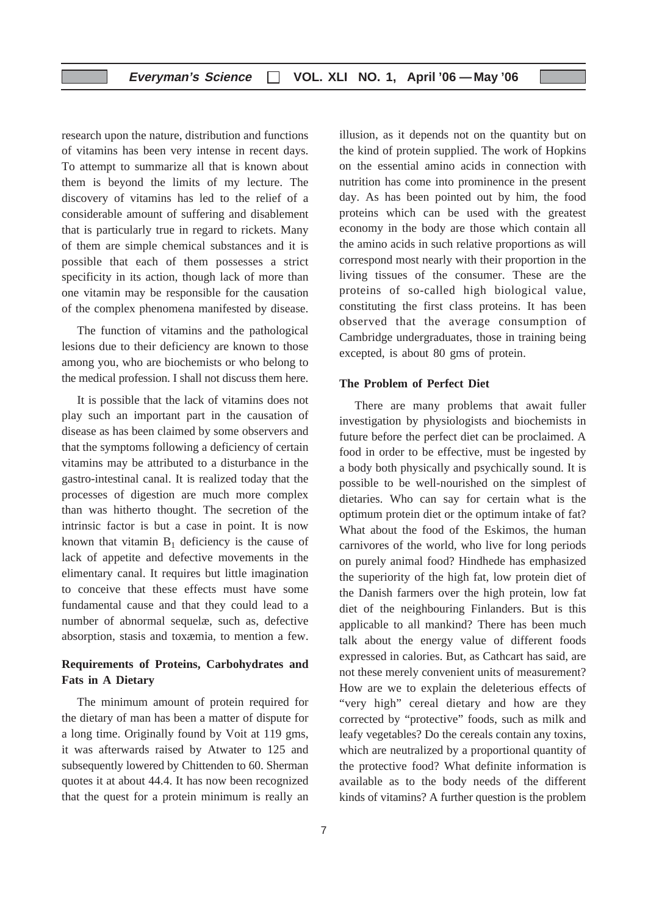research upon the nature, distribution and functions of vitamins has been very intense in recent days. To attempt to summarize all that is known about them is beyond the limits of my lecture. The discovery of vitamins has led to the relief of a considerable amount of suffering and disablement that is particularly true in regard to rickets. Many of them are simple chemical substances and it is possible that each of them possesses a strict specificity in its action, though lack of more than one vitamin may be responsible for the causation of the complex phenomena manifested by disease.

The function of vitamins and the pathological lesions due to their deficiency are known to those among you, who are biochemists or who belong to the medical profession. I shall not discuss them here.

It is possible that the lack of vitamins does not play such an important part in the causation of disease as has been claimed by some observers and that the symptoms following a deficiency of certain vitamins may be attributed to a disturbance in the gastro-intestinal canal. It is realized today that the processes of digestion are much more complex than was hitherto thought. The secretion of the intrinsic factor is but a case in point. It is now known that vitamin  $B_1$  deficiency is the cause of lack of appetite and defective movements in the elimentary canal. It requires but little imagination to conceive that these effects must have some fundamental cause and that they could lead to a number of abnormal sequelæ, such as, defective absorption, stasis and toxæmia, to mention a few.

#### **Requirements of Proteins, Carbohydrates and Fats in A Dietary**

The minimum amount of protein required for the dietary of man has been a matter of dispute for a long time. Originally found by Voit at 119 gms, it was afterwards raised by Atwater to 125 and subsequently lowered by Chittenden to 60. Sherman quotes it at about 44.4. It has now been recognized that the quest for a protein minimum is really an

illusion, as it depends not on the quantity but on the kind of protein supplied. The work of Hopkins on the essential amino acids in connection with nutrition has come into prominence in the present day. As has been pointed out by him, the food proteins which can be used with the greatest economy in the body are those which contain all the amino acids in such relative proportions as will correspond most nearly with their proportion in the living tissues of the consumer. These are the proteins of so-called high biological value, constituting the first class proteins. It has been observed that the average consumption of Cambridge undergraduates, those in training being excepted, is about 80 gms of protein.

#### **The Problem of Perfect Diet**

There are many problems that await fuller investigation by physiologists and biochemists in future before the perfect diet can be proclaimed. A food in order to be effective, must be ingested by a body both physically and psychically sound. It is possible to be well-nourished on the simplest of dietaries. Who can say for certain what is the optimum protein diet or the optimum intake of fat? What about the food of the Eskimos, the human carnivores of the world, who live for long periods on purely animal food? Hindhede has emphasized the superiority of the high fat, low protein diet of the Danish farmers over the high protein, low fat diet of the neighbouring Finlanders. But is this applicable to all mankind? There has been much talk about the energy value of different foods expressed in calories. But, as Cathcart has said, are not these merely convenient units of measurement? How are we to explain the deleterious effects of "very high" cereal dietary and how are they corrected by "protective" foods, such as milk and leafy vegetables? Do the cereals contain any toxins, which are neutralized by a proportional quantity of the protective food? What definite information is available as to the body needs of the different kinds of vitamins? A further question is the problem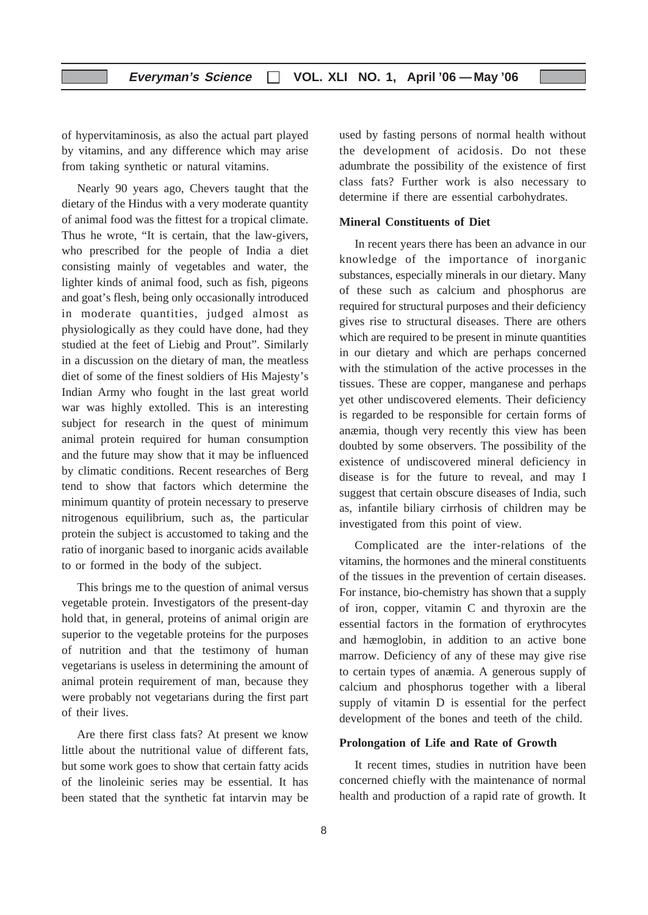of hypervitaminosis, as also the actual part played by vitamins, and any difference which may arise from taking synthetic or natural vitamins.

Nearly 90 years ago, Chevers taught that the dietary of the Hindus with a very moderate quantity of animal food was the fittest for a tropical climate. Thus he wrote, "It is certain, that the law-givers, who prescribed for the people of India a diet consisting mainly of vegetables and water, the lighter kinds of animal food, such as fish, pigeons and goat's flesh, being only occasionally introduced in moderate quantities, judged almost as physiologically as they could have done, had they studied at the feet of Liebig and Prout". Similarly in a discussion on the dietary of man, the meatless diet of some of the finest soldiers of His Majesty's Indian Army who fought in the last great world war was highly extolled. This is an interesting subject for research in the quest of minimum animal protein required for human consumption and the future may show that it may be influenced by climatic conditions. Recent researches of Berg tend to show that factors which determine the minimum quantity of protein necessary to preserve nitrogenous equilibrium, such as, the particular protein the subject is accustomed to taking and the ratio of inorganic based to inorganic acids available to or formed in the body of the subject.

This brings me to the question of animal versus vegetable protein. Investigators of the present-day hold that, in general, proteins of animal origin are superior to the vegetable proteins for the purposes of nutrition and that the testimony of human vegetarians is useless in determining the amount of animal protein requirement of man, because they were probably not vegetarians during the first part of their lives.

Are there first class fats? At present we know little about the nutritional value of different fats, but some work goes to show that certain fatty acids of the linoleinic series may be essential. It has been stated that the synthetic fat intarvin may be used by fasting persons of normal health without the development of acidosis. Do not these adumbrate the possibility of the existence of first class fats? Further work is also necessary to determine if there are essential carbohydrates.

#### **Mineral Constituents of Diet**

In recent years there has been an advance in our knowledge of the importance of inorganic substances, especially minerals in our dietary. Many of these such as calcium and phosphorus are required for structural purposes and their deficiency gives rise to structural diseases. There are others which are required to be present in minute quantities in our dietary and which are perhaps concerned with the stimulation of the active processes in the tissues. These are copper, manganese and perhaps yet other undiscovered elements. Their deficiency is regarded to be responsible for certain forms of anæmia, though very recently this view has been doubted by some observers. The possibility of the existence of undiscovered mineral deficiency in disease is for the future to reveal, and may I suggest that certain obscure diseases of India, such as, infantile biliary cirrhosis of children may be investigated from this point of view.

Complicated are the inter-relations of the vitamins, the hormones and the mineral constituents of the tissues in the prevention of certain diseases. For instance, bio-chemistry has shown that a supply of iron, copper, vitamin C and thyroxin are the essential factors in the formation of erythrocytes and hæmoglobin, in addition to an active bone marrow. Deficiency of any of these may give rise to certain types of anæmia. A generous supply of calcium and phosphorus together with a liberal supply of vitamin D is essential for the perfect development of the bones and teeth of the child.

#### **Prolongation of Life and Rate of Growth**

It recent times, studies in nutrition have been concerned chiefly with the maintenance of normal health and production of a rapid rate of growth. It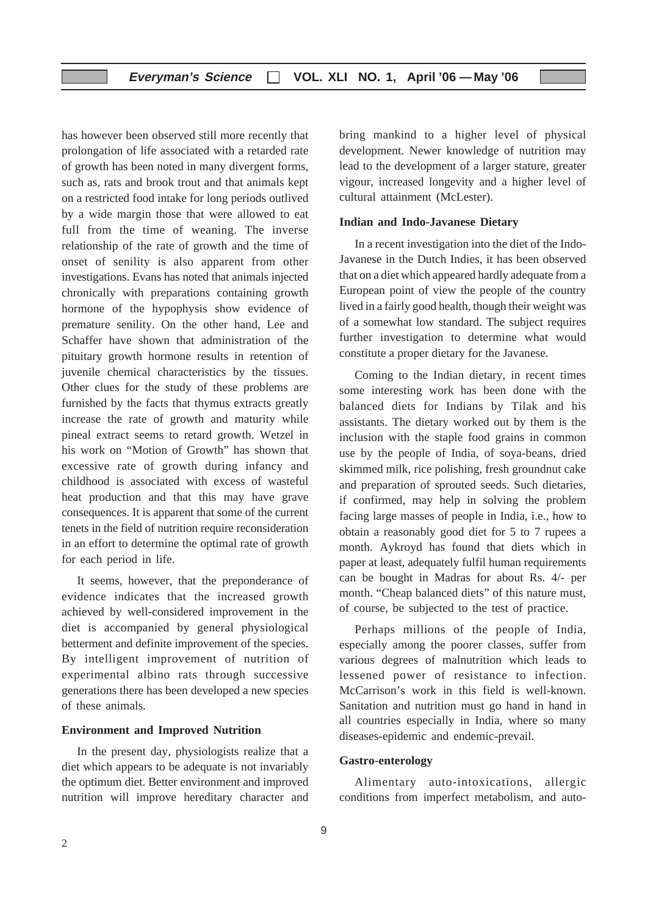has however been observed still more recently that prolongation of life associated with a retarded rate of growth has been noted in many divergent forms, such as, rats and brook trout and that animals kept on a restricted food intake for long periods outlived by a wide margin those that were allowed to eat full from the time of weaning. The inverse relationship of the rate of growth and the time of onset of senility is also apparent from other investigations. Evans has noted that animals injected chronically with preparations containing growth hormone of the hypophysis show evidence of premature senility. On the other hand, Lee and Schaffer have shown that administration of the pituitary growth hormone results in retention of juvenile chemical characteristics by the tissues. Other clues for the study of these problems are furnished by the facts that thymus extracts greatly increase the rate of growth and maturity while pineal extract seems to retard growth. Wetzel in his work on "Motion of Growth" has shown that excessive rate of growth during infancy and childhood is associated with excess of wasteful heat production and that this may have grave consequences. It is apparent that some of the current tenets in the field of nutrition require reconsideration in an effort to determine the optimal rate of growth for each period in life.

It seems, however, that the preponderance of evidence indicates that the increased growth achieved by well-considered improvement in the diet is accompanied by general physiological betterment and definite improvement of the species. By intelligent improvement of nutrition of experimental albino rats through successive generations there has been developed a new species of these animals.

#### **Environment and Improved Nutrition**

In the present day, physiologists realize that a diet which appears to be adequate is not invariably the optimum diet. Better environment and improved nutrition will improve hereditary character and bring mankind to a higher level of physical development. Newer knowledge of nutrition may lead to the development of a larger stature, greater vigour, increased longevity and a higher level of cultural attainment (McLester).

#### **Indian and Indo-Javanese Dietary**

In a recent investigation into the diet of the Indo-Javanese in the Dutch Indies, it has been observed that on a diet which appeared hardly adequate from a European point of view the people of the country lived in a fairly good health, though their weight was of a somewhat low standard. The subject requires further investigation to determine what would constitute a proper dietary for the Javanese.

Coming to the Indian dietary, in recent times some interesting work has been done with the balanced diets for Indians by Tilak and his assistants. The dietary worked out by them is the inclusion with the staple food grains in common use by the people of India, of soya-beans, dried skimmed milk, rice polishing, fresh groundnut cake and preparation of sprouted seeds. Such dietaries, if confirmed, may help in solving the problem facing large masses of people in India, i.e., how to obtain a reasonably good diet for 5 to 7 rupees a month. Aykroyd has found that diets which in paper at least, adequately fulfil human requirements can be bought in Madras for about Rs. 4/- per month. "Cheap balanced diets" of this nature must, of course, be subjected to the test of practice.

Perhaps millions of the people of India, especially among the poorer classes, suffer from various degrees of malnutrition which leads to lessened power of resistance to infection. McCarrison's work in this field is well-known. Sanitation and nutrition must go hand in hand in all countries especially in India, where so many diseases-epidemic and endemic-prevail.

#### **Gastro-enterology**

Alimentary auto-intoxications, allergic conditions from imperfect metabolism, and auto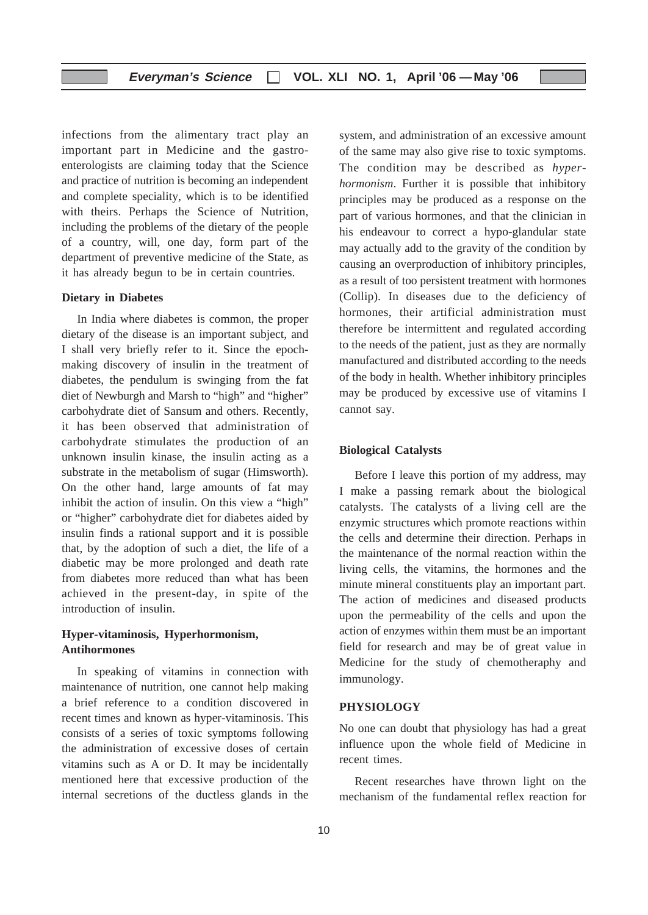infections from the alimentary tract play an important part in Medicine and the gastroenterologists are claiming today that the Science and practice of nutrition is becoming an independent and complete speciality, which is to be identified with theirs. Perhaps the Science of Nutrition, including the problems of the dietary of the people of a country, will, one day, form part of the department of preventive medicine of the State, as it has already begun to be in certain countries.

#### **Dietary in Diabetes**

In India where diabetes is common, the proper dietary of the disease is an important subject, and I shall very briefly refer to it. Since the epochmaking discovery of insulin in the treatment of diabetes, the pendulum is swinging from the fat diet of Newburgh and Marsh to "high" and "higher" carbohydrate diet of Sansum and others. Recently, it has been observed that administration of carbohydrate stimulates the production of an unknown insulin kinase, the insulin acting as a substrate in the metabolism of sugar (Himsworth). On the other hand, large amounts of fat may inhibit the action of insulin. On this view a "high" or "higher" carbohydrate diet for diabetes aided by insulin finds a rational support and it is possible that, by the adoption of such a diet, the life of a diabetic may be more prolonged and death rate from diabetes more reduced than what has been achieved in the present-day, in spite of the introduction of insulin.

#### **Hyper-vitaminosis, Hyperhormonism, Antihormones**

In speaking of vitamins in connection with maintenance of nutrition, one cannot help making a brief reference to a condition discovered in recent times and known as hyper-vitaminosis. This consists of a series of toxic symptoms following the administration of excessive doses of certain vitamins such as A or D. It may be incidentally mentioned here that excessive production of the internal secretions of the ductless glands in the

system, and administration of an excessive amount of the same may also give rise to toxic symptoms. The condition may be described as *hyperhormonism*. Further it is possible that inhibitory principles may be produced as a response on the part of various hormones, and that the clinician in his endeavour to correct a hypo-glandular state may actually add to the gravity of the condition by causing an overproduction of inhibitory principles, as a result of too persistent treatment with hormones (Collip). In diseases due to the deficiency of hormones, their artificial administration must therefore be intermittent and regulated according to the needs of the patient, just as they are normally manufactured and distributed according to the needs of the body in health. Whether inhibitory principles may be produced by excessive use of vitamins I cannot say.

#### **Biological Catalysts**

Before I leave this portion of my address, may I make a passing remark about the biological catalysts. The catalysts of a living cell are the enzymic structures which promote reactions within the cells and determine their direction. Perhaps in the maintenance of the normal reaction within the living cells, the vitamins, the hormones and the minute mineral constituents play an important part. The action of medicines and diseased products upon the permeability of the cells and upon the action of enzymes within them must be an important field for research and may be of great value in Medicine for the study of chemotheraphy and immunology.

#### **PHYSIOLOGY**

No one can doubt that physiology has had a great influence upon the whole field of Medicine in recent times.

Recent researches have thrown light on the mechanism of the fundamental reflex reaction for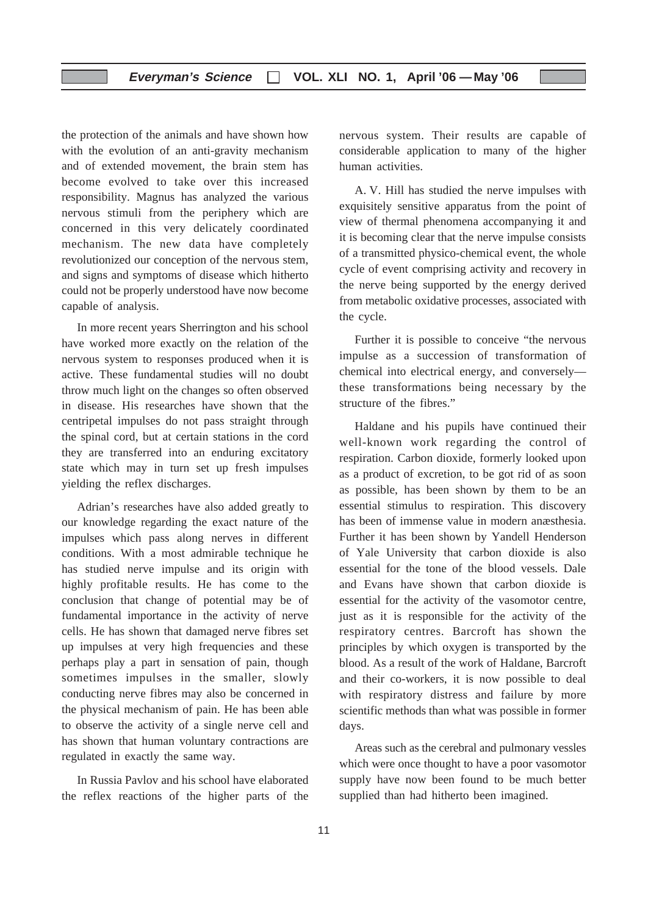the protection of the animals and have shown how with the evolution of an anti-gravity mechanism and of extended movement, the brain stem has become evolved to take over this increased responsibility. Magnus has analyzed the various nervous stimuli from the periphery which are concerned in this very delicately coordinated mechanism. The new data have completely revolutionized our conception of the nervous stem, and signs and symptoms of disease which hitherto could not be properly understood have now become capable of analysis.

In more recent years Sherrington and his school have worked more exactly on the relation of the nervous system to responses produced when it is active. These fundamental studies will no doubt throw much light on the changes so often observed in disease. His researches have shown that the centripetal impulses do not pass straight through the spinal cord, but at certain stations in the cord they are transferred into an enduring excitatory state which may in turn set up fresh impulses yielding the reflex discharges.

Adrian's researches have also added greatly to our knowledge regarding the exact nature of the impulses which pass along nerves in different conditions. With a most admirable technique he has studied nerve impulse and its origin with highly profitable results. He has come to the conclusion that change of potential may be of fundamental importance in the activity of nerve cells. He has shown that damaged nerve fibres set up impulses at very high frequencies and these perhaps play a part in sensation of pain, though sometimes impulses in the smaller, slowly conducting nerve fibres may also be concerned in the physical mechanism of pain. He has been able to observe the activity of a single nerve cell and has shown that human voluntary contractions are regulated in exactly the same way.

In Russia Pavlov and his school have elaborated the reflex reactions of the higher parts of the nervous system. Their results are capable of considerable application to many of the higher human activities.

A. V. Hill has studied the nerve impulses with exquisitely sensitive apparatus from the point of view of thermal phenomena accompanying it and it is becoming clear that the nerve impulse consists of a transmitted physico-chemical event, the whole cycle of event comprising activity and recovery in the nerve being supported by the energy derived from metabolic oxidative processes, associated with the cycle.

Further it is possible to conceive "the nervous impulse as a succession of transformation of chemical into electrical energy, and conversely these transformations being necessary by the structure of the fibres."

Haldane and his pupils have continued their well-known work regarding the control of respiration. Carbon dioxide, formerly looked upon as a product of excretion, to be got rid of as soon as possible, has been shown by them to be an essential stimulus to respiration. This discovery has been of immense value in modern anæsthesia. Further it has been shown by Yandell Henderson of Yale University that carbon dioxide is also essential for the tone of the blood vessels. Dale and Evans have shown that carbon dioxide is essential for the activity of the vasomotor centre, just as it is responsible for the activity of the respiratory centres. Barcroft has shown the principles by which oxygen is transported by the blood. As a result of the work of Haldane, Barcroft and their co-workers, it is now possible to deal with respiratory distress and failure by more scientific methods than what was possible in former days.

Areas such as the cerebral and pulmonary vessles which were once thought to have a poor vasomotor supply have now been found to be much better supplied than had hitherto been imagined.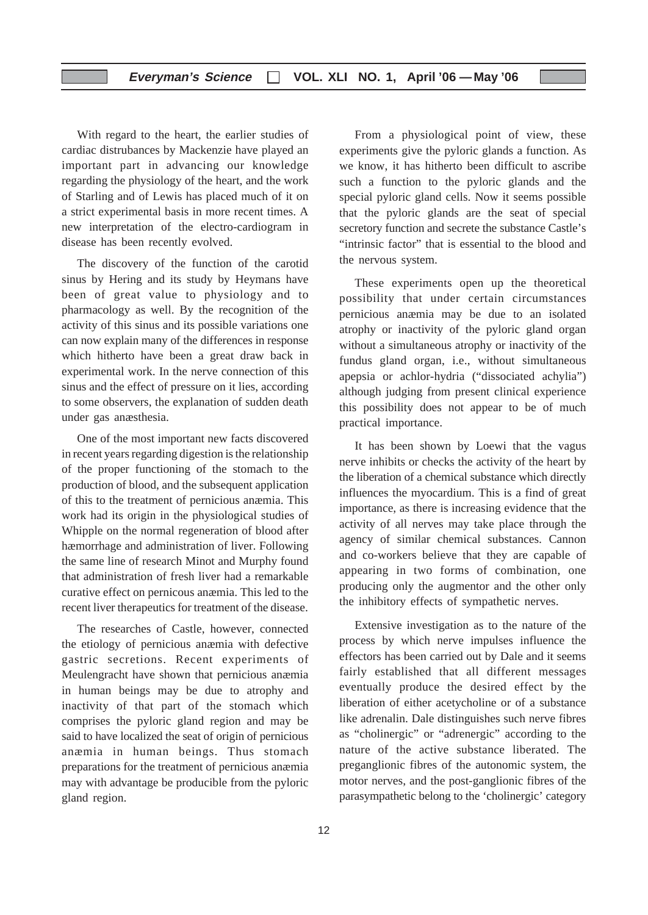With regard to the heart, the earlier studies of cardiac distrubances by Mackenzie have played an important part in advancing our knowledge regarding the physiology of the heart, and the work of Starling and of Lewis has placed much of it on a strict experimental basis in more recent times. A new interpretation of the electro-cardiogram in disease has been recently evolved.

The discovery of the function of the carotid sinus by Hering and its study by Heymans have been of great value to physiology and to pharmacology as well. By the recognition of the activity of this sinus and its possible variations one can now explain many of the differences in response which hitherto have been a great draw back in experimental work. In the nerve connection of this sinus and the effect of pressure on it lies, according to some observers, the explanation of sudden death under gas anæsthesia.

One of the most important new facts discovered in recent years regarding digestion is the relationship of the proper functioning of the stomach to the production of blood, and the subsequent application of this to the treatment of pernicious anæmia. This work had its origin in the physiological studies of Whipple on the normal regeneration of blood after hæmorrhage and administration of liver. Following the same line of research Minot and Murphy found that administration of fresh liver had a remarkable curative effect on pernicous anæmia. This led to the recent liver therapeutics for treatment of the disease.

The researches of Castle, however, connected the etiology of pernicious anæmia with defective gastric secretions. Recent experiments of Meulengracht have shown that pernicious anæmia in human beings may be due to atrophy and inactivity of that part of the stomach which comprises the pyloric gland region and may be said to have localized the seat of origin of pernicious anæmia in human beings. Thus stomach preparations for the treatment of pernicious anæmia may with advantage be producible from the pyloric gland region.

From a physiological point of view, these experiments give the pyloric glands a function. As we know, it has hitherto been difficult to ascribe such a function to the pyloric glands and the special pyloric gland cells. Now it seems possible that the pyloric glands are the seat of special secretory function and secrete the substance Castle's "intrinsic factor" that is essential to the blood and the nervous system.

These experiments open up the theoretical possibility that under certain circumstances pernicious anæmia may be due to an isolated atrophy or inactivity of the pyloric gland organ without a simultaneous atrophy or inactivity of the fundus gland organ, i.e., without simultaneous apepsia or achlor-hydria ("dissociated achylia") although judging from present clinical experience this possibility does not appear to be of much practical importance.

It has been shown by Loewi that the vagus nerve inhibits or checks the activity of the heart by the liberation of a chemical substance which directly influences the myocardium. This is a find of great importance, as there is increasing evidence that the activity of all nerves may take place through the agency of similar chemical substances. Cannon and co-workers believe that they are capable of appearing in two forms of combination, one producing only the augmentor and the other only the inhibitory effects of sympathetic nerves.

Extensive investigation as to the nature of the process by which nerve impulses influence the effectors has been carried out by Dale and it seems fairly established that all different messages eventually produce the desired effect by the liberation of either acetycholine or of a substance like adrenalin. Dale distinguishes such nerve fibres as "cholinergic" or "adrenergic" according to the nature of the active substance liberated. The preganglionic fibres of the autonomic system, the motor nerves, and the post-ganglionic fibres of the parasympathetic belong to the 'cholinergic' category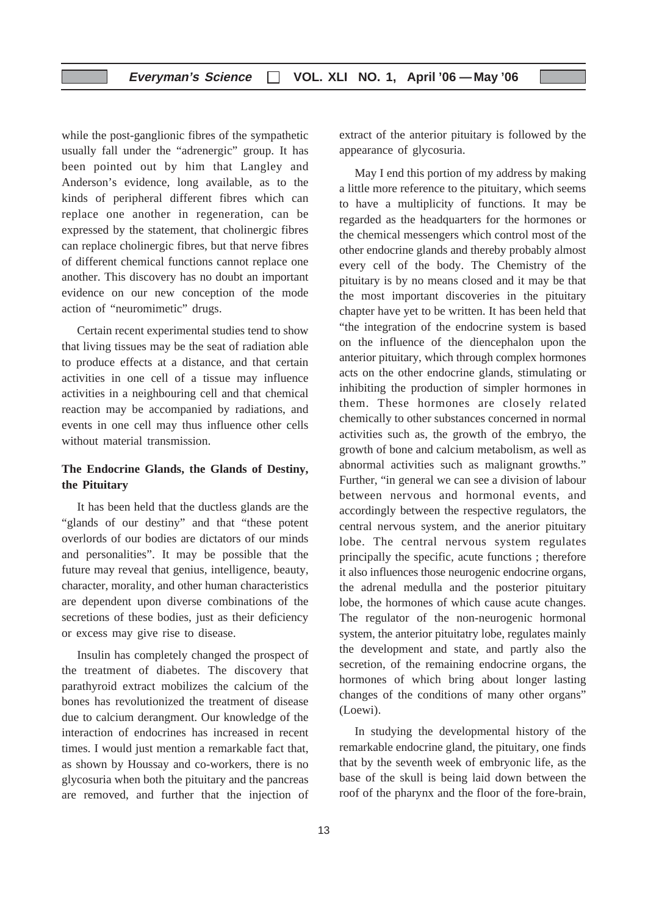while the post-ganglionic fibres of the sympathetic usually fall under the "adrenergic" group. It has been pointed out by him that Langley and Anderson's evidence, long available, as to the kinds of peripheral different fibres which can replace one another in regeneration, can be expressed by the statement, that cholinergic fibres can replace cholinergic fibres, but that nerve fibres of different chemical functions cannot replace one another. This discovery has no doubt an important evidence on our new conception of the mode action of "neuromimetic" drugs.

Certain recent experimental studies tend to show that living tissues may be the seat of radiation able to produce effects at a distance, and that certain activities in one cell of a tissue may influence activities in a neighbouring cell and that chemical reaction may be accompanied by radiations, and events in one cell may thus influence other cells without material transmission.

#### **The Endocrine Glands, the Glands of Destiny, the Pituitary**

It has been held that the ductless glands are the "glands of our destiny" and that "these potent overlords of our bodies are dictators of our minds and personalities". It may be possible that the future may reveal that genius, intelligence, beauty, character, morality, and other human characteristics are dependent upon diverse combinations of the secretions of these bodies, just as their deficiency or excess may give rise to disease.

Insulin has completely changed the prospect of the treatment of diabetes. The discovery that parathyroid extract mobilizes the calcium of the bones has revolutionized the treatment of disease due to calcium derangment. Our knowledge of the interaction of endocrines has increased in recent times. I would just mention a remarkable fact that, as shown by Houssay and co-workers, there is no glycosuria when both the pituitary and the pancreas are removed, and further that the injection of extract of the anterior pituitary is followed by the appearance of glycosuria.

May I end this portion of my address by making a little more reference to the pituitary, which seems to have a multiplicity of functions. It may be regarded as the headquarters for the hormones or the chemical messengers which control most of the other endocrine glands and thereby probably almost every cell of the body. The Chemistry of the pituitary is by no means closed and it may be that the most important discoveries in the pituitary chapter have yet to be written. It has been held that "the integration of the endocrine system is based on the influence of the diencephalon upon the anterior pituitary, which through complex hormones acts on the other endocrine glands, stimulating or inhibiting the production of simpler hormones in them. These hormones are closely related chemically to other substances concerned in normal activities such as, the growth of the embryo, the growth of bone and calcium metabolism, as well as abnormal activities such as malignant growths." Further, "in general we can see a division of labour between nervous and hormonal events, and accordingly between the respective regulators, the central nervous system, and the anerior pituitary lobe. The central nervous system regulates principally the specific, acute functions ; therefore it also influences those neurogenic endocrine organs, the adrenal medulla and the posterior pituitary lobe, the hormones of which cause acute changes. The regulator of the non-neurogenic hormonal system, the anterior pituitatry lobe, regulates mainly the development and state, and partly also the secretion, of the remaining endocrine organs, the hormones of which bring about longer lasting changes of the conditions of many other organs" (Loewi).

In studying the developmental history of the remarkable endocrine gland, the pituitary, one finds that by the seventh week of embryonic life, as the base of the skull is being laid down between the roof of the pharynx and the floor of the fore-brain,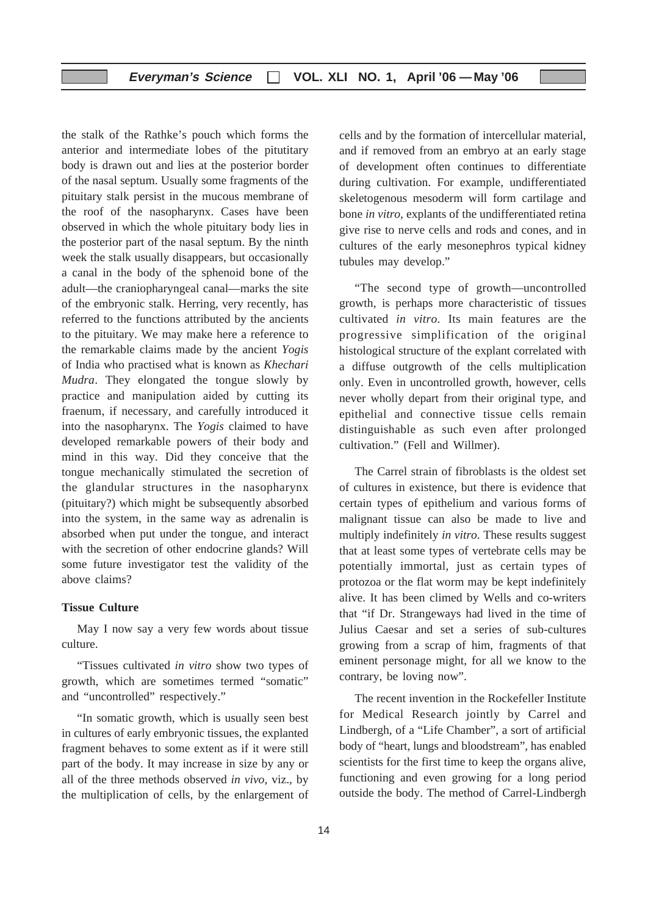the stalk of the Rathke's pouch which forms the anterior and intermediate lobes of the pitutitary body is drawn out and lies at the posterior border of the nasal septum. Usually some fragments of the pituitary stalk persist in the mucous membrane of the roof of the nasopharynx. Cases have been observed in which the whole pituitary body lies in the posterior part of the nasal septum. By the ninth week the stalk usually disappears, but occasionally a canal in the body of the sphenoid bone of the adult—the craniopharyngeal canal—marks the site of the embryonic stalk. Herring, very recently, has referred to the functions attributed by the ancients to the pituitary. We may make here a reference to the remarkable claims made by the ancient *Yogis* of India who practised what is known as *Khechari Mudra*. They elongated the tongue slowly by practice and manipulation aided by cutting its fraenum, if necessary, and carefully introduced it into the nasopharynx. The *Yogis* claimed to have developed remarkable powers of their body and mind in this way. Did they conceive that the tongue mechanically stimulated the secretion of the glandular structures in the nasopharynx (pituitary?) which might be subsequently absorbed into the system, in the same way as adrenalin is absorbed when put under the tongue, and interact with the secretion of other endocrine glands? Will some future investigator test the validity of the above claims?

#### **Tissue Culture**

May I now say a very few words about tissue culture.

"Tissues cultivated *in vitro* show two types of growth, which are sometimes termed "somatic" and "uncontrolled" respectively."

"In somatic growth, which is usually seen best in cultures of early embryonic tissues, the explanted fragment behaves to some extent as if it were still part of the body. It may increase in size by any or all of the three methods observed *in vivo,* viz., by the multiplication of cells, by the enlargement of cells and by the formation of intercellular material, and if removed from an embryo at an early stage of development often continues to differentiate during cultivation. For example, undifferentiated skeletogenous mesoderm will form cartilage and bone *in vitro,* explants of the undifferentiated retina give rise to nerve cells and rods and cones, and in cultures of the early mesonephros typical kidney tubules may develop."

"The second type of growth—uncontrolled growth, is perhaps more characteristic of tissues cultivated *in vitro*. Its main features are the progressive simplification of the original histological structure of the explant correlated with a diffuse outgrowth of the cells multiplication only. Even in uncontrolled growth, however, cells never wholly depart from their original type, and epithelial and connective tissue cells remain distinguishable as such even after prolonged cultivation." (Fell and Willmer).

The Carrel strain of fibroblasts is the oldest set of cultures in existence, but there is evidence that certain types of epithelium and various forms of malignant tissue can also be made to live and multiply indefinitely *in vitro*. These results suggest that at least some types of vertebrate cells may be potentially immortal, just as certain types of protozoa or the flat worm may be kept indefinitely alive. It has been climed by Wells and co-writers that "if Dr. Strangeways had lived in the time of Julius Caesar and set a series of sub-cultures growing from a scrap of him, fragments of that eminent personage might, for all we know to the contrary, be loving now".

The recent invention in the Rockefeller Institute for Medical Research jointly by Carrel and Lindbergh, of a "Life Chamber", a sort of artificial body of "heart, lungs and bloodstream", has enabled scientists for the first time to keep the organs alive, functioning and even growing for a long period outside the body. The method of Carrel-Lindbergh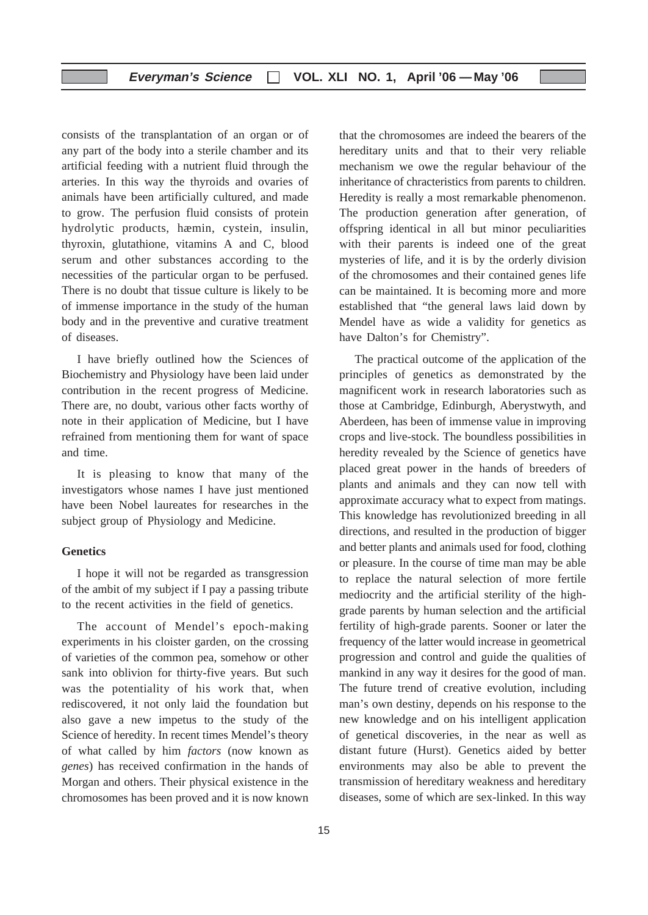consists of the transplantation of an organ or of any part of the body into a sterile chamber and its artificial feeding with a nutrient fluid through the arteries. In this way the thyroids and ovaries of animals have been artificially cultured, and made to grow. The perfusion fluid consists of protein hydrolytic products, hæmin, cystein, insulin, thyroxin, glutathione, vitamins A and C, blood serum and other substances according to the necessities of the particular organ to be perfused. There is no doubt that tissue culture is likely to be of immense importance in the study of the human body and in the preventive and curative treatment of diseases.

I have briefly outlined how the Sciences of Biochemistry and Physiology have been laid under contribution in the recent progress of Medicine. There are, no doubt, various other facts worthy of note in their application of Medicine, but I have refrained from mentioning them for want of space and time.

It is pleasing to know that many of the investigators whose names I have just mentioned have been Nobel laureates for researches in the subject group of Physiology and Medicine.

#### **Genetics**

I hope it will not be regarded as transgression of the ambit of my subject if I pay a passing tribute to the recent activities in the field of genetics.

The account of Mendel's epoch-making experiments in his cloister garden, on the crossing of varieties of the common pea, somehow or other sank into oblivion for thirty-five years. But such was the potentiality of his work that, when rediscovered, it not only laid the foundation but also gave a new impetus to the study of the Science of heredity. In recent times Mendel's theory of what called by him *factors* (now known as *genes*) has received confirmation in the hands of Morgan and others. Their physical existence in the chromosomes has been proved and it is now known

that the chromosomes are indeed the bearers of the hereditary units and that to their very reliable mechanism we owe the regular behaviour of the inheritance of chracteristics from parents to children. Heredity is really a most remarkable phenomenon. The production generation after generation, of offspring identical in all but minor peculiarities with their parents is indeed one of the great mysteries of life, and it is by the orderly division of the chromosomes and their contained genes life can be maintained. It is becoming more and more established that "the general laws laid down by Mendel have as wide a validity for genetics as have Dalton's for Chemistry".

The practical outcome of the application of the principles of genetics as demonstrated by the magnificent work in research laboratories such as those at Cambridge, Edinburgh, Aberystwyth, and Aberdeen, has been of immense value in improving crops and live-stock. The boundless possibilities in heredity revealed by the Science of genetics have placed great power in the hands of breeders of plants and animals and they can now tell with approximate accuracy what to expect from matings. This knowledge has revolutionized breeding in all directions, and resulted in the production of bigger and better plants and animals used for food, clothing or pleasure. In the course of time man may be able to replace the natural selection of more fertile mediocrity and the artificial sterility of the highgrade parents by human selection and the artificial fertility of high-grade parents. Sooner or later the frequency of the latter would increase in geometrical progression and control and guide the qualities of mankind in any way it desires for the good of man. The future trend of creative evolution, including man's own destiny, depends on his response to the new knowledge and on his intelligent application of genetical discoveries, in the near as well as distant future (Hurst). Genetics aided by better environments may also be able to prevent the transmission of hereditary weakness and hereditary diseases, some of which are sex-linked. In this way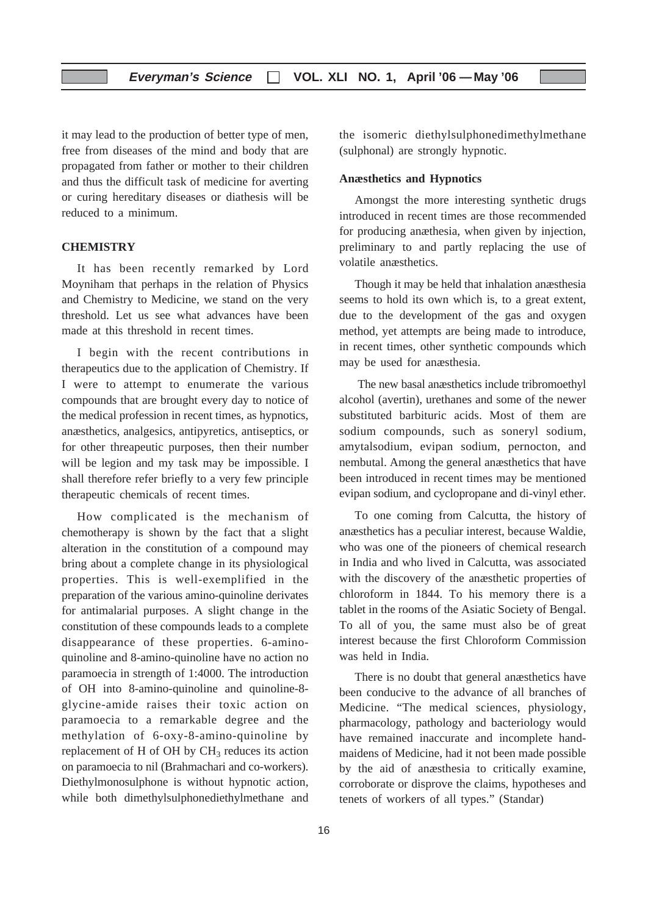it may lead to the production of better type of men, free from diseases of the mind and body that are propagated from father or mother to their children and thus the difficult task of medicine for averting or curing hereditary diseases or diathesis will be reduced to a minimum.

#### **CHEMISTRY**

It has been recently remarked by Lord Moyniham that perhaps in the relation of Physics and Chemistry to Medicine, we stand on the very threshold. Let us see what advances have been made at this threshold in recent times.

I begin with the recent contributions in therapeutics due to the application of Chemistry. If I were to attempt to enumerate the various compounds that are brought every day to notice of the medical profession in recent times, as hypnotics, anæsthetics, analgesics, antipyretics, antiseptics, or for other threapeutic purposes, then their number will be legion and my task may be impossible. I shall therefore refer briefly to a very few principle therapeutic chemicals of recent times.

How complicated is the mechanism of chemotherapy is shown by the fact that a slight alteration in the constitution of a compound may bring about a complete change in its physiological properties. This is well-exemplified in the preparation of the various amino-quinoline derivates for antimalarial purposes. A slight change in the constitution of these compounds leads to a complete disappearance of these properties. 6-aminoquinoline and 8-amino-quinoline have no action no paramoecia in strength of 1:4000. The introduction of OH into 8-amino-quinoline and quinoline-8 glycine-amide raises their toxic action on paramoecia to a remarkable degree and the methylation of 6-oxy-8-amino-quinoline by replacement of H of OH by  $CH<sub>3</sub>$  reduces its action on paramoecia to nil (Brahmachari and co-workers). Diethylmonosulphone is without hypnotic action, while both dimethylsulphonediethylmethane and

the isomeric diethylsulphonedimethylmethane (sulphonal) are strongly hypnotic.

#### **Anæsthetics and Hypnotics**

Amongst the more interesting synthetic drugs introduced in recent times are those recommended for producing anæthesia, when given by injection, preliminary to and partly replacing the use of volatile anæsthetics.

Though it may be held that inhalation anæsthesia seems to hold its own which is, to a great extent, due to the development of the gas and oxygen method, yet attempts are being made to introduce, in recent times, other synthetic compounds which may be used for anæsthesia.

The new basal anæsthetics include tribromoethyl alcohol (avertin), urethanes and some of the newer substituted barbituric acids. Most of them are sodium compounds, such as soneryl sodium, amytalsodium, evipan sodium, pernocton, and nembutal. Among the general anæsthetics that have been introduced in recent times may be mentioned evipan sodium, and cyclopropane and di-vinyl ether.

To one coming from Calcutta, the history of anæsthetics has a peculiar interest, because Waldie, who was one of the pioneers of chemical research in India and who lived in Calcutta, was associated with the discovery of the anæsthetic properties of chloroform in 1844. To his memory there is a tablet in the rooms of the Asiatic Society of Bengal. To all of you, the same must also be of great interest because the first Chloroform Commission was held in India.

There is no doubt that general anæsthetics have been conducive to the advance of all branches of Medicine. "The medical sciences, physiology, pharmacology, pathology and bacteriology would have remained inaccurate and incomplete handmaidens of Medicine, had it not been made possible by the aid of anæsthesia to critically examine, corroborate or disprove the claims, hypotheses and tenets of workers of all types." (Standar)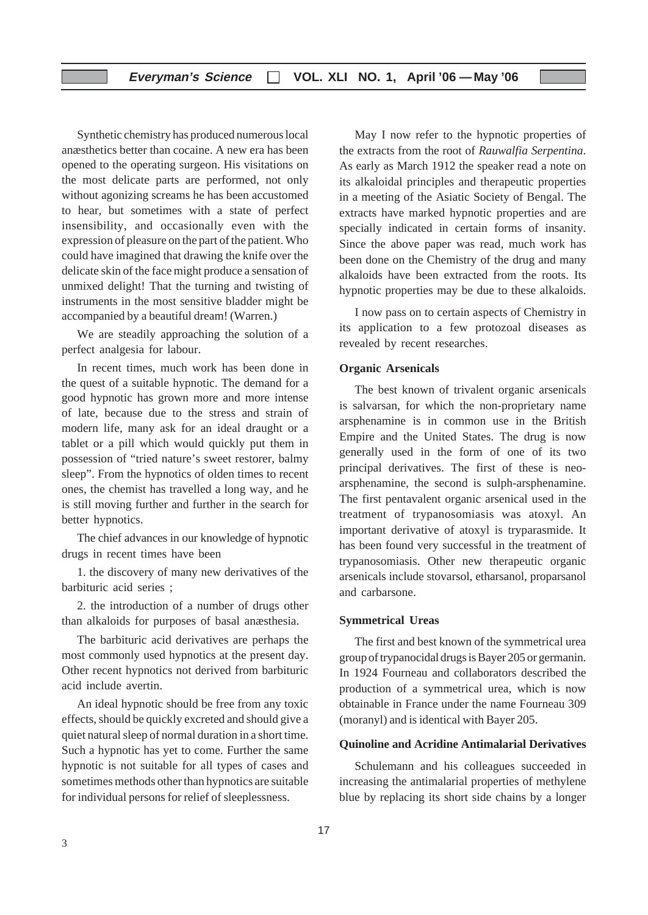Synthetic chemistry has produced numerous local anæsthetics better than cocaine. A new era has been opened to the operating surgeon. His visitations on the most delicate parts are performed, not only without agonizing screams he has been accustomed to hear, but sometimes with a state of perfect insensibility, and occasionally even with the expression of pleasure on the part of the patient. Who could have imagined that drawing the knife over the delicate skin of the face might produce a sensation of unmixed delight! That the turning and twisting of instruments in the most sensitive bladder might be accompanied by a beautiful dream! (Warren.)

We are steadily approaching the solution of a perfect analgesia for labour.

In recent times, much work has been done in the quest of a suitable hypnotic. The demand for a good hypnotic has grown more and more intense of late, because due to the stress and strain of modern life, many ask for an ideal draught or a tablet or a pill which would quickly put them in possession of "tried nature's sweet restorer, balmy sleep". From the hypnotics of olden times to recent ones, the chemist has travelled a long way, and he is still moving further and further in the search for better hypnotics.

The chief advances in our knowledge of hypnotic drugs in recent times have been

1. the discovery of many new derivatives of the barbituric acid series ;

2. the introduction of a number of drugs other than alkaloids for purposes of basal anæsthesia.

The barbituric acid derivatives are perhaps the most commonly used hypnotics at the present day. Other recent hypnotics not derived from barbituric acid include avertin.

An ideal hypnotic should be free from any toxic effects, should be quickly excreted and should give a quiet natural sleep of normal duration in a short time. Such a hypnotic has yet to come. Further the same hypnotic is not suitable for all types of cases and sometimes methods other than hypnotics are suitable for individual persons for relief of sleeplessness.

May I now refer to the hypnotic properties of the extracts from the root of *Rauwalfia Serpentina*. As early as March 1912 the speaker read a note on its alkaloidal principles and therapeutic properties in a meeting of the Asiatic Society of Bengal. The extracts have marked hypnotic properties and are specially indicated in certain forms of insanity. Since the above paper was read, much work has been done on the Chemistry of the drug and many alkaloids have been extracted from the roots. Its hypnotic properties may be due to these alkaloids.

I now pass on to certain aspects of Chemistry in its application to a few protozoal diseases as revealed by recent researches.

#### **Organic Arsenicals**

The best known of trivalent organic arsenicals is salvarsan, for which the non-proprietary name arsphenamine is in common use in the British Empire and the United States. The drug is now generally used in the form of one of its two principal derivatives. The first of these is neoarsphenamine, the second is sulph-arsphenamine. The first pentavalent organic arsenical used in the treatment of trypanosomiasis was atoxyl. An important derivative of atoxyl is tryparasmide. It has been found very successful in the treatment of trypanosomiasis. Other new therapeutic organic arsenicals include stovarsol, etharsanol, proparsanol and carbarsone.

#### **Symmetrical Ureas**

The first and best known of the symmetrical urea group of trypanocidal drugs is Bayer 205 or germanin. In 1924 Fourneau and collaborators described the production of a symmetrical urea, which is now obtainable in France under the name Fourneau 309 (moranyl) and is identical with Bayer 205.

#### **Quinoline and Acridine Antimalarial Derivatives**

Schulemann and his colleagues succeeded in increasing the antimalarial properties of methylene blue by replacing its short side chains by a longer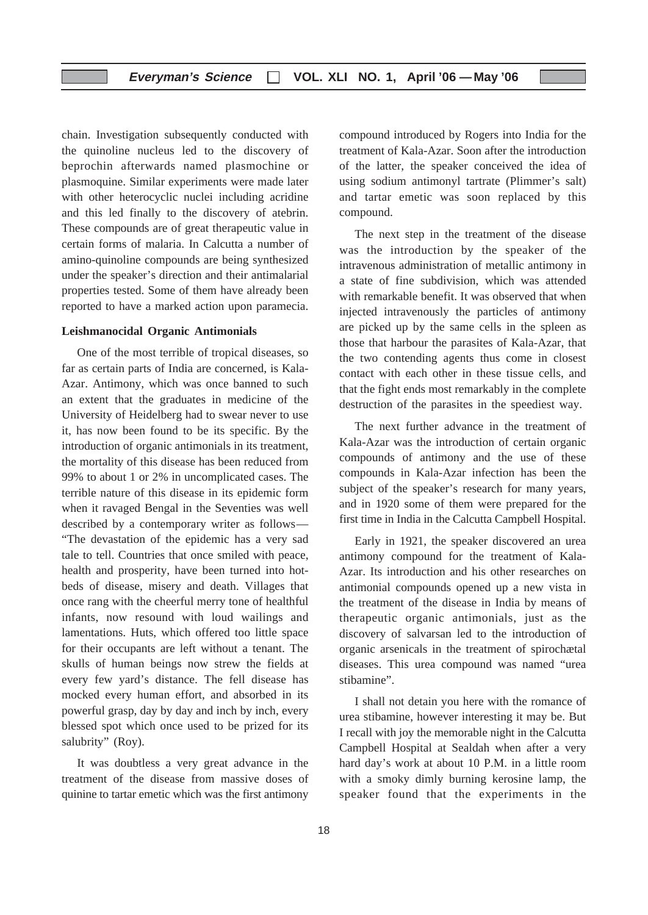chain. Investigation subsequently conducted with the quinoline nucleus led to the discovery of beprochin afterwards named plasmochine or plasmoquine. Similar experiments were made later with other heterocyclic nuclei including acridine and this led finally to the discovery of atebrin. These compounds are of great therapeutic value in certain forms of malaria. In Calcutta a number of amino-quinoline compounds are being synthesized under the speaker's direction and their antimalarial properties tested. Some of them have already been reported to have a marked action upon paramecia.

#### **Leishmanocidal Organic Antimonials**

One of the most terrible of tropical diseases, so far as certain parts of India are concerned, is Kala-Azar. Antimony, which was once banned to such an extent that the graduates in medicine of the University of Heidelberg had to swear never to use it, has now been found to be its specific. By the introduction of organic antimonials in its treatment, the mortality of this disease has been reduced from 99% to about 1 or 2% in uncomplicated cases. The terrible nature of this disease in its epidemic form when it ravaged Bengal in the Seventies was well described by a contemporary writer as follows— "The devastation of the epidemic has a very sad tale to tell. Countries that once smiled with peace, health and prosperity, have been turned into hotbeds of disease, misery and death. Villages that once rang with the cheerful merry tone of healthful infants, now resound with loud wailings and lamentations. Huts, which offered too little space for their occupants are left without a tenant. The skulls of human beings now strew the fields at every few yard's distance. The fell disease has mocked every human effort, and absorbed in its powerful grasp, day by day and inch by inch, every blessed spot which once used to be prized for its salubrity" (Roy).

It was doubtless a very great advance in the treatment of the disease from massive doses of quinine to tartar emetic which was the first antimony

compound introduced by Rogers into India for the treatment of Kala-Azar. Soon after the introduction of the latter, the speaker conceived the idea of using sodium antimonyl tartrate (Plimmer's salt) and tartar emetic was soon replaced by this compound.

The next step in the treatment of the disease was the introduction by the speaker of the intravenous administration of metallic antimony in a state of fine subdivision, which was attended with remarkable benefit. It was observed that when injected intravenously the particles of antimony are picked up by the same cells in the spleen as those that harbour the parasites of Kala-Azar, that the two contending agents thus come in closest contact with each other in these tissue cells, and that the fight ends most remarkably in the complete destruction of the parasites in the speediest way.

The next further advance in the treatment of Kala-Azar was the introduction of certain organic compounds of antimony and the use of these compounds in Kala-Azar infection has been the subject of the speaker's research for many years, and in 1920 some of them were prepared for the first time in India in the Calcutta Campbell Hospital.

Early in 1921, the speaker discovered an urea antimony compound for the treatment of Kala-Azar. Its introduction and his other researches on antimonial compounds opened up a new vista in the treatment of the disease in India by means of therapeutic organic antimonials, just as the discovery of salvarsan led to the introduction of organic arsenicals in the treatment of spirochætal diseases. This urea compound was named "urea stibamine".

I shall not detain you here with the romance of urea stibamine, however interesting it may be. But I recall with joy the memorable night in the Calcutta Campbell Hospital at Sealdah when after a very hard day's work at about 10 P.M. in a little room with a smoky dimly burning kerosine lamp, the speaker found that the experiments in the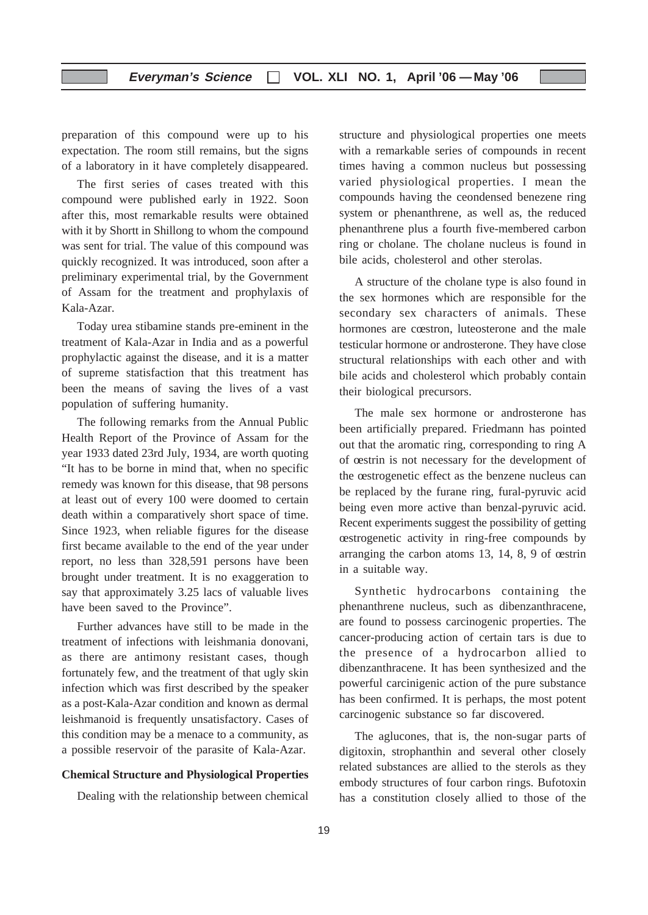preparation of this compound were up to his expectation. The room still remains, but the signs of a laboratory in it have completely disappeared.

The first series of cases treated with this compound were published early in 1922. Soon after this, most remarkable results were obtained with it by Shortt in Shillong to whom the compound was sent for trial. The value of this compound was quickly recognized. It was introduced, soon after a preliminary experimental trial, by the Government of Assam for the treatment and prophylaxis of Kala-Azar.

Today urea stibamine stands pre-eminent in the treatment of Kala-Azar in India and as a powerful prophylactic against the disease, and it is a matter of supreme statisfaction that this treatment has been the means of saving the lives of a vast population of suffering humanity.

The following remarks from the Annual Public Health Report of the Province of Assam for the year 1933 dated 23rd July, 1934, are worth quoting "It has to be borne in mind that, when no specific remedy was known for this disease, that 98 persons at least out of every 100 were doomed to certain death within a comparatively short space of time. Since 1923, when reliable figures for the disease first became available to the end of the year under report, no less than 328,591 persons have been brought under treatment. It is no exaggeration to say that approximately 3.25 lacs of valuable lives have been saved to the Province".

Further advances have still to be made in the treatment of infections with leishmania donovani, as there are antimony resistant cases, though fortunately few, and the treatment of that ugly skin infection which was first described by the speaker as a post-Kala-Azar condition and known as dermal leishmanoid is frequently unsatisfactory. Cases of this condition may be a menace to a community, as a possible reservoir of the parasite of Kala-Azar.

#### **Chemical Structure and Physiological Properties**

Dealing with the relationship between chemical

structure and physiological properties one meets with a remarkable series of compounds in recent times having a common nucleus but possessing varied physiological properties. I mean the compounds having the ceondensed benezene ring system or phenanthrene, as well as, the reduced phenanthrene plus a fourth five-membered carbon ring or cholane. The cholane nucleus is found in bile acids, cholesterol and other sterolas.

A structure of the cholane type is also found in the sex hormones which are responsible for the secondary sex characters of animals. These hormones are coestron, luteosterone and the male testicular hormone or androsterone. They have close structural relationships with each other and with bile acids and cholesterol which probably contain their biological precursors.

The male sex hormone or androsterone has been artificially prepared. Friedmann has pointed out that the aromatic ring, corresponding to ring A of oestrin is not necessary for the development of the oestrogenetic effect as the benzene nucleus can be replaced by the furane ring, fural-pyruvic acid being even more active than benzal-pyruvic acid. Recent experiments suggest the possibility of getting oestrogenetic activity in ring-free compounds by arranging the carbon atoms 13, 14, 8, 9 of oestrin in a suitable way.

Synthetic hydrocarbons containing the phenanthrene nucleus, such as dibenzanthracene, are found to possess carcinogenic properties. The cancer-producing action of certain tars is due to the presence of a hydrocarbon allied to dibenzanthracene. It has been synthesized and the powerful carcinigenic action of the pure substance has been confirmed. It is perhaps, the most potent carcinogenic substance so far discovered.

The aglucones, that is, the non-sugar parts of digitoxin, strophanthin and several other closely related substances are allied to the sterols as they embody structures of four carbon rings. Bufotoxin has a constitution closely allied to those of the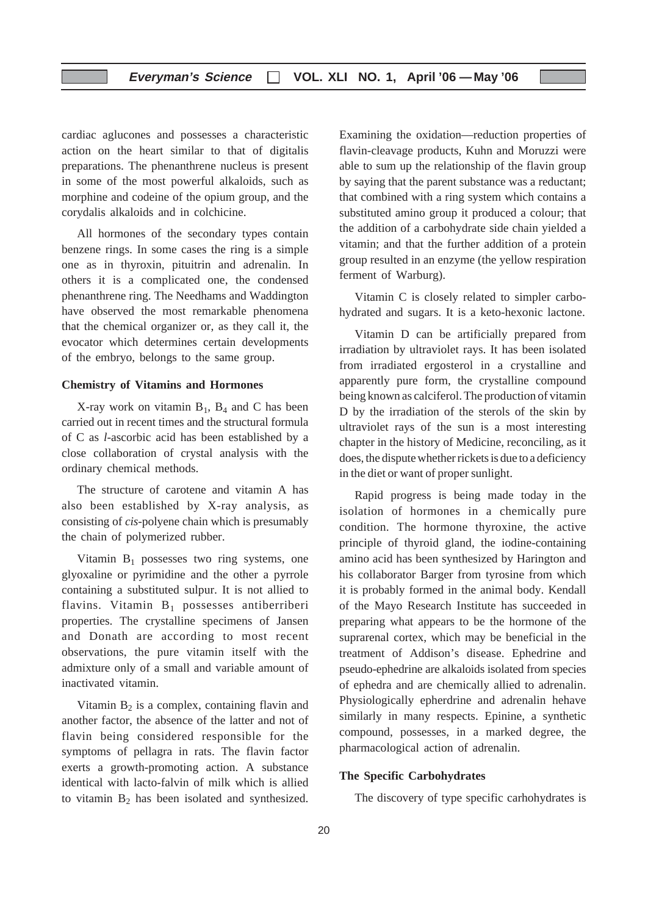cardiac aglucones and possesses a characteristic action on the heart similar to that of digitalis preparations. The phenanthrene nucleus is present in some of the most powerful alkaloids, such as morphine and codeine of the opium group, and the corydalis alkaloids and in colchicine.

All hormones of the secondary types contain benzene rings. In some cases the ring is a simple one as in thyroxin, pituitrin and adrenalin. In others it is a complicated one, the condensed phenanthrene ring. The Needhams and Waddington have observed the most remarkable phenomena that the chemical organizer or, as they call it, the evocator which determines certain developments of the embryo, belongs to the same group.

#### **Chemistry of Vitamins and Hormones**

X-ray work on vitamin  $B_1$ ,  $B_4$  and C has been carried out in recent times and the structural formula of C as *l*-ascorbic acid has been established by a close collaboration of crystal analysis with the ordinary chemical methods.

The structure of carotene and vitamin A has also been established by X-ray analysis, as consisting of *cis-*polyene chain which is presumably the chain of polymerized rubber.

Vitamin  $B_1$  possesses two ring systems, one glyoxaline or pyrimidine and the other a pyrrole containing a substituted sulpur. It is not allied to flavins. Vitamin  $B_1$  possesses antiberriberi properties. The crystalline specimens of Jansen and Donath are according to most recent observations, the pure vitamin itself with the admixture only of a small and variable amount of inactivated vitamin.

Vitamin  $B_2$  is a complex, containing flavin and another factor, the absence of the latter and not of flavin being considered responsible for the symptoms of pellagra in rats. The flavin factor exerts a growth-promoting action. A substance identical with lacto-falvin of milk which is allied to vitamin  $B_2$  has been isolated and synthesized. Examining the oxidation—reduction properties of flavin-cleavage products, Kuhn and Moruzzi were able to sum up the relationship of the flavin group by saying that the parent substance was a reductant; that combined with a ring system which contains a substituted amino group it produced a colour; that the addition of a carbohydrate side chain yielded a vitamin; and that the further addition of a protein group resulted in an enzyme (the yellow respiration ferment of Warburg).

Vitamin C is closely related to simpler carbohydrated and sugars. It is a keto-hexonic lactone.

Vitamin D can be artificially prepared from irradiation by ultraviolet rays. It has been isolated from irradiated ergosterol in a crystalline and apparently pure form, the crystalline compound being known as calciferol. The production of vitamin D by the irradiation of the sterols of the skin by ultraviolet rays of the sun is a most interesting chapter in the history of Medicine, reconciling, as it does, the dispute whether rickets is due to a deficiency in the diet or want of proper sunlight.

Rapid progress is being made today in the isolation of hormones in a chemically pure condition. The hormone thyroxine, the active principle of thyroid gland, the iodine-containing amino acid has been synthesized by Harington and his collaborator Barger from tyrosine from which it is probably formed in the animal body. Kendall of the Mayo Research Institute has succeeded in preparing what appears to be the hormone of the suprarenal cortex, which may be beneficial in the treatment of Addison's disease. Ephedrine and pseudo-ephedrine are alkaloids isolated from species of ephedra and are chemically allied to adrenalin. Physiologically epherdrine and adrenalin hehave similarly in many respects. Epinine, a synthetic compound, possesses, in a marked degree, the pharmacological action of adrenalin.

#### **The Specific Carbohydrates**

The discovery of type specific carhohydrates is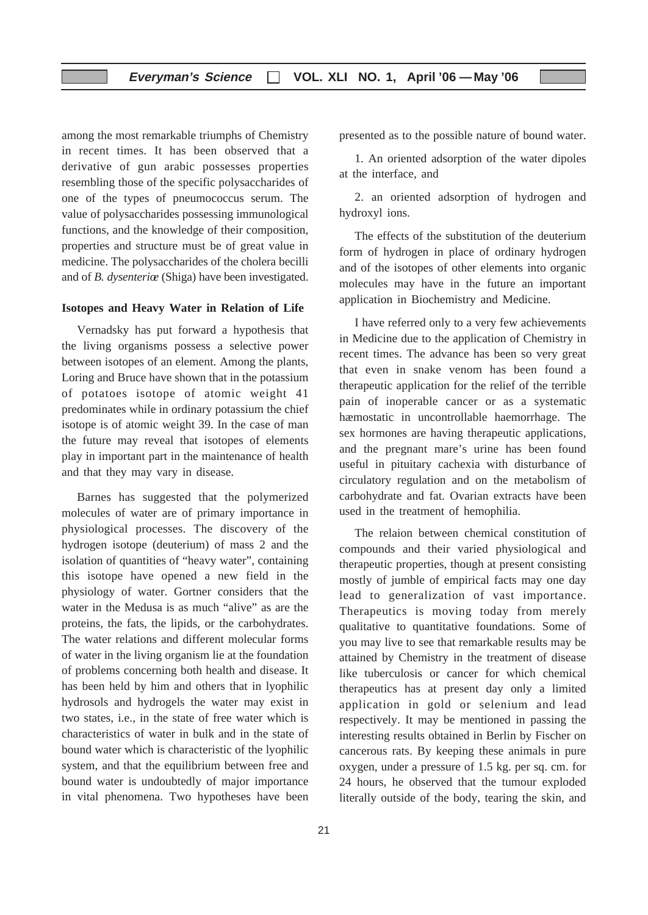among the most remarkable triumphs of Chemistry in recent times. It has been observed that a derivative of gun arabic possesses properties resembling those of the specific polysaccharides of one of the types of pneumococcus serum. The value of polysaccharides possessing immunological functions, and the knowledge of their composition, properties and structure must be of great value in medicine. The polysaccharides of the cholera becilli and of *B. dysenterioe* (Shiga) have been investigated.

#### **Isotopes and Heavy Water in Relation of Life**

Vernadsky has put forward a hypothesis that the living organisms possess a selective power between isotopes of an element. Among the plants, Loring and Bruce have shown that in the potassium of potatoes isotope of atomic weight 41 predominates while in ordinary potassium the chief isotope is of atomic weight 39. In the case of man the future may reveal that isotopes of elements play in important part in the maintenance of health and that they may vary in disease.

Barnes has suggested that the polymerized molecules of water are of primary importance in physiological processes. The discovery of the hydrogen isotope (deuterium) of mass 2 and the isolation of quantities of "heavy water", containing this isotope have opened a new field in the physiology of water. Gortner considers that the water in the Medusa is as much "alive" as are the proteins, the fats, the lipids, or the carbohydrates. The water relations and different molecular forms of water in the living organism lie at the foundation of problems concerning both health and disease. It has been held by him and others that in lyophilic hydrosols and hydrogels the water may exist in two states, i.e., in the state of free water which is characteristics of water in bulk and in the state of bound water which is characteristic of the lyophilic system, and that the equilibrium between free and bound water is undoubtedly of major importance in vital phenomena. Two hypotheses have been

21

presented as to the possible nature of bound water.

1. An oriented adsorption of the water dipoles at the interface, and

2. an oriented adsorption of hydrogen and hydroxyl ions.

The effects of the substitution of the deuterium form of hydrogen in place of ordinary hydrogen and of the isotopes of other elements into organic molecules may have in the future an important application in Biochemistry and Medicine.

I have referred only to a very few achievements in Medicine due to the application of Chemistry in recent times. The advance has been so very great that even in snake venom has been found a therapeutic application for the relief of the terrible pain of inoperable cancer or as a systematic hæmostatic in uncontrollable haemorrhage. The sex hormones are having therapeutic applications, and the pregnant mare's urine has been found useful in pituitary cachexia with disturbance of circulatory regulation and on the metabolism of carbohydrate and fat. Ovarian extracts have been used in the treatment of hemophilia.

The relaion between chemical constitution of compounds and their varied physiological and therapeutic properties, though at present consisting mostly of jumble of empirical facts may one day lead to generalization of vast importance. Therapeutics is moving today from merely qualitative to quantitative foundations. Some of you may live to see that remarkable results may be attained by Chemistry in the treatment of disease like tuberculosis or cancer for which chemical therapeutics has at present day only a limited application in gold or selenium and lead respectively. It may be mentioned in passing the interesting results obtained in Berlin by Fischer on cancerous rats. By keeping these animals in pure oxygen, under a pressure of 1.5 kg. per sq. cm. for 24 hours, he observed that the tumour exploded literally outside of the body, tearing the skin, and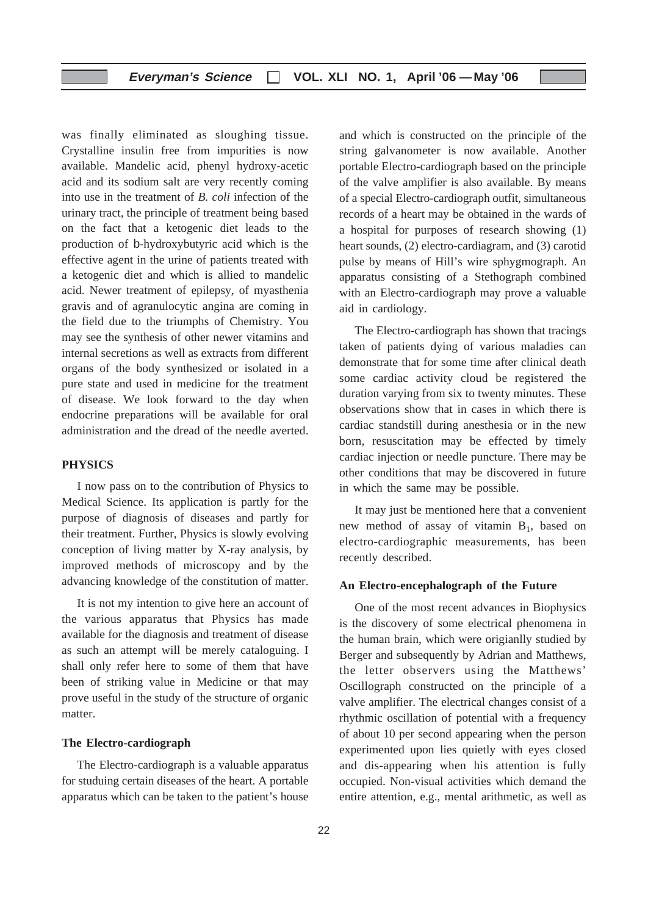was finally eliminated as sloughing tissue. Crystalline insulin free from impurities is now available. Mandelic acid, phenyl hydroxy-acetic acid and its sodium salt are very recently coming into use in the treatment of *B. coli* infection of the urinary tract, the principle of treatment being based on the fact that a ketogenic diet leads to the production of b-hydroxybutyric acid which is the effective agent in the urine of patients treated with a ketogenic diet and which is allied to mandelic acid. Newer treatment of epilepsy, of myasthenia gravis and of agranulocytic angina are coming in the field due to the triumphs of Chemistry. You may see the synthesis of other newer vitamins and internal secretions as well as extracts from different organs of the body synthesized or isolated in a pure state and used in medicine for the treatment of disease. We look forward to the day when endocrine preparations will be available for oral administration and the dread of the needle averted.

#### **PHYSICS**

I now pass on to the contribution of Physics to Medical Science. Its application is partly for the purpose of diagnosis of diseases and partly for their treatment. Further, Physics is slowly evolving conception of living matter by X-ray analysis, by improved methods of microscopy and by the advancing knowledge of the constitution of matter.

It is not my intention to give here an account of the various apparatus that Physics has made available for the diagnosis and treatment of disease as such an attempt will be merely cataloguing. I shall only refer here to some of them that have been of striking value in Medicine or that may prove useful in the study of the structure of organic matter.

#### **The Electro-cardiograph**

The Electro-cardiograph is a valuable apparatus for studuing certain diseases of the heart. A portable apparatus which can be taken to the patient's house and which is constructed on the principle of the string galvanometer is now available. Another portable Electro-cardiograph based on the principle of the valve amplifier is also available. By means of a special Electro-cardiograph outfit, simultaneous records of a heart may be obtained in the wards of a hospital for purposes of research showing (1) heart sounds, (2) electro-cardiagram, and (3) carotid pulse by means of Hill's wire sphygmograph. An apparatus consisting of a Stethograph combined with an Electro-cardiograph may prove a valuable aid in cardiology.

The Electro-cardiograph has shown that tracings taken of patients dying of various maladies can demonstrate that for some time after clinical death some cardiac activity cloud be registered the duration varying from six to twenty minutes. These observations show that in cases in which there is cardiac standstill during anesthesia or in the new born, resuscitation may be effected by timely cardiac injection or needle puncture. There may be other conditions that may be discovered in future in which the same may be possible.

It may just be mentioned here that a convenient new method of assay of vitamin  $B_1$ , based on electro-cardiographic measurements, has been recently described.

#### **An Electro-encephalograph of the Future**

One of the most recent advances in Biophysics is the discovery of some electrical phenomena in the human brain, which were origianlly studied by Berger and subsequently by Adrian and Matthews, the letter observers using the Matthews' Oscillograph constructed on the principle of a valve amplifier. The electrical changes consist of a rhythmic oscillation of potential with a frequency of about 10 per second appearing when the person experimented upon lies quietly with eyes closed and dis-appearing when his attention is fully occupied. Non-visual activities which demand the entire attention, e.g., mental arithmetic, as well as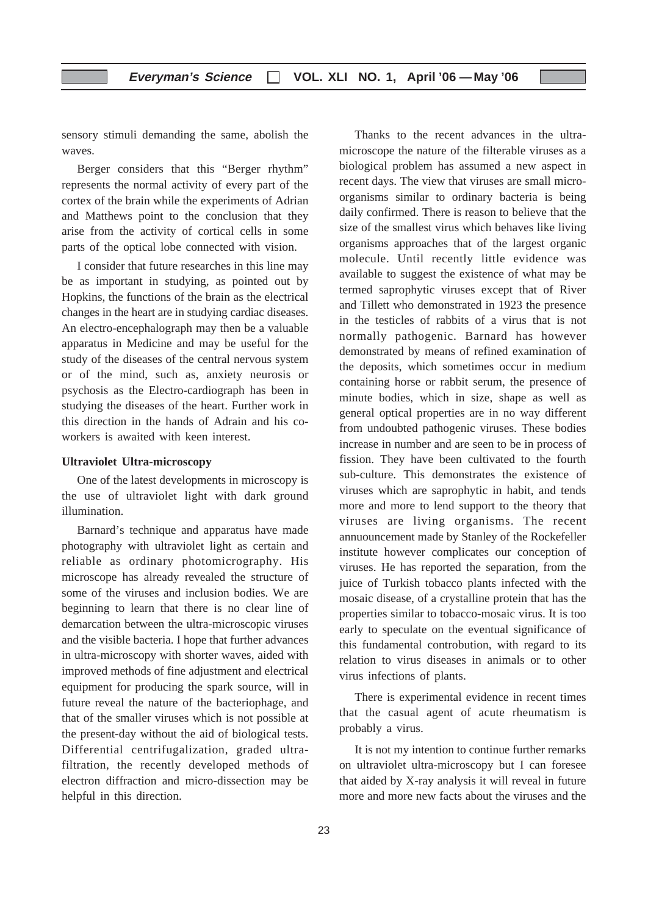sensory stimuli demanding the same, abolish the waves.

Berger considers that this "Berger rhythm" represents the normal activity of every part of the cortex of the brain while the experiments of Adrian and Matthews point to the conclusion that they arise from the activity of cortical cells in some parts of the optical lobe connected with vision.

I consider that future researches in this line may be as important in studying, as pointed out by Hopkins, the functions of the brain as the electrical changes in the heart are in studying cardiac diseases. An electro-encephalograph may then be a valuable apparatus in Medicine and may be useful for the study of the diseases of the central nervous system or of the mind, such as, anxiety neurosis or psychosis as the Electro-cardiograph has been in studying the diseases of the heart. Further work in this direction in the hands of Adrain and his coworkers is awaited with keen interest.

#### **Ultraviolet Ultra-microscopy**

One of the latest developments in microscopy is the use of ultraviolet light with dark ground illumination.

Barnard's technique and apparatus have made photography with ultraviolet light as certain and reliable as ordinary photomicrography. His microscope has already revealed the structure of some of the viruses and inclusion bodies. We are beginning to learn that there is no clear line of demarcation between the ultra-microscopic viruses and the visible bacteria. I hope that further advances in ultra-microscopy with shorter waves, aided with improved methods of fine adjustment and electrical equipment for producing the spark source, will in future reveal the nature of the bacteriophage, and that of the smaller viruses which is not possible at the present-day without the aid of biological tests. Differential centrifugalization, graded ultrafiltration, the recently developed methods of electron diffraction and micro-dissection may be helpful in this direction.

Thanks to the recent advances in the ultramicroscope the nature of the filterable viruses as a biological problem has assumed a new aspect in recent days. The view that viruses are small microorganisms similar to ordinary bacteria is being daily confirmed. There is reason to believe that the size of the smallest virus which behaves like living organisms approaches that of the largest organic molecule. Until recently little evidence was available to suggest the existence of what may be termed saprophytic viruses except that of River and Tillett who demonstrated in 1923 the presence in the testicles of rabbits of a virus that is not normally pathogenic. Barnard has however demonstrated by means of refined examination of the deposits, which sometimes occur in medium containing horse or rabbit serum, the presence of minute bodies, which in size, shape as well as general optical properties are in no way different from undoubted pathogenic viruses. These bodies increase in number and are seen to be in process of fission. They have been cultivated to the fourth sub-culture. This demonstrates the existence of viruses which are saprophytic in habit, and tends more and more to lend support to the theory that viruses are living organisms. The recent annuouncement made by Stanley of the Rockefeller institute however complicates our conception of viruses. He has reported the separation, from the juice of Turkish tobacco plants infected with the mosaic disease, of a crystalline protein that has the properties similar to tobacco-mosaic virus. It is too early to speculate on the eventual significance of this fundamental controbution, with regard to its relation to virus diseases in animals or to other virus infections of plants.

There is experimental evidence in recent times that the casual agent of acute rheumatism is probably a virus.

It is not my intention to continue further remarks on ultraviolet ultra-microscopy but I can foresee that aided by X-ray analysis it will reveal in future more and more new facts about the viruses and the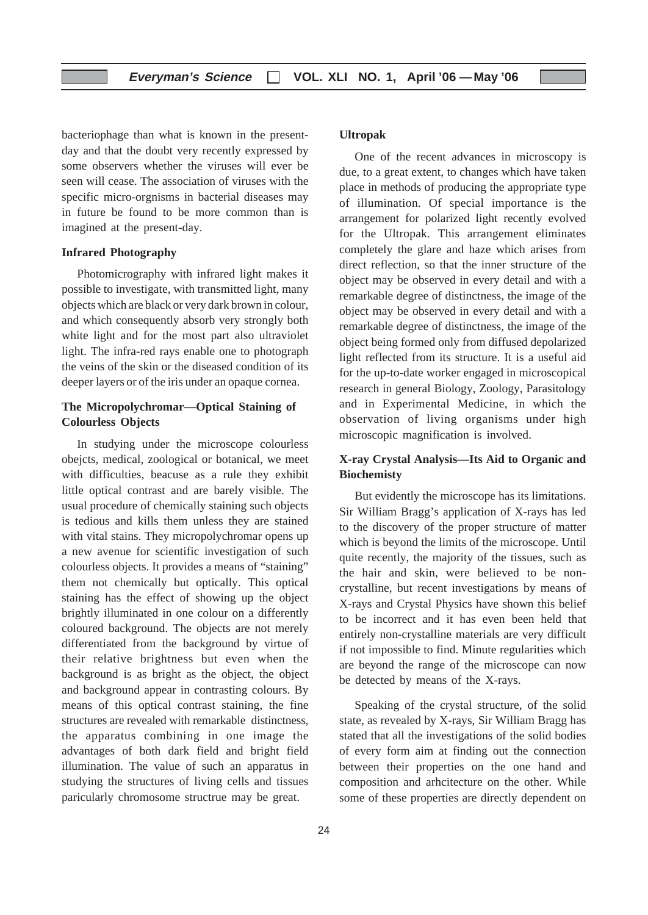bacteriophage than what is known in the presentday and that the doubt very recently expressed by some observers whether the viruses will ever be seen will cease. The association of viruses with the specific micro-orgnisms in bacterial diseases may in future be found to be more common than is imagined at the present-day.

#### **Infrared Photography**

Photomicrography with infrared light makes it possible to investigate, with transmitted light, many objects which are black or very dark brown in colour, and which consequently absorb very strongly both white light and for the most part also ultraviolet light. The infra-red rays enable one to photograph the veins of the skin or the diseased condition of its deeper layers or of the iris under an opaque cornea.

#### **The Micropolychromar—Optical Staining of Colourless Objects**

In studying under the microscope colourless obejcts, medical, zoological or botanical, we meet with difficulties, beacuse as a rule they exhibit little optical contrast and are barely visible. The usual procedure of chemically staining such objects is tedious and kills them unless they are stained with vital stains. They micropolychromar opens up a new avenue for scientific investigation of such colourless objects. It provides a means of "staining" them not chemically but optically. This optical staining has the effect of showing up the object brightly illuminated in one colour on a differently coloured background. The objects are not merely differentiated from the background by virtue of their relative brightness but even when the background is as bright as the object, the object and background appear in contrasting colours. By means of this optical contrast staining, the fine structures are revealed with remarkable distinctness, the apparatus combining in one image the advantages of both dark field and bright field illumination. The value of such an apparatus in studying the structures of living cells and tissues paricularly chromosome structrue may be great.

#### **Ultropak**

One of the recent advances in microscopy is due, to a great extent, to changes which have taken place in methods of producing the appropriate type of illumination. Of special importance is the arrangement for polarized light recently evolved for the Ultropak. This arrangement eliminates completely the glare and haze which arises from direct reflection, so that the inner structure of the object may be observed in every detail and with a remarkable degree of distinctness, the image of the object may be observed in every detail and with a remarkable degree of distinctness, the image of the object being formed only from diffused depolarized light reflected from its structure. It is a useful aid for the up-to-date worker engaged in microscopical research in general Biology, Zoology, Parasitology and in Experimental Medicine, in which the observation of living organisms under high microscopic magnification is involved.

#### **X-ray Crystal Analysis—Its Aid to Organic and Biochemisty**

But evidently the microscope has its limitations. Sir William Bragg's application of X-rays has led to the discovery of the proper structure of matter which is beyond the limits of the microscope. Until quite recently, the majority of the tissues, such as the hair and skin, were believed to be noncrystalline, but recent investigations by means of X-rays and Crystal Physics have shown this belief to be incorrect and it has even been held that entirely non-crystalline materials are very difficult if not impossible to find. Minute regularities which are beyond the range of the microscope can now be detected by means of the X-rays.

Speaking of the crystal structure, of the solid state, as revealed by X-rays, Sir William Bragg has stated that all the investigations of the solid bodies of every form aim at finding out the connection between their properties on the one hand and composition and arhcitecture on the other. While some of these properties are directly dependent on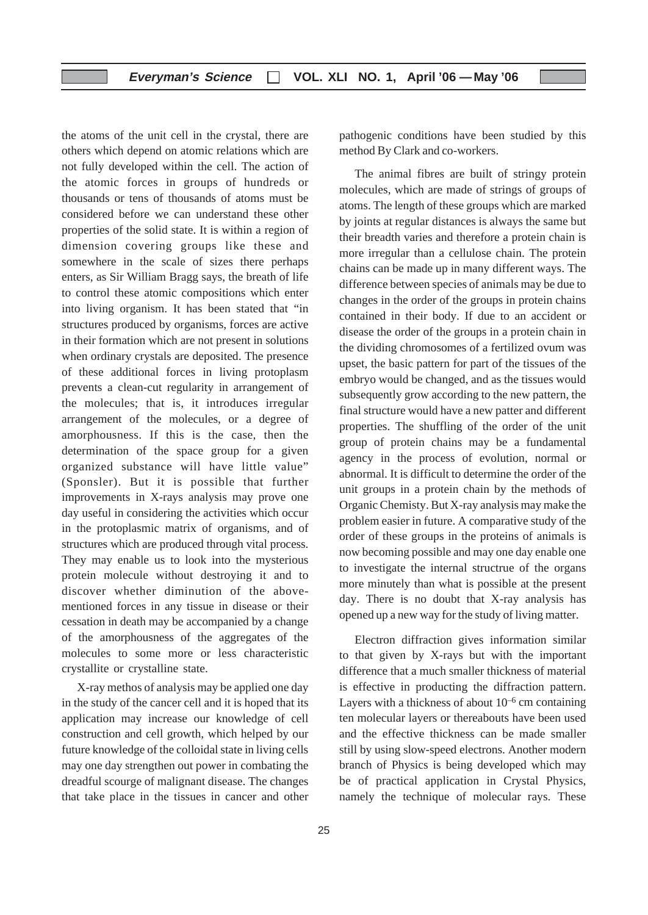the atoms of the unit cell in the crystal, there are others which depend on atomic relations which are not fully developed within the cell. The action of the atomic forces in groups of hundreds or thousands or tens of thousands of atoms must be considered before we can understand these other properties of the solid state. It is within a region of dimension covering groups like these and somewhere in the scale of sizes there perhaps enters, as Sir William Bragg says, the breath of life to control these atomic compositions which enter into living organism. It has been stated that "in structures produced by organisms, forces are active in their formation which are not present in solutions when ordinary crystals are deposited. The presence of these additional forces in living protoplasm prevents a clean-cut regularity in arrangement of the molecules; that is, it introduces irregular arrangement of the molecules, or a degree of amorphousness. If this is the case, then the determination of the space group for a given organized substance will have little value" (Sponsler). But it is possible that further improvements in X-rays analysis may prove one day useful in considering the activities which occur in the protoplasmic matrix of organisms, and of structures which are produced through vital process. They may enable us to look into the mysterious protein molecule without destroying it and to discover whether diminution of the abovementioned forces in any tissue in disease or their cessation in death may be accompanied by a change of the amorphousness of the aggregates of the molecules to some more or less characteristic crystallite or crystalline state.

X-ray methos of analysis may be applied one day in the study of the cancer cell and it is hoped that its application may increase our knowledge of cell construction and cell growth, which helped by our future knowledge of the colloidal state in living cells may one day strengthen out power in combating the dreadful scourge of malignant disease. The changes that take place in the tissues in cancer and other

25

pathogenic conditions have been studied by this method By Clark and co-workers.

The animal fibres are built of stringy protein molecules, which are made of strings of groups of atoms. The length of these groups which are marked by joints at regular distances is always the same but their breadth varies and therefore a protein chain is more irregular than a cellulose chain. The protein chains can be made up in many different ways. The difference between species of animals may be due to changes in the order of the groups in protein chains contained in their body. If due to an accident or disease the order of the groups in a protein chain in the dividing chromosomes of a fertilized ovum was upset, the basic pattern for part of the tissues of the embryo would be changed, and as the tissues would subsequently grow according to the new pattern, the final structure would have a new patter and different properties. The shuffling of the order of the unit group of protein chains may be a fundamental agency in the process of evolution, normal or abnormal. It is difficult to determine the order of the unit groups in a protein chain by the methods of Organic Chemisty. But X-ray analysis may make the problem easier in future. A comparative study of the order of these groups in the proteins of animals is now becoming possible and may one day enable one to investigate the internal structrue of the organs more minutely than what is possible at the present day. There is no doubt that X-ray analysis has opened up a new way for the study of living matter.

Electron diffraction gives information similar to that given by X-rays but with the important difference that a much smaller thickness of material is effective in producting the diffraction pattern. Layers with a thickness of about  $10^{-6}$  cm containing ten molecular layers or thereabouts have been used and the effective thickness can be made smaller still by using slow-speed electrons. Another modern branch of Physics is being developed which may be of practical application in Crystal Physics, namely the technique of molecular rays. These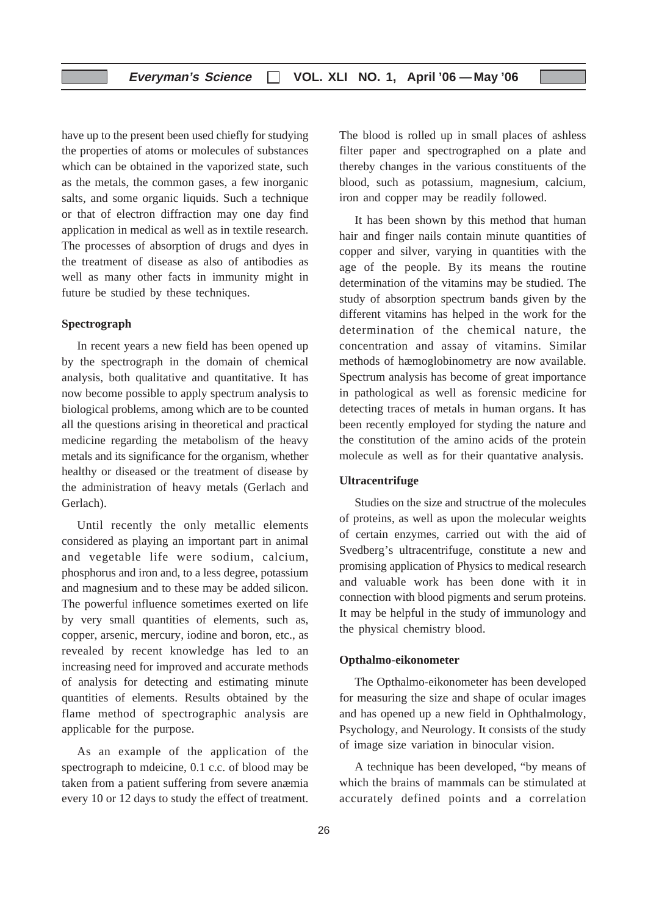have up to the present been used chiefly for studying the properties of atoms or molecules of substances which can be obtained in the vaporized state, such as the metals, the common gases, a few inorganic salts, and some organic liquids. Such a technique or that of electron diffraction may one day find application in medical as well as in textile research. The processes of absorption of drugs and dyes in the treatment of disease as also of antibodies as well as many other facts in immunity might in future be studied by these techniques.

#### **Spectrograph**

In recent years a new field has been opened up by the spectrograph in the domain of chemical analysis, both qualitative and quantitative. It has now become possible to apply spectrum analysis to biological problems, among which are to be counted all the questions arising in theoretical and practical medicine regarding the metabolism of the heavy metals and its significance for the organism, whether healthy or diseased or the treatment of disease by the administration of heavy metals (Gerlach and Gerlach).

Until recently the only metallic elements considered as playing an important part in animal and vegetable life were sodium, calcium, phosphorus and iron and, to a less degree, potassium and magnesium and to these may be added silicon. The powerful influence sometimes exerted on life by very small quantities of elements, such as, copper, arsenic, mercury, iodine and boron, etc., as revealed by recent knowledge has led to an increasing need for improved and accurate methods of analysis for detecting and estimating minute quantities of elements. Results obtained by the flame method of spectrographic analysis are applicable for the purpose.

As an example of the application of the spectrograph to mdeicine, 0.1 c.c. of blood may be taken from a patient suffering from severe anæmia every 10 or 12 days to study the effect of treatment.

The blood is rolled up in small places of ashless filter paper and spectrographed on a plate and thereby changes in the various constituents of the blood, such as potassium, magnesium, calcium, iron and copper may be readily followed.

It has been shown by this method that human hair and finger nails contain minute quantities of copper and silver, varying in quantities with the age of the people. By its means the routine determination of the vitamins may be studied. The study of absorption spectrum bands given by the different vitamins has helped in the work for the determination of the chemical nature, the concentration and assay of vitamins. Similar methods of hæmoglobinometry are now available. Spectrum analysis has become of great importance in pathological as well as forensic medicine for detecting traces of metals in human organs. It has been recently employed for styding the nature and the constitution of the amino acids of the protein molecule as well as for their quantative analysis.

#### **Ultracentrifuge**

Studies on the size and structrue of the molecules of proteins, as well as upon the molecular weights of certain enzymes, carried out with the aid of Svedberg's ultracentrifuge, constitute a new and promising application of Physics to medical research and valuable work has been done with it in connection with blood pigments and serum proteins. It may be helpful in the study of immunology and the physical chemistry blood.

#### **Opthalmo-eikonometer**

The Opthalmo-eikonometer has been developed for measuring the size and shape of ocular images and has opened up a new field in Ophthalmology, Psychology, and Neurology. It consists of the study of image size variation in binocular vision.

A technique has been developed, "by means of which the brains of mammals can be stimulated at accurately defined points and a correlation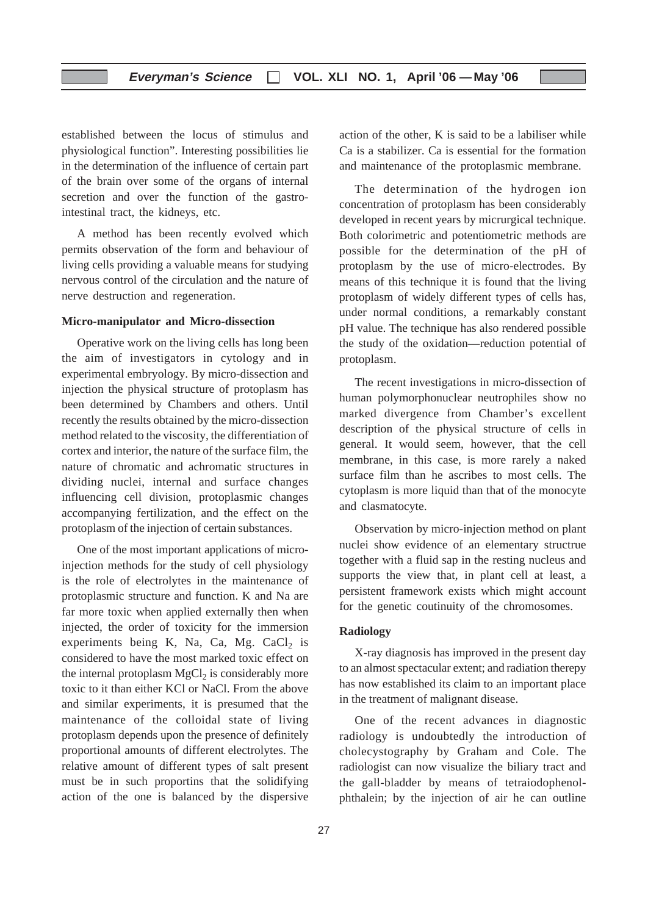established between the locus of stimulus and physiological function". Interesting possibilities lie in the determination of the influence of certain part of the brain over some of the organs of internal secretion and over the function of the gastrointestinal tract, the kidneys, etc.

A method has been recently evolved which permits observation of the form and behaviour of living cells providing a valuable means for studying nervous control of the circulation and the nature of nerve destruction and regeneration.

#### **Micro-manipulator and Micro-dissection**

Operative work on the living cells has long been the aim of investigators in cytology and in experimental embryology. By micro-dissection and injection the physical structure of protoplasm has been determined by Chambers and others. Until recently the results obtained by the micro-dissection method related to the viscosity, the differentiation of cortex and interior, the nature of the surface film, the nature of chromatic and achromatic structures in dividing nuclei, internal and surface changes influencing cell division, protoplasmic changes accompanying fertilization, and the effect on the protoplasm of the injection of certain substances.

One of the most important applications of microinjection methods for the study of cell physiology is the role of electrolytes in the maintenance of protoplasmic structure and function. K and Na are far more toxic when applied externally then when injected, the order of toxicity for the immersion experiments being K, Na, Ca, Mg. CaCl $_2$  is considered to have the most marked toxic effect on the internal protoplasm  $MgCl<sub>2</sub>$  is considerably more toxic to it than either KCl or NaCl. From the above and similar experiments, it is presumed that the maintenance of the colloidal state of living protoplasm depends upon the presence of definitely proportional amounts of different electrolytes. The relative amount of different types of salt present must be in such proportins that the solidifying action of the one is balanced by the dispersive

action of the other, K is said to be a labiliser while Ca is a stabilizer. Ca is essential for the formation and maintenance of the protoplasmic membrane.

The determination of the hydrogen ion concentration of protoplasm has been considerably developed in recent years by micrurgical technique. Both colorimetric and potentiometric methods are possible for the determination of the pH of protoplasm by the use of micro-electrodes. By means of this technique it is found that the living protoplasm of widely different types of cells has, under normal conditions, a remarkably constant pH value. The technique has also rendered possible the study of the oxidation—reduction potential of protoplasm.

The recent investigations in micro-dissection of human polymorphonuclear neutrophiles show no marked divergence from Chamber's excellent description of the physical structure of cells in general. It would seem, however, that the cell membrane, in this case, is more rarely a naked surface film than he ascribes to most cells. The cytoplasm is more liquid than that of the monocyte and clasmatocyte.

Observation by micro-injection method on plant nuclei show evidence of an elementary structrue together with a fluid sap in the resting nucleus and supports the view that, in plant cell at least, a persistent framework exists which might account for the genetic coutinuity of the chromosomes.

#### **Radiology**

X-ray diagnosis has improved in the present day to an almost spectacular extent; and radiation therepy has now established its claim to an important place in the treatment of malignant disease.

One of the recent advances in diagnostic radiology is undoubtedly the introduction of cholecystography by Graham and Cole. The radiologist can now visualize the biliary tract and the gall-bladder by means of tetraiodophenolphthalein; by the injection of air he can outline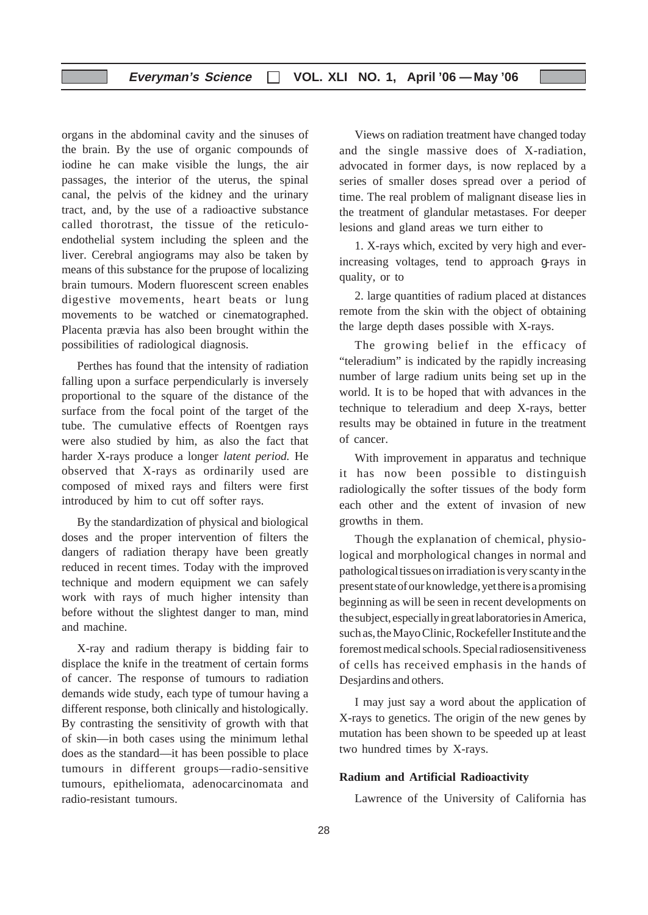organs in the abdominal cavity and the sinuses of the brain. By the use of organic compounds of iodine he can make visible the lungs, the air passages, the interior of the uterus, the spinal canal, the pelvis of the kidney and the urinary tract, and, by the use of a radioactive substance called thorotrast, the tissue of the reticuloendothelial system including the spleen and the liver. Cerebral angiograms may also be taken by means of this substance for the prupose of localizing brain tumours. Modern fluorescent screen enables digestive movements, heart beats or lung movements to be watched or cinematographed. Placenta prævia has also been brought within the possibilities of radiological diagnosis.

Perthes has found that the intensity of radiation falling upon a surface perpendicularly is inversely proportional to the square of the distance of the surface from the focal point of the target of the tube. The cumulative effects of Roentgen rays were also studied by him, as also the fact that harder X-rays produce a longer *latent period.* He observed that X-rays as ordinarily used are composed of mixed rays and filters were first introduced by him to cut off softer rays.

By the standardization of physical and biological doses and the proper intervention of filters the dangers of radiation therapy have been greatly reduced in recent times. Today with the improved technique and modern equipment we can safely work with rays of much higher intensity than before without the slightest danger to man, mind and machine.

X-ray and radium therapy is bidding fair to displace the knife in the treatment of certain forms of cancer. The response of tumours to radiation demands wide study, each type of tumour having a different response, both clinically and histologically. By contrasting the sensitivity of growth with that of skin—in both cases using the minimum lethal does as the standard—it has been possible to place tumours in different groups—radio-sensitive tumours, epitheliomata, adenocarcinomata and radio-resistant tumours.

Views on radiation treatment have changed today and the single massive does of X-radiation, advocated in former days, is now replaced by a series of smaller doses spread over a period of time. The real problem of malignant disease lies in the treatment of glandular metastases. For deeper lesions and gland areas we turn either to

1. X-rays which, excited by very high and everincreasing voltages, tend to approach g-rays in quality, or to

2. large quantities of radium placed at distances remote from the skin with the object of obtaining the large depth dases possible with X-rays.

The growing belief in the efficacy of "teleradium" is indicated by the rapidly increasing number of large radium units being set up in the world. It is to be hoped that with advances in the technique to teleradium and deep X-rays, better results may be obtained in future in the treatment of cancer.

With improvement in apparatus and technique it has now been possible to distinguish radiologically the softer tissues of the body form each other and the extent of invasion of new growths in them.

Though the explanation of chemical, physiological and morphological changes in normal and pathological tissues on irradiation is very scanty in the present state of our knowledge, yet there is a promising beginning as will be seen in recent developments on the subject, especially in great laboratories in America, such as, the Mayo Clinic, Rockefeller Institute and the foremost medical schools. Special radiosensitiveness of cells has received emphasis in the hands of Desjardins and others.

I may just say a word about the application of X-rays to genetics. The origin of the new genes by mutation has been shown to be speeded up at least two hundred times by X-rays.

#### **Radium and Artificial Radioactivity**

Lawrence of the University of California has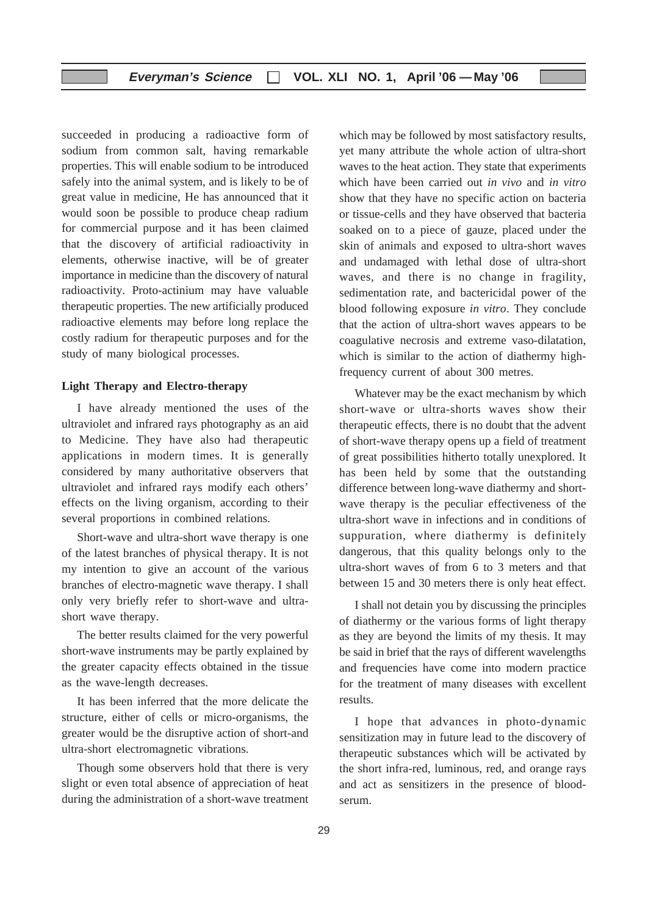succeeded in producing a radioactive form of sodium from common salt, having remarkable properties. This will enable sodium to be introduced safely into the animal system, and is likely to be of great value in medicine, He has announced that it would soon be possible to produce cheap radium for commercial purpose and it has been claimed that the discovery of artificial radioactivity in elements, otherwise inactive, will be of greater importance in medicine than the discovery of natural radioactivity. Proto-actinium may have valuable therapeutic properties. The new artificially produced radioactive elements may before long replace the costly radium for therapeutic purposes and for the study of many biological processes.

#### **Light Therapy and Electro-therapy**

I have already mentioned the uses of the ultraviolet and infrared rays photography as an aid to Medicine. They have also had therapeutic applications in modern times. It is generally considered by many authoritative observers that ultraviolet and infrared rays modify each others' effects on the living organism, according to their several proportions in combined relations.

Short-wave and ultra-short wave therapy is one of the latest branches of physical therapy. It is not my intention to give an account of the various branches of electro-magnetic wave therapy. I shall only very briefly refer to short-wave and ultrashort wave therapy.

The better results claimed for the very powerful short-wave instruments may be partly explained by the greater capacity effects obtained in the tissue as the wave-length decreases.

It has been inferred that the more delicate the structure, either of cells or micro-organisms, the greater would be the disruptive action of short-and ultra-short electromagnetic vibrations.

Though some observers hold that there is very slight or even total absence of appreciation of heat during the administration of a short-wave treatment

which may be followed by most satisfactory results, yet many attribute the whole action of ultra-short waves to the heat action. They state that experiments which have been carried out *in vivo* and *in vitro* show that they have no specific action on bacteria or tissue-cells and they have observed that bacteria soaked on to a piece of gauze, placed under the skin of animals and exposed to ultra-short waves and undamaged with lethal dose of ultra-short waves, and there is no change in fragility, sedimentation rate, and bactericidal power of the blood following exposure *in vitro*. They conclude that the action of ultra-short waves appears to be coagulative necrosis and extreme vaso-dilatation, which is similar to the action of diathermy highfrequency current of about 300 metres.

Whatever may be the exact mechanism by which short-wave or ultra-shorts waves show their therapeutic effects, there is no doubt that the advent of short-wave therapy opens up a field of treatment of great possibilities hitherto totally unexplored. It has been held by some that the outstanding difference between long-wave diathermy and shortwave therapy is the peculiar effectiveness of the ultra-short wave in infections and in conditions of suppuration, where diathermy is definitely dangerous, that this quality belongs only to the ultra-short waves of from 6 to 3 meters and that between 15 and 30 meters there is only heat effect.

I shall not detain you by discussing the principles of diathermy or the various forms of light therapy as they are beyond the limits of my thesis. It may be said in brief that the rays of different wavelengths and frequencies have come into modern practice for the treatment of many diseases with excellent results.

I hope that advances in photo-dynamic sensitization may in future lead to the discovery of therapeutic substances which will be activated by the short infra-red, luminous, red, and orange rays and act as sensitizers in the presence of bloodserum.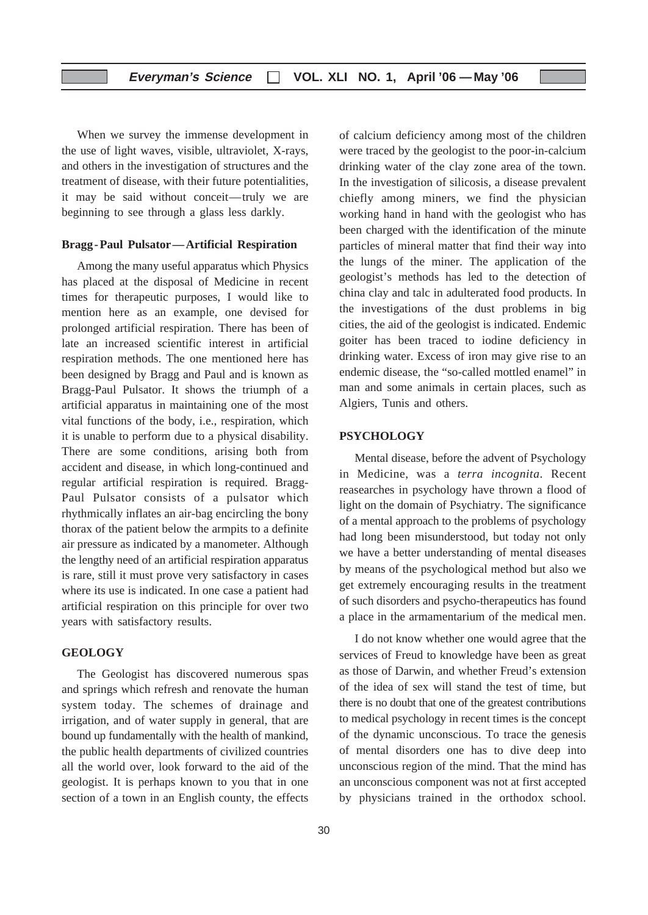When we survey the immense development in the use of light waves, visible, ultraviolet, X-rays, and others in the investigation of structures and the treatment of disease, with their future potentialities, it may be said without conceit—truly we are beginning to see through a glass less darkly.

#### **Bragg-Paul Pulsator—Artificial Respiration**

Among the many useful apparatus which Physics has placed at the disposal of Medicine in recent times for therapeutic purposes, I would like to mention here as an example, one devised for prolonged artificial respiration. There has been of late an increased scientific interest in artificial respiration methods. The one mentioned here has been designed by Bragg and Paul and is known as Bragg-Paul Pulsator. It shows the triumph of a artificial apparatus in maintaining one of the most vital functions of the body, i.e., respiration, which it is unable to perform due to a physical disability. There are some conditions, arising both from accident and disease, in which long-continued and regular artificial respiration is required. Bragg-Paul Pulsator consists of a pulsator which rhythmically inflates an air-bag encircling the bony thorax of the patient below the armpits to a definite air pressure as indicated by a manometer. Although the lengthy need of an artificial respiration apparatus is rare, still it must prove very satisfactory in cases where its use is indicated. In one case a patient had artificial respiration on this principle for over two years with satisfactory results.

#### **GEOLOGY**

The Geologist has discovered numerous spas and springs which refresh and renovate the human system today. The schemes of drainage and irrigation, and of water supply in general, that are bound up fundamentally with the health of mankind, the public health departments of civilized countries all the world over, look forward to the aid of the geologist. It is perhaps known to you that in one section of a town in an English county, the effects of calcium deficiency among most of the children were traced by the geologist to the poor-in-calcium drinking water of the clay zone area of the town. In the investigation of silicosis, a disease prevalent chiefly among miners, we find the physician working hand in hand with the geologist who has been charged with the identification of the minute particles of mineral matter that find their way into the lungs of the miner. The application of the geologist's methods has led to the detection of china clay and talc in adulterated food products. In the investigations of the dust problems in big cities, the aid of the geologist is indicated. Endemic goiter has been traced to iodine deficiency in drinking water. Excess of iron may give rise to an endemic disease, the "so-called mottled enamel" in man and some animals in certain places, such as Algiers, Tunis and others.

#### **PSYCHOLOGY**

Mental disease, before the advent of Psychology in Medicine, was a *terra incognita*. Recent reasearches in psychology have thrown a flood of light on the domain of Psychiatry. The significance of a mental approach to the problems of psychology had long been misunderstood, but today not only we have a better understanding of mental diseases by means of the psychological method but also we get extremely encouraging results in the treatment of such disorders and psycho-therapeutics has found a place in the armamentarium of the medical men.

I do not know whether one would agree that the services of Freud to knowledge have been as great as those of Darwin, and whether Freud's extension of the idea of sex will stand the test of time, but there is no doubt that one of the greatest contributions to medical psychology in recent times is the concept of the dynamic unconscious. To trace the genesis of mental disorders one has to dive deep into unconscious region of the mind. That the mind has an unconscious component was not at first accepted by physicians trained in the orthodox school.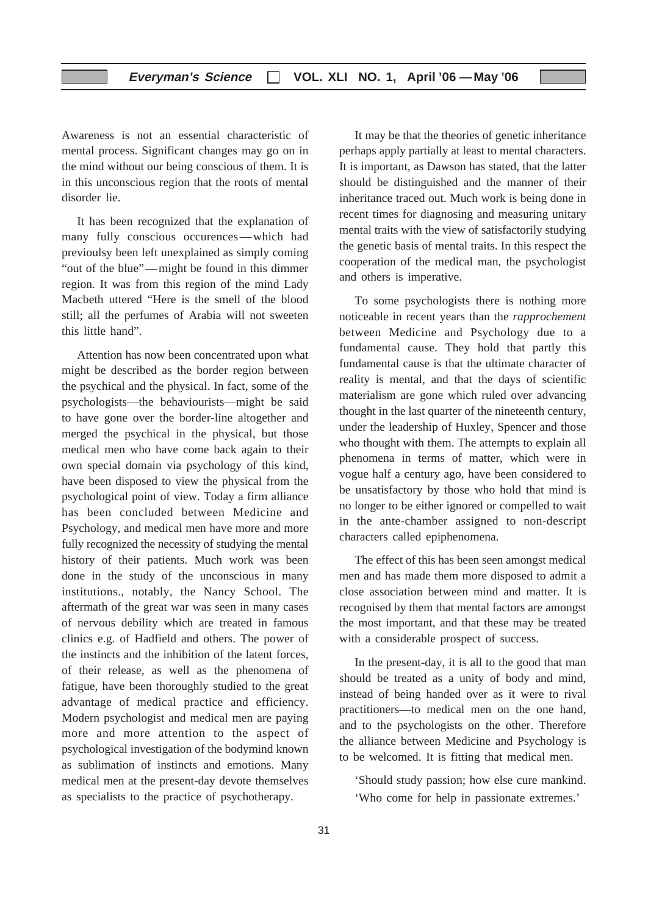Awareness is not an essential characteristic of mental process. Significant changes may go on in the mind without our being conscious of them. It is in this unconscious region that the roots of mental disorder lie.

It has been recognized that the explanation of many fully conscious occurences —which had previoulsy been left unexplained as simply coming "out of the blue"—might be found in this dimmer region. It was from this region of the mind Lady Macbeth uttered "Here is the smell of the blood still; all the perfumes of Arabia will not sweeten this little hand".

Attention has now been concentrated upon what might be described as the border region between the psychical and the physical. In fact, some of the psychologists—the behaviourists—might be said to have gone over the border-line altogether and merged the psychical in the physical, but those medical men who have come back again to their own special domain via psychology of this kind, have been disposed to view the physical from the psychological point of view. Today a firm alliance has been concluded between Medicine and Psychology, and medical men have more and more fully recognized the necessity of studying the mental history of their patients. Much work was been done in the study of the unconscious in many institutions., notably, the Nancy School. The aftermath of the great war was seen in many cases of nervous debility which are treated in famous clinics e.g. of Hadfield and others. The power of the instincts and the inhibition of the latent forces, of their release, as well as the phenomena of fatigue, have been thoroughly studied to the great advantage of medical practice and efficiency. Modern psychologist and medical men are paying more and more attention to the aspect of psychological investigation of the bodymind known as sublimation of instincts and emotions. Many medical men at the present-day devote themselves as specialists to the practice of psychotherapy.

It may be that the theories of genetic inheritance perhaps apply partially at least to mental characters. It is important, as Dawson has stated, that the latter should be distinguished and the manner of their inheritance traced out. Much work is being done in recent times for diagnosing and measuring unitary mental traits with the view of satisfactorily studying the genetic basis of mental traits. In this respect the cooperation of the medical man, the psychologist and others is imperative.

To some psychologists there is nothing more noticeable in recent years than the *rapprochement* between Medicine and Psychology due to a fundamental cause. They hold that partly this fundamental cause is that the ultimate character of reality is mental, and that the days of scientific materialism are gone which ruled over advancing thought in the last quarter of the nineteenth century, under the leadership of Huxley, Spencer and those who thought with them. The attempts to explain all phenomena in terms of matter, which were in vogue half a century ago, have been considered to be unsatisfactory by those who hold that mind is no longer to be either ignored or compelled to wait in the ante-chamber assigned to non-descript characters called epiphenomena.

The effect of this has been seen amongst medical men and has made them more disposed to admit a close association between mind and matter. It is recognised by them that mental factors are amongst the most important, and that these may be treated with a considerable prospect of success.

In the present-day, it is all to the good that man should be treated as a unity of body and mind, instead of being handed over as it were to rival practitioners—to medical men on the one hand, and to the psychologists on the other. Therefore the alliance between Medicine and Psychology is to be welcomed. It is fitting that medical men.

'Should study passion; how else cure mankind. 'Who come for help in passionate extremes.'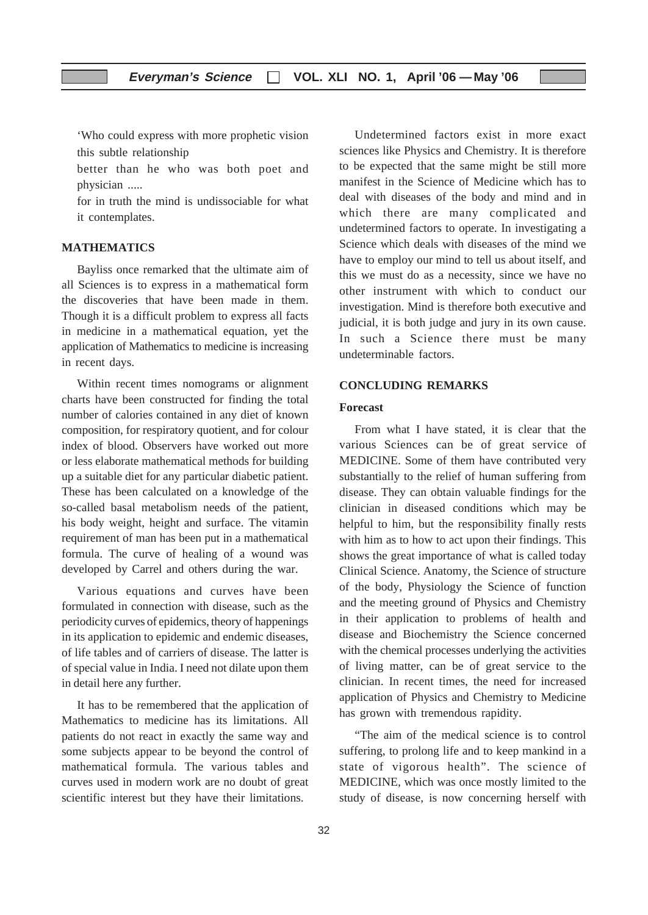'Who could express with more prophetic vision this subtle relationship

better than he who was both poet and physician .....

for in truth the mind is undissociable for what it contemplates.

#### **MATHEMATICS**

Bayliss once remarked that the ultimate aim of all Sciences is to express in a mathematical form the discoveries that have been made in them. Though it is a difficult problem to express all facts in medicine in a mathematical equation, yet the application of Mathematics to medicine is increasing in recent days.

Within recent times nomograms or alignment charts have been constructed for finding the total number of calories contained in any diet of known composition, for respiratory quotient, and for colour index of blood. Observers have worked out more or less elaborate mathematical methods for building up a suitable diet for any particular diabetic patient. These has been calculated on a knowledge of the so-called basal metabolism needs of the patient, his body weight, height and surface. The vitamin requirement of man has been put in a mathematical formula. The curve of healing of a wound was developed by Carrel and others during the war.

Various equations and curves have been formulated in connection with disease, such as the periodicity curves of epidemics, theory of happenings in its application to epidemic and endemic diseases, of life tables and of carriers of disease. The latter is of special value in India. I need not dilate upon them in detail here any further.

It has to be remembered that the application of Mathematics to medicine has its limitations. All patients do not react in exactly the same way and some subjects appear to be beyond the control of mathematical formula. The various tables and curves used in modern work are no doubt of great scientific interest but they have their limitations.

Undetermined factors exist in more exact sciences like Physics and Chemistry. It is therefore to be expected that the same might be still more manifest in the Science of Medicine which has to deal with diseases of the body and mind and in which there are many complicated and undetermined factors to operate. In investigating a Science which deals with diseases of the mind we have to employ our mind to tell us about itself, and this we must do as a necessity, since we have no other instrument with which to conduct our investigation. Mind is therefore both executive and judicial, it is both judge and jury in its own cause. In such a Science there must be many undeterminable factors.

#### **CONCLUDING REMARKS**

#### **Forecast**

From what I have stated, it is clear that the various Sciences can be of great service of MEDICINE. Some of them have contributed very substantially to the relief of human suffering from disease. They can obtain valuable findings for the clinician in diseased conditions which may be helpful to him, but the responsibility finally rests with him as to how to act upon their findings. This shows the great importance of what is called today Clinical Science. Anatomy, the Science of structure of the body, Physiology the Science of function and the meeting ground of Physics and Chemistry in their application to problems of health and disease and Biochemistry the Science concerned with the chemical processes underlying the activities of living matter, can be of great service to the clinician. In recent times, the need for increased application of Physics and Chemistry to Medicine has grown with tremendous rapidity.

"The aim of the medical science is to control suffering, to prolong life and to keep mankind in a state of vigorous health". The science of MEDICINE, which was once mostly limited to the study of disease, is now concerning herself with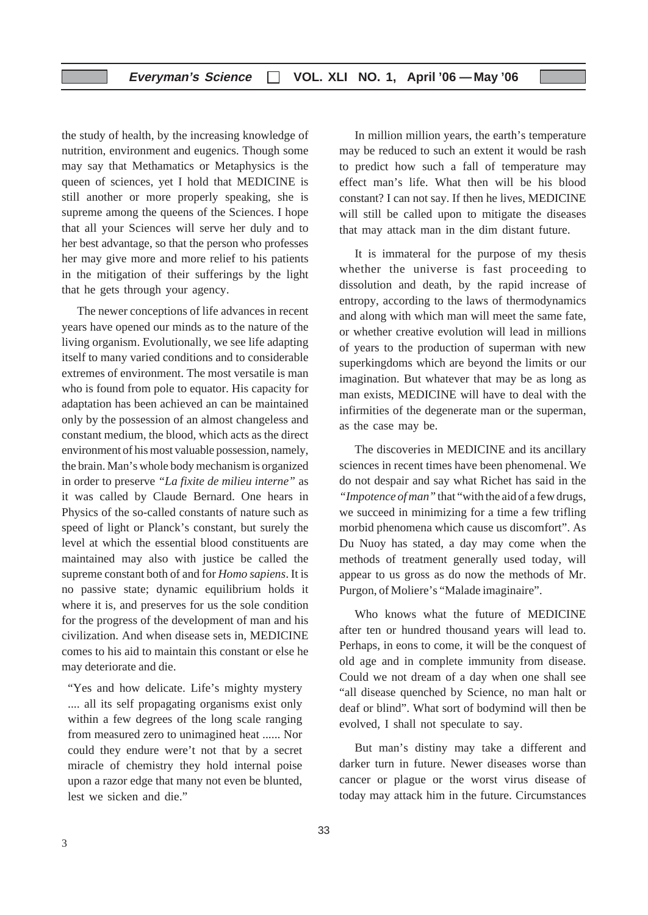the study of health, by the increasing knowledge of nutrition, environment and eugenics. Though some may say that Methamatics or Metaphysics is the queen of sciences, yet I hold that MEDICINE is still another or more properly speaking, she is supreme among the queens of the Sciences. I hope that all your Sciences will serve her duly and to her best advantage, so that the person who professes her may give more and more relief to his patients in the mitigation of their sufferings by the light that he gets through your agency.

The newer conceptions of life advances in recent years have opened our minds as to the nature of the living organism. Evolutionally, we see life adapting itself to many varied conditions and to considerable extremes of environment. The most versatile is man who is found from pole to equator. His capacity for adaptation has been achieved an can be maintained only by the possession of an almost changeless and constant medium, the blood, which acts as the direct environment of his most valuable possession, namely, the brain. Man's whole body mechanism is organized in order to preserve *"La fixite de milieu interne"* as it was called by Claude Bernard. One hears in Physics of the so-called constants of nature such as speed of light or Planck's constant, but surely the level at which the essential blood constituents are maintained may also with justice be called the supreme constant both of and for *Homo sapiens*. It is no passive state; dynamic equilibrium holds it where it is, and preserves for us the sole condition for the progress of the development of man and his civilization. And when disease sets in, MEDICINE comes to his aid to maintain this constant or else he may deteriorate and die.

"Yes and how delicate. Life's mighty mystery .... all its self propagating organisms exist only within a few degrees of the long scale ranging from measured zero to unimagined heat ...... Nor could they endure were't not that by a secret miracle of chemistry they hold internal poise upon a razor edge that many not even be blunted, lest we sicken and die."

In million million years, the earth's temperature may be reduced to such an extent it would be rash to predict how such a fall of temperature may effect man's life. What then will be his blood constant? I can not say. If then he lives, MEDICINE will still be called upon to mitigate the diseases that may attack man in the dim distant future.

It is immateral for the purpose of my thesis whether the universe is fast proceeding to dissolution and death, by the rapid increase of entropy, according to the laws of thermodynamics and along with which man will meet the same fate, or whether creative evolution will lead in millions of years to the production of superman with new superkingdoms which are beyond the limits or our imagination. But whatever that may be as long as man exists, MEDICINE will have to deal with the infirmities of the degenerate man or the superman, as the case may be.

The discoveries in MEDICINE and its ancillary sciences in recent times have been phenomenal. We do not despair and say what Richet has said in the *"Impotence of man"* that "with the aid of a few drugs, we succeed in minimizing for a time a few trifling morbid phenomena which cause us discomfort". As Du Nuoy has stated, a day may come when the methods of treatment generally used today, will appear to us gross as do now the methods of Mr. Purgon, of Moliere's "Malade imaginaire".

Who knows what the future of MEDICINE after ten or hundred thousand years will lead to. Perhaps, in eons to come, it will be the conquest of old age and in complete immunity from disease. Could we not dream of a day when one shall see "all disease quenched by Science, no man halt or deaf or blind". What sort of bodymind will then be evolved, I shall not speculate to say.

But man's distiny may take a different and darker turn in future. Newer diseases worse than cancer or plague or the worst virus disease of today may attack him in the future. Circumstances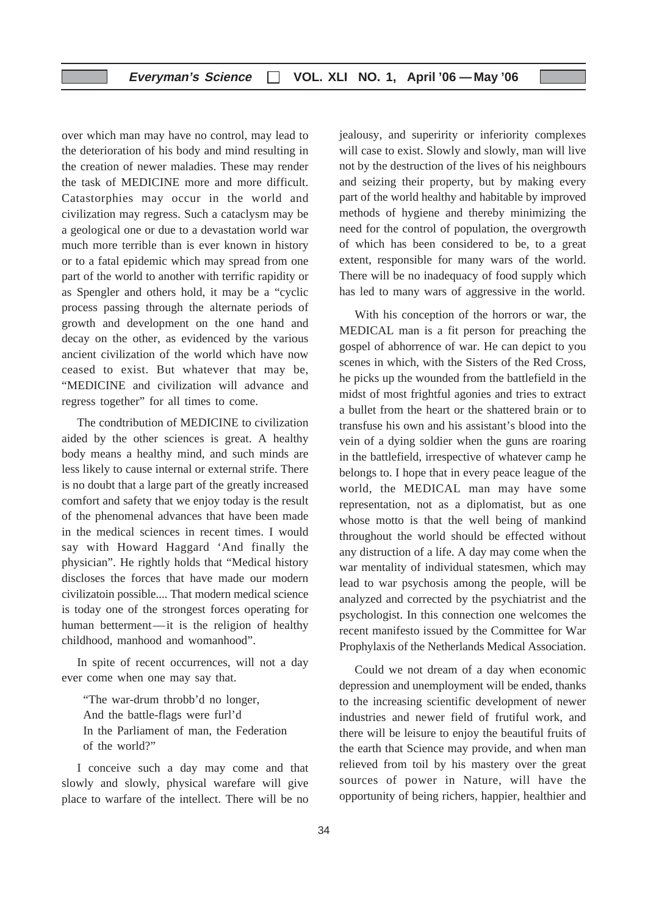over which man may have no control, may lead to the deterioration of his body and mind resulting in the creation of newer maladies. These may render the task of MEDICINE more and more difficult. Catastorphies may occur in the world and civilization may regress. Such a cataclysm may be a geological one or due to a devastation world war much more terrible than is ever known in history or to a fatal epidemic which may spread from one part of the world to another with terrific rapidity or as Spengler and others hold, it may be a "cyclic process passing through the alternate periods of growth and development on the one hand and decay on the other, as evidenced by the various ancient civilization of the world which have now ceased to exist. But whatever that may be, "MEDICINE and civilization will advance and regress together" for all times to come.

The condtribution of MEDICINE to civilization aided by the other sciences is great. A healthy body means a healthy mind, and such minds are less likely to cause internal or external strife. There is no doubt that a large part of the greatly increased comfort and safety that we enjoy today is the result of the phenomenal advances that have been made in the medical sciences in recent times. I would say with Howard Haggard 'And finally the physician". He rightly holds that "Medical history discloses the forces that have made our modern civilizatoin possible.... That modern medical science is today one of the strongest forces operating for human betterment—it is the religion of healthy childhood, manhood and womanhood".

In spite of recent occurrences, will not a day ever come when one may say that.

"The war-drum throbb'd no longer, And the battle-flags were furl'd In the Parliament of man, the Federation of the world?"

I conceive such a day may come and that slowly and slowly, physical warefare will give place to warfare of the intellect. There will be no jealousy, and superirity or inferiority complexes will case to exist. Slowly and slowly, man will live not by the destruction of the lives of his neighbours and seizing their property, but by making every part of the world healthy and habitable by improved methods of hygiene and thereby minimizing the need for the control of population, the overgrowth of which has been considered to be, to a great extent, responsible for many wars of the world. There will be no inadequacy of food supply which has led to many wars of aggressive in the world.

With his conception of the horrors or war, the MEDICAL man is a fit person for preaching the gospel of abhorrence of war. He can depict to you scenes in which, with the Sisters of the Red Cross, he picks up the wounded from the battlefield in the midst of most frightful agonies and tries to extract a bullet from the heart or the shattered brain or to transfuse his own and his assistant's blood into the vein of a dying soldier when the guns are roaring in the battlefield, irrespective of whatever camp he belongs to. I hope that in every peace league of the world, the MEDICAL man may have some representation, not as a diplomatist, but as one whose motto is that the well being of mankind throughout the world should be effected without any distruction of a life. A day may come when the war mentality of individual statesmen, which may lead to war psychosis among the people, will be analyzed and corrected by the psychiatrist and the psychologist. In this connection one welcomes the recent manifesto issued by the Committee for War Prophylaxis of the Netherlands Medical Association.

Could we not dream of a day when economic depression and unemployment will be ended, thanks to the increasing scientific development of newer industries and newer field of frutiful work, and there will be leisure to enjoy the beautiful fruits of the earth that Science may provide, and when man relieved from toil by his mastery over the great sources of power in Nature, will have the opportunity of being richers, happier, healthier and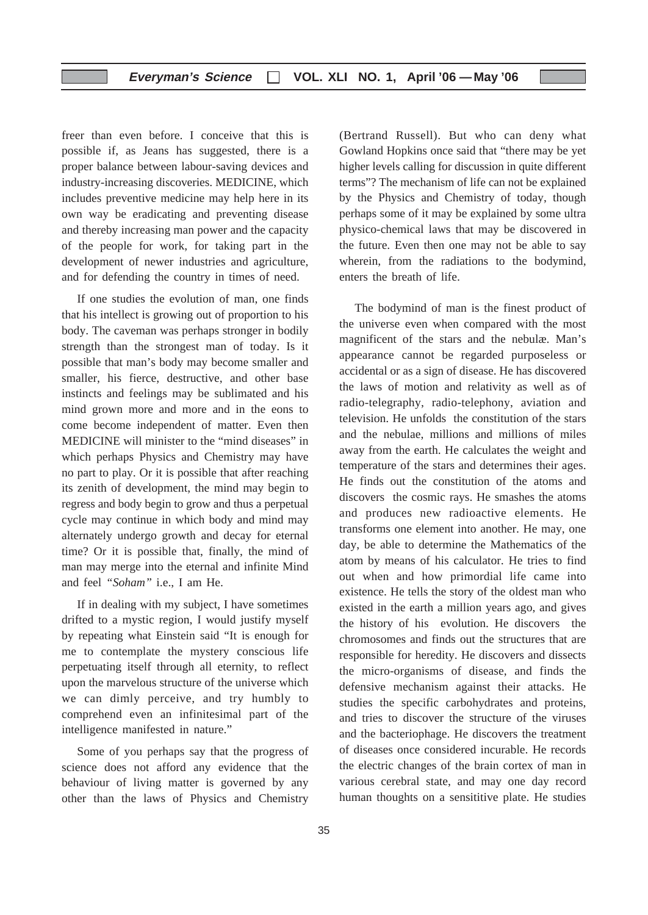freer than even before. I conceive that this is possible if, as Jeans has suggested, there is a proper balance between labour-saving devices and industry-increasing discoveries. MEDICINE, which includes preventive medicine may help here in its own way be eradicating and preventing disease and thereby increasing man power and the capacity of the people for work, for taking part in the development of newer industries and agriculture, and for defending the country in times of need.

If one studies the evolution of man, one finds that his intellect is growing out of proportion to his body. The caveman was perhaps stronger in bodily strength than the strongest man of today. Is it possible that man's body may become smaller and smaller, his fierce, destructive, and other base instincts and feelings may be sublimated and his mind grown more and more and in the eons to come become independent of matter. Even then MEDICINE will minister to the "mind diseases" in which perhaps Physics and Chemistry may have no part to play. Or it is possible that after reaching its zenith of development, the mind may begin to regress and body begin to grow and thus a perpetual cycle may continue in which body and mind may alternately undergo growth and decay for eternal time? Or it is possible that, finally, the mind of man may merge into the eternal and infinite Mind and feel *"Soham"* i.e., I am He.

If in dealing with my subject, I have sometimes drifted to a mystic region, I would justify myself by repeating what Einstein said "It is enough for me to contemplate the mystery conscious life perpetuating itself through all eternity, to reflect upon the marvelous structure of the universe which we can dimly perceive, and try humbly to comprehend even an infinitesimal part of the intelligence manifested in nature."

Some of you perhaps say that the progress of science does not afford any evidence that the behaviour of living matter is governed by any other than the laws of Physics and Chemistry

(Bertrand Russell). But who can deny what Gowland Hopkins once said that "there may be yet higher levels calling for discussion in quite different terms"? The mechanism of life can not be explained by the Physics and Chemistry of today, though perhaps some of it may be explained by some ultra physico-chemical laws that may be discovered in the future. Even then one may not be able to say wherein, from the radiations to the bodymind, enters the breath of life.

The bodymind of man is the finest product of the universe even when compared with the most magnificent of the stars and the nebulæ. Man's appearance cannot be regarded purposeless or accidental or as a sign of disease. He has discovered the laws of motion and relativity as well as of radio-telegraphy, radio-telephony, aviation and television. He unfolds the constitution of the stars and the nebulae, millions and millions of miles away from the earth. He calculates the weight and temperature of the stars and determines their ages. He finds out the constitution of the atoms and discovers the cosmic rays. He smashes the atoms and produces new radioactive elements. He transforms one element into another. He may, one day, be able to determine the Mathematics of the atom by means of his calculator. He tries to find out when and how primordial life came into existence. He tells the story of the oldest man who existed in the earth a million years ago, and gives the history of his evolution. He discovers the chromosomes and finds out the structures that are responsible for heredity. He discovers and dissects the micro-organisms of disease, and finds the defensive mechanism against their attacks. He studies the specific carbohydrates and proteins, and tries to discover the structure of the viruses and the bacteriophage. He discovers the treatment of diseases once considered incurable. He records the electric changes of the brain cortex of man in various cerebral state, and may one day record human thoughts on a sensititive plate. He studies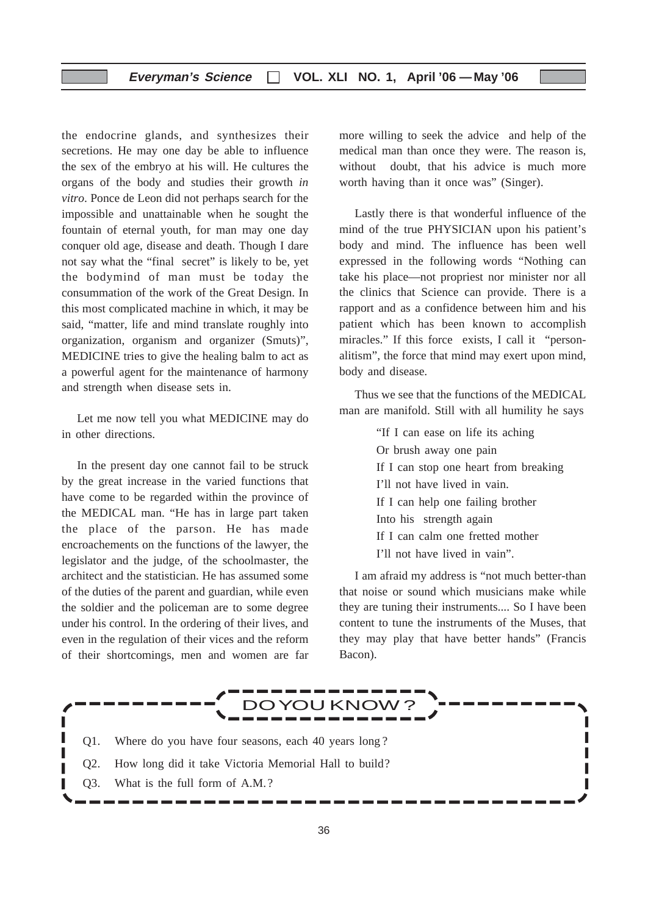the endocrine glands, and synthesizes their secretions. He may one day be able to influence the sex of the embryo at his will. He cultures the organs of the body and studies their growth *in vitro*. Ponce de Leon did not perhaps search for the impossible and unattainable when he sought the fountain of eternal youth, for man may one day conquer old age, disease and death. Though I dare not say what the "final secret" is likely to be, yet the bodymind of man must be today the consummation of the work of the Great Design. In this most complicated machine in which, it may be said, "matter, life and mind translate roughly into organization, organism and organizer (Smuts)", MEDICINE tries to give the healing balm to act as a powerful agent for the maintenance of harmony and strength when disease sets in.

Let me now tell you what MEDICINE may do in other directions.

In the present day one cannot fail to be struck by the great increase in the varied functions that have come to be regarded within the province of the MEDICAL man. "He has in large part taken the place of the parson. He has made encroachements on the functions of the lawyer, the legislator and the judge, of the schoolmaster, the architect and the statistician. He has assumed some of the duties of the parent and guardian, while even the soldier and the policeman are to some degree under his control. In the ordering of their lives, and even in the regulation of their vices and the reform of their shortcomings, men and women are far

more willing to seek the advice and help of the medical man than once they were. The reason is, without doubt, that his advice is much more worth having than it once was" (Singer).

Lastly there is that wonderful influence of the mind of the true PHYSICIAN upon his patient's body and mind. The influence has been well expressed in the following words "Nothing can take his place—not propriest nor minister nor all the clinics that Science can provide. There is a rapport and as a confidence between him and his patient which has been known to accomplish miracles." If this force exists, I call it "personalitism", the force that mind may exert upon mind, body and disease.

Thus we see that the functions of the MEDICAL man are manifold. Still with all humility he says

> "If I can ease on life its aching Or brush away one pain If I can stop one heart from breaking I'll not have lived in vain. If I can help one failing brother Into his strength again If I can calm one fretted mother I'll not have lived in vain".

I am afraid my address is "not much better-than that noise or sound which musicians make while they are tuning their instruments.... So I have been content to tune the instruments of the Muses, that they may play that have better hands" (Francis Bacon).

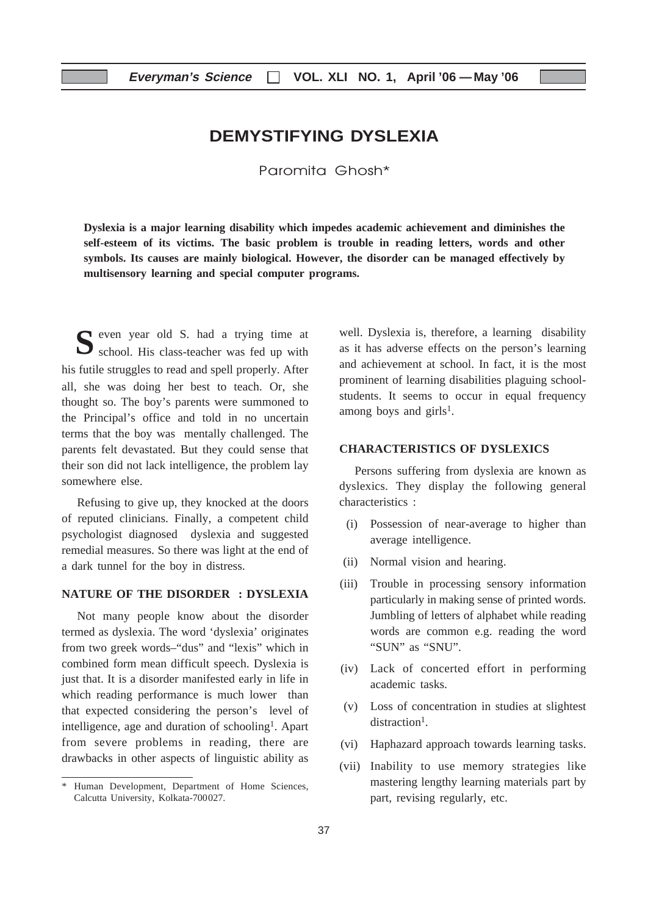# **DEMYSTIFYING DYSLEXIA**

Paromita Ghosh\*

**Dyslexia is a major learning disability which impedes academic achievement and diminishes the self-esteem of its victims. The basic problem is trouble in reading letters, words and other symbols. Its causes are mainly biological. However, the disorder can be managed effectively by multisensory learning and special computer programs.**

Seven year old S. had a trying time at school. His class-teacher was fed up with his futile struggles to read and spell properly. After all, she was doing her best to teach. Or, she thought so. The boy's parents were summoned to the Principal's office and told in no uncertain terms that the boy was mentally challenged. The parents felt devastated. But they could sense that their son did not lack intelligence, the problem lay somewhere else.

Refusing to give up, they knocked at the doors of reputed clinicians. Finally, a competent child psychologist diagnosed dyslexia and suggested remedial measures. So there was light at the end of a dark tunnel for the boy in distress.

## **NATURE OF THE DISORDER : DYSLEXIA**

Not many people know about the disorder termed as dyslexia. The word 'dyslexia' originates from two greek words–"dus" and "lexis" which in combined form mean difficult speech. Dyslexia is just that. It is a disorder manifested early in life in which reading performance is much lower than that expected considering the person's level of intelligence, age and duration of schooling<sup>1</sup>. Apart from severe problems in reading, there are drawbacks in other aspects of linguistic ability as

well. Dyslexia is, therefore, a learning disability as it has adverse effects on the person's learning and achievement at school. In fact, it is the most prominent of learning disabilities plaguing schoolstudents. It seems to occur in equal frequency among boys and girls<sup>1</sup>.

### **CHARACTERISTICS OF DYSLEXICS**

Persons suffering from dyslexia are known as dyslexics. They display the following general characteristics :

- (i) Possession of near-average to higher than average intelligence.
- (ii) Normal vision and hearing.
- (iii) Trouble in processing sensory information particularly in making sense of printed words. Jumbling of letters of alphabet while reading words are common e.g. reading the word "SUN" as "SNU".
- (iv) Lack of concerted effort in performing academic tasks.
- (v) Loss of concentration in studies at slightest distraction<sup>1</sup>.
- (vi) Haphazard approach towards learning tasks.
- (vii) Inability to use memory strategies like mastering lengthy learning materials part by part, revising regularly, etc.

<sup>\*</sup> Human Development, Department of Home Sciences, Calcutta University, Kolkata-700027.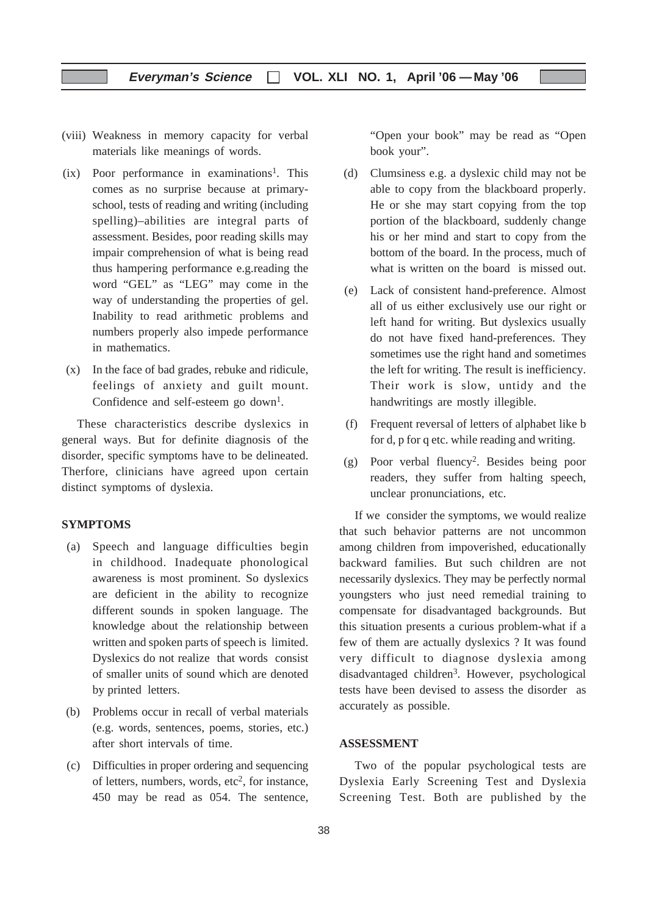- (viii) Weakness in memory capacity for verbal materials like meanings of words.
- $(ix)$  Poor performance in examinations<sup>1</sup>. This comes as no surprise because at primaryschool, tests of reading and writing (including spelling)–abilities are integral parts of assessment. Besides, poor reading skills may impair comprehension of what is being read thus hampering performance e.g.reading the word "GEL" as "LEG" may come in the way of understanding the properties of gel. Inability to read arithmetic problems and numbers properly also impede performance in mathematics.
- (x) In the face of bad grades, rebuke and ridicule, feelings of anxiety and guilt mount. Confidence and self-esteem go down<sup>1</sup>.

These characteristics describe dyslexics in general ways. But for definite diagnosis of the disorder, specific symptoms have to be delineated. Therfore, clinicians have agreed upon certain distinct symptoms of dyslexia.

### **SYMPTOMS**

- (a) Speech and language difficulties begin in childhood. Inadequate phonological awareness is most prominent. So dyslexics are deficient in the ability to recognize different sounds in spoken language. The knowledge about the relationship between written and spoken parts of speech is limited. Dyslexics do not realize that words consist of smaller units of sound which are denoted by printed letters.
- (b) Problems occur in recall of verbal materials (e.g. words, sentences, poems, stories, etc.) after short intervals of time.
- (c) Difficulties in proper ordering and sequencing of letters, numbers, words, etc<sup>2</sup>, for instance, 450 may be read as 054. The sentence,

"Open your book" may be read as "Open book your".

- (d) Clumsiness e.g. a dyslexic child may not be able to copy from the blackboard properly. He or she may start copying from the top portion of the blackboard, suddenly change his or her mind and start to copy from the bottom of the board. In the process, much of what is written on the board is missed out.
- (e) Lack of consistent hand-preference. Almost all of us either exclusively use our right or left hand for writing. But dyslexics usually do not have fixed hand-preferences. They sometimes use the right hand and sometimes the left for writing. The result is inefficiency. Their work is slow, untidy and the handwritings are mostly illegible.
- (f) Frequent reversal of letters of alphabet like b for d, p for q etc. while reading and writing.
- (g) Poor verbal fluency2. Besides being poor readers, they suffer from halting speech, unclear pronunciations, etc.

If we consider the symptoms, we would realize that such behavior patterns are not uncommon among children from impoverished, educationally backward families. But such children are not necessarily dyslexics. They may be perfectly normal youngsters who just need remedial training to compensate for disadvantaged backgrounds. But this situation presents a curious problem-what if a few of them are actually dyslexics ? It was found very difficult to diagnose dyslexia among disadvantaged children3. However, psychological tests have been devised to assess the disorder as accurately as possible.

### **ASSESSMENT**

Two of the popular psychological tests are Dyslexia Early Screening Test and Dyslexia Screening Test. Both are published by the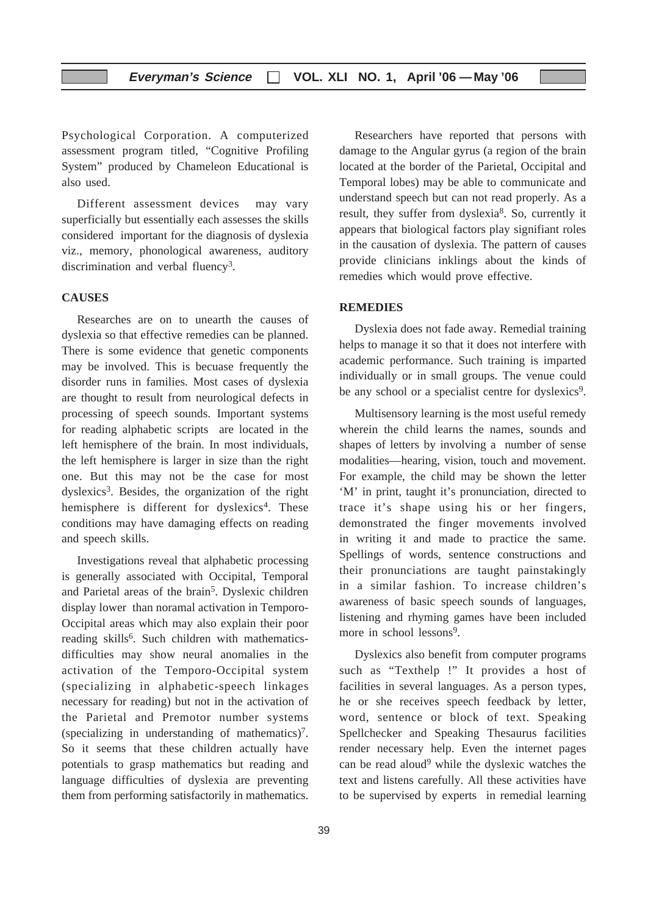Psychological Corporation. A computerized assessment program titled, "Cognitive Profiling System" produced by Chameleon Educational is also used.

Different assessment devices may vary superficially but essentially each assesses the skills considered important for the diagnosis of dyslexia viz., memory, phonological awareness, auditory discrimination and verbal fluency<sup>3</sup>.

### **CAUSES**

Researches are on to unearth the causes of dyslexia so that effective remedies can be planned. There is some evidence that genetic components may be involved. This is becuase frequently the disorder runs in families. Most cases of dyslexia are thought to result from neurological defects in processing of speech sounds. Important systems for reading alphabetic scripts are located in the left hemisphere of the brain. In most individuals, the left hemisphere is larger in size than the right one. But this may not be the case for most dyslexics3. Besides, the organization of the right hemisphere is different for dyslexics<sup>4</sup>. These conditions may have damaging effects on reading and speech skills.

Investigations reveal that alphabetic processing is generally associated with Occipital, Temporal and Parietal areas of the brain<sup>5</sup>. Dyslexic children display lower than noramal activation in Temporo-Occipital areas which may also explain their poor reading skills<sup>6</sup>. Such children with mathematicsdifficulties may show neural anomalies in the activation of the Temporo-Occipital system (specializing in alphabetic-speech linkages necessary for reading) but not in the activation of the Parietal and Premotor number systems (specializing in understanding of mathematics)7. So it seems that these children actually have potentials to grasp mathematics but reading and language difficulties of dyslexia are preventing them from performing satisfactorily in mathematics.

Researchers have reported that persons with damage to the Angular gyrus (a region of the brain located at the border of the Parietal, Occipital and Temporal lobes) may be able to communicate and understand speech but can not read properly. As a result, they suffer from dyslexia8. So, currently it appears that biological factors play signifiant roles in the causation of dyslexia. The pattern of causes provide clinicians inklings about the kinds of remedies which would prove effective.

#### **REMEDIES**

Dyslexia does not fade away. Remedial training helps to manage it so that it does not interfere with academic performance. Such training is imparted individually or in small groups. The venue could be any school or a specialist centre for dyslexics<sup>9</sup>.

Multisensory learning is the most useful remedy wherein the child learns the names, sounds and shapes of letters by involving a number of sense modalities—hearing, vision, touch and movement. For example, the child may be shown the letter 'M' in print, taught it's pronunciation, directed to trace it's shape using his or her fingers, demonstrated the finger movements involved in writing it and made to practice the same. Spellings of words, sentence constructions and their pronunciations are taught painstakingly in a similar fashion. To increase children's awareness of basic speech sounds of languages, listening and rhyming games have been included more in school lessons<sup>9</sup>.

Dyslexics also benefit from computer programs such as "Texthelp !" It provides a host of facilities in several languages. As a person types, he or she receives speech feedback by letter, word, sentence or block of text. Speaking Spellchecker and Speaking Thesaurus facilities render necessary help. Even the internet pages can be read aloud<sup>9</sup> while the dyslexic watches the text and listens carefully. All these activities have to be supervised by experts in remedial learning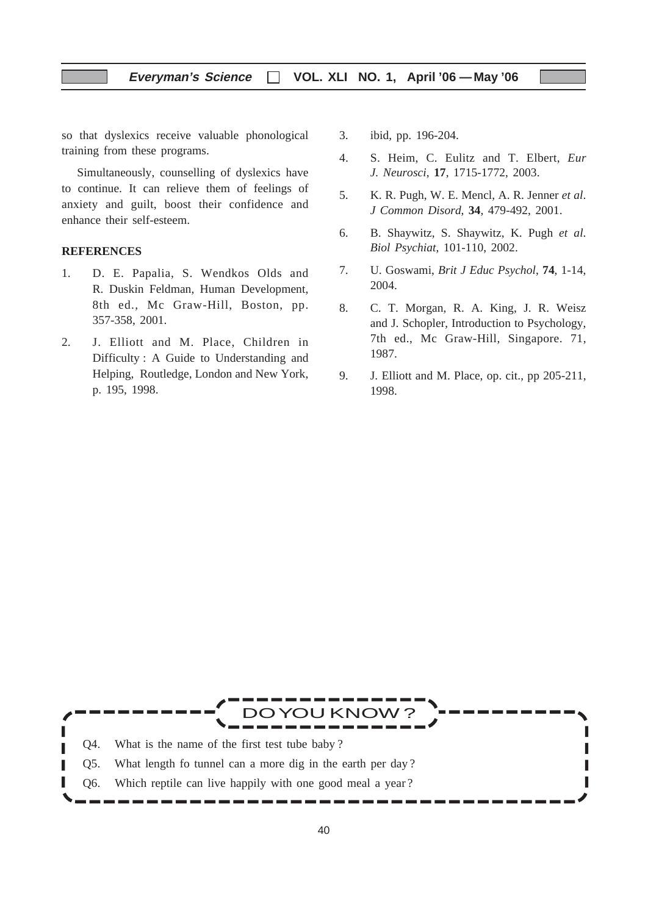so that dyslexics receive valuable phonological training from these programs.

Simultaneously, counselling of dyslexics have to continue. It can relieve them of feelings of anxiety and guilt, boost their confidence and enhance their self-esteem.

### **REFERENCES**

- 1. D. E. Papalia, S. Wendkos Olds and R. Duskin Feldman, Human Development, 8th ed., Mc Graw-Hill, Boston, pp. 357-358, 2001.
- 2. J. Elliott and M. Place, Children in Difficulty : A Guide to Understanding and Helping, Routledge, London and New York, p. 195, 1998.
- 3. ibid, pp. 196-204.
- 4. S. Heim, C. Eulitz and T. Elbert, *Eur J. Neurosci*, **17**, 1715-1772, 2003.
- 5. K. R. Pugh, W. E. Mencl, A. R. Jenner *et al*. *J Common Disord*, **34**, 479-492, 2001.
- 6. B. Shaywitz, S. Shaywitz, K. Pugh *et al*. *Biol Psychiat*, 101-110, 2002.
- 7. U. Goswami, *Brit J Educ Psychol*, **74**, 1-14, 2004.
- 8. C. T. Morgan, R. A. King, J. R. Weisz and J. Schopler, Introduction to Psychology, 7th ed., Mc Graw-Hill, Singapore. 71, 1987.
- 9. J. Elliott and M. Place, op. cit., pp 205-211, 1998.

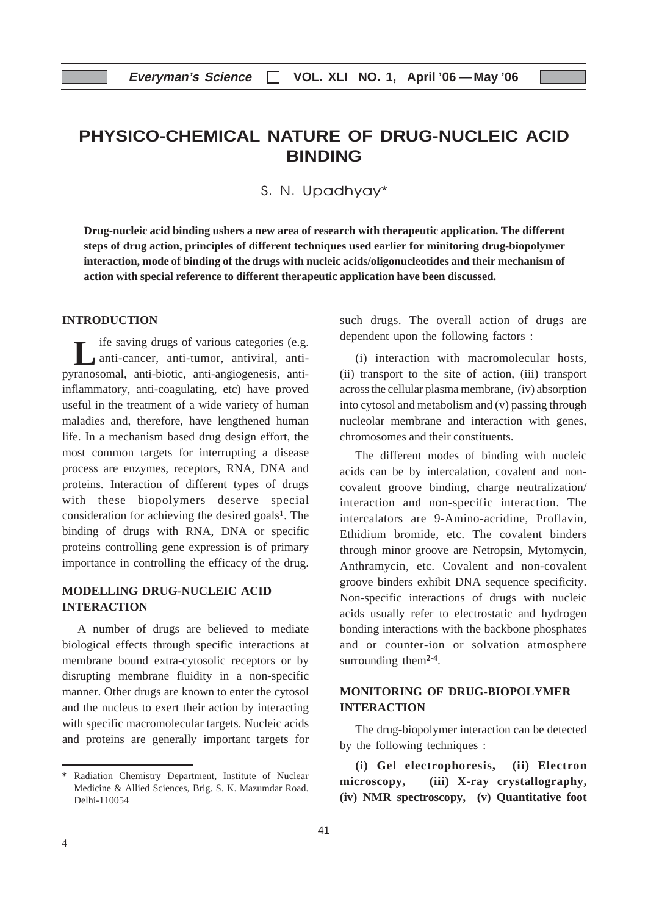# **PHYSICO-CHEMICAL NATURE OF DRUG-NUCLEIC ACID BINDING**

S. N. Upadhyay\*

**Drug-nucleic acid binding ushers a new area of research with therapeutic application. The different steps of drug action, principles of different techniques used earlier for minitoring drug-biopolymer interaction, mode of binding of the drugs with nucleic acids/oligonucleotides and their mechanism of action with special reference to different therapeutic application have been discussed.**

### **INTRODUCTION**

**L** ife saving drugs of various categories (e.g.<br>
pyranosomal, anti-biotic, anti-angiogenesis, antiife saving drugs of various categories (e.g. anti-cancer, anti-tumor, antiviral, antiinflammatory, anti-coagulating, etc) have proved useful in the treatment of a wide variety of human maladies and, therefore, have lengthened human life. In a mechanism based drug design effort, the most common targets for interrupting a disease process are enzymes, receptors, RNA, DNA and proteins. Interaction of different types of drugs with these biopolymers deserve special consideration for achieving the desired goals<sup>1</sup>. The binding of drugs with RNA, DNA or specific proteins controlling gene expression is of primary importance in controlling the efficacy of the drug.

## **MODELLING DRUG-NUCLEIC ACID INTERACTION**

A number of drugs are believed to mediate biological effects through specific interactions at membrane bound extra-cytosolic receptors or by disrupting membrane fluidity in a non-specific manner. Other drugs are known to enter the cytosol and the nucleus to exert their action by interacting with specific macromolecular targets. Nucleic acids and proteins are generally important targets for such drugs. The overall action of drugs are dependent upon the following factors :

(i) interaction with macromolecular hosts, (ii) transport to the site of action, (iii) transport across the cellular plasma membrane, (iv) absorption into cytosol and metabolism and (v) passing through nucleolar membrane and interaction with genes, chromosomes and their constituents.

The different modes of binding with nucleic acids can be by intercalation, covalent and noncovalent groove binding, charge neutralization/ interaction and non-specific interaction. The intercalators are 9-Amino-acridine, Proflavin, Ethidium bromide, etc. The covalent binders through minor groove are Netropsin, Mytomycin, Anthramycin, etc. Covalent and non-covalent groove binders exhibit DNA sequence specificity. Non-specific interactions of drugs with nucleic acids usually refer to electrostatic and hydrogen bonding interactions with the backbone phosphates and or counter-ion or solvation atmosphere surrounding them**2-4**.

# **MONITORING OF DRUG-BIOPOLYMER INTERACTION**

The drug-biopolymer interaction can be detected by the following techniques :

**(i) Gel electrophoresis, (ii) Electron microscopy, (iii) X-ray crystallography, (iv) NMR spectroscopy, (v) Quantitative foot**

Radiation Chemistry Department, Institute of Nuclear Medicine & Allied Sciences, Brig. S. K. Mazumdar Road. Delhi-110054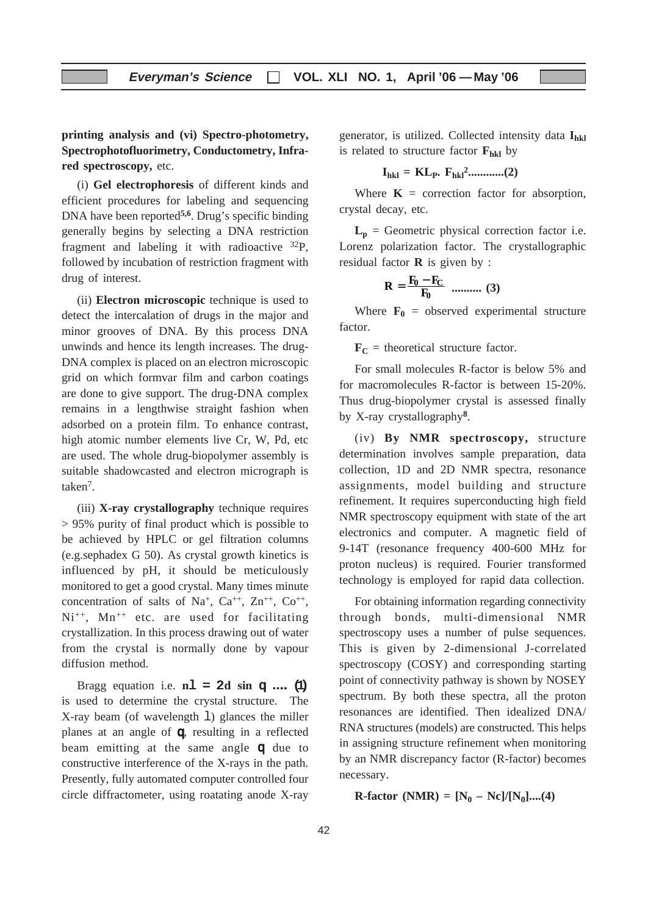**printing analysis and (vi) Spectro-photometry, Spectrophotofluorimetry, Conductometry, Infrared spectroscopy,** etc.

(i) **Gel electrophoresis** of different kinds and efficient procedures for labeling and sequencing DNA have been reported**5,6**. Drug's specific binding generally begins by selecting a DNA restriction fragment and labeling it with radioactive 32P, followed by incubation of restriction fragment with drug of interest.

(ii) **Electron microscopic** technique is used to detect the intercalation of drugs in the major and minor grooves of DNA. By this process DNA unwinds and hence its length increases. The drug-DNA complex is placed on an electron microscopic grid on which formvar film and carbon coatings are done to give support. The drug-DNA complex remains in a lengthwise straight fashion when adsorbed on a protein film. To enhance contrast, high atomic number elements live Cr, W, Pd, etc are used. The whole drug-biopolymer assembly is suitable shadowcasted and electron micrograph is taken<sup>7</sup>.

(iii) **X-ray crystallography** technique requires > 95% purity of final product which is possible to be achieved by HPLC or gel filtration columns (e.g.sephadex G 50). As crystal growth kinetics is influenced by pH, it should be meticulously monitored to get a good crystal. Many times minute concentration of salts of Na<sup>+</sup>, Ca<sup>++</sup>, Zn<sup>++</sup>, Co<sup>++</sup>,  $Ni^{++}$ ,  $Mn^{++}$  etc. are used for facilitating crystallization. In this process drawing out of water from the crystal is normally done by vapour diffusion method.

Bragg equation i.e.  $n1 = 2d \sin q$  ....  $(1)$ is used to determine the crystal structure. The X-ray beam (of wavelength l) glances the miller planes at an angle of q, resulting in a reflected beam emitting at the same angle q due to constructive interference of the X-rays in the path. Presently, fully automated computer controlled four circle diffractometer, using roatating anode X-ray generator, is utilized. Collected intensity data **Ihkl** is related to structure factor  $\mathbf{F}_{hkl}$  by

**Ihkl = KLP. Fhkl 2............(2)**

Where  $\mathbf{K}$  = correction factor for absorption, crystal decay, etc.

 $L_p$  = Geometric physical correction factor i.e. Lorenz polarization factor. The crystallographic residual factor **R** is given by :

$$
\mathbf{R} = \frac{\mathbf{F}_0 - \mathbf{F}_C}{\mathbf{F}_0} \ \ \dots \quad (3)
$$

Where  $\mathbf{F}_0$  = observed experimental structure factor.

 $\mathbf{F_C}$  = theoretical structure factor.

For small molecules R-factor is below 5% and for macromolecules R-factor is between 15-20%. Thus drug-biopolymer crystal is assessed finally by X-ray crystallography**<sup>8</sup>**.

(iv) **By NMR spectroscopy,** structure determination involves sample preparation, data collection, 1D and 2D NMR spectra, resonance assignments, model building and structure refinement. It requires superconducting high field NMR spectroscopy equipment with state of the art electronics and computer. A magnetic field of 9-14T (resonance frequency 400-600 MHz for proton nucleus) is required. Fourier transformed technology is employed for rapid data collection.

For obtaining information regarding connectivity through bonds, multi-dimensional NMR spectroscopy uses a number of pulse sequences. This is given by 2-dimensional J-correlated spectroscopy (COSY) and corresponding starting point of connectivity pathway is shown by NOSEY spectrum. By both these spectra, all the proton resonances are identified. Then idealized DNA/ RNA structures (models) are constructed. This helps in assigning structure refinement when monitoring by an NMR discrepancy factor (R-factor) becomes necessary.

**R-factor** (NMR) =  $[N_0 - Nc]/[N_0]....(4)$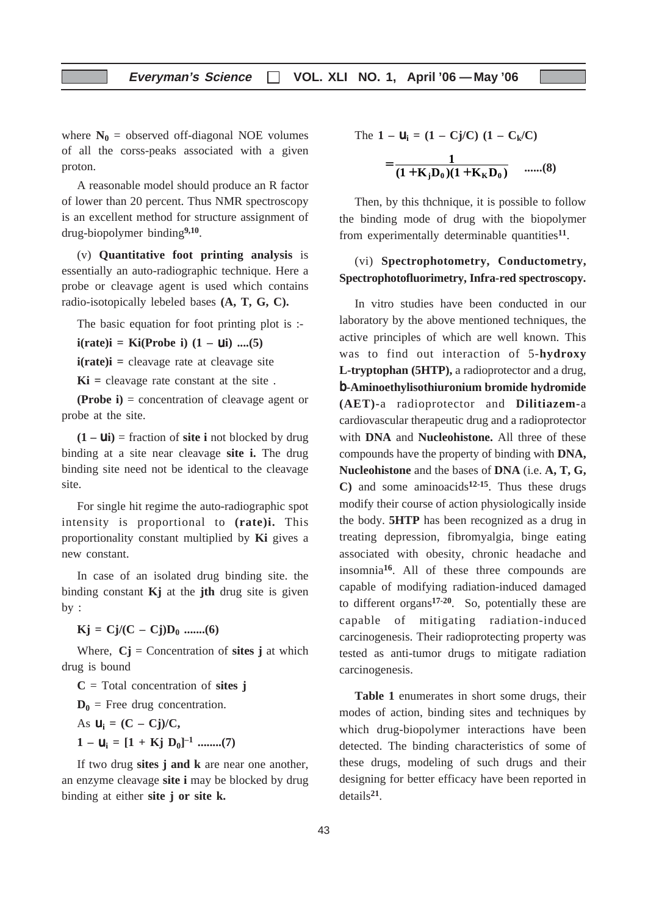where  $N_0$  = observed off-diagonal NOE volumes of all the corss-peaks associated with a given proton.

A reasonable model should produce an R factor of lower than 20 percent. Thus NMR spectroscopy is an excellent method for structure assignment of drug-biopolymer binding**9,10**.

(v) **Quantitative foot printing analysis** is essentially an auto-radiographic technique. Here a probe or cleavage agent is used which contains radio-isotopically lebeled bases **(A, T, G, C).**

The basic equation for foot printing plot is :-

 $i(\text{rate})$ **i** = Ki(Probe **i**)  $(1 - \text{ui})$  ....(5)

**i(rate)i =** cleavage rate at cleavage site

**Ki =** cleavage rate constant at the site .

**(Probe i)** = concentration of cleavage agent or probe at the site.

 $(1 - \textbf{ui})$  = fraction of **site i** not blocked by drug binding at a site near cleavage **site i.** The drug binding site need not be identical to the cleavage site.

For single hit regime the auto-radiographic spot intensity is proportional to **(rate)i.** This proportionality constant multiplied by **Ki** gives a new constant.

In case of an isolated drug binding site. the binding constant **Kj** at the **jth** drug site is given by :

$$
Kj = Cj/(C - Cj)D_0 \dots (6)
$$

Where,  $Cj$  = Concentration of **sites j** at which drug is bound

**C** = Total concentration of **sites j**  $D_0$  = Free drug concentration. As  $u_i = (C - Cj)/C$ ,

$$
1 - u_i = [1 + Kj D_0]^{-1} \dots (7)
$$

If two drug **sites j and k** are near one another, an enzyme cleavage **site i** may be blocked by drug binding at either **site j or site k.**

The 
$$
1 - u_i = (1 - Cj/C) (1 - C_k/C)
$$

$$
=\frac{1}{(1+K_jD_0)(1+K_KD_0)} \quad \dots \dots (8)
$$

Then, by this thchnique, it is possible to follow the binding mode of drug with the biopolymer from experimentally determinable quantities**11**.

## (vi) **Spectrophotometry, Conductometry, Spectrophotofluorimetry, Infra-red spectroscopy.**

In vitro studies have been conducted in our laboratory by the above mentioned techniques, the active principles of which are well known. This was to find out interaction of 5-**hydroxy L-tryptophan (5HTP),** a radioprotector and a drug, b**-Aminoethylisothiuronium bromide hydromide (AET)-**a radioprotector and **Dilitiazem-**a cardiovascular therapeutic drug and a radioprotector with **DNA** and **Nucleohistone.** All three of these compounds have the property of binding with **DNA, Nucleohistone** and the bases of **DNA** (i.e. **A, T, G, C)** and some aminoacids**12-15**. Thus these drugs modify their course of action physiologically inside the body. **5HTP** has been recognized as a drug in treating depression, fibromyalgia, binge eating associated with obesity, chronic headache and insomnia**<sup>16</sup>**. All of these three compounds are capable of modifying radiation-induced damaged to different organs**17-20**. So, potentially these are capable of mitigating radiation-induced carcinogenesis. Their radioprotecting property was tested as anti-tumor drugs to mitigate radiation carcinogenesis.

**Table 1** enumerates in short some drugs, their modes of action, binding sites and techniques by which drug-biopolymer interactions have been detected. The binding characteristics of some of these drugs, modeling of such drugs and their designing for better efficacy have been reported in details**21**.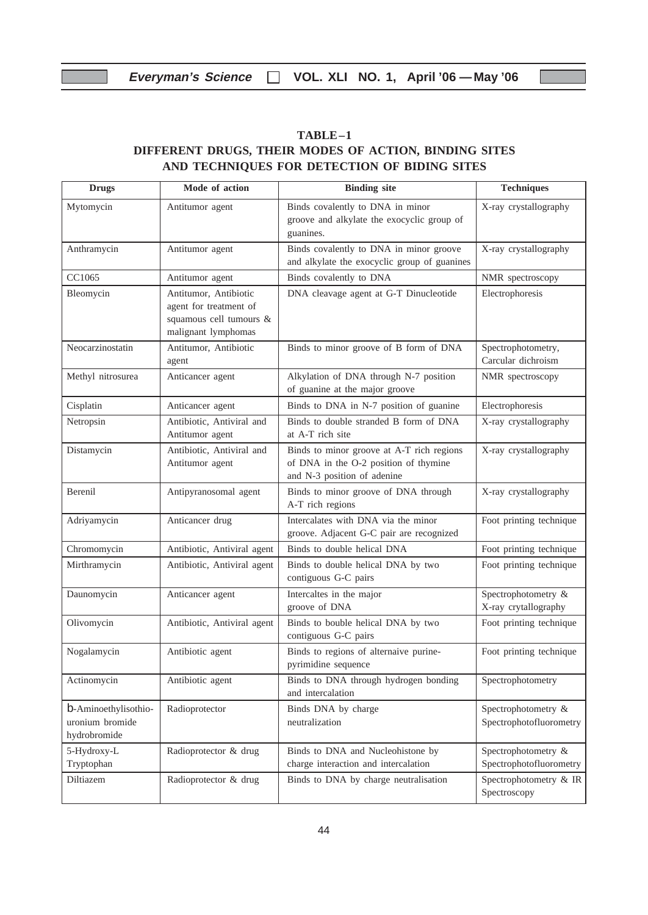# **TABLE–1 DIFFERENT DRUGS, THEIR MODES OF ACTION, BINDING SITES AND TECHNIQUES FOR DETECTION OF BIDING SITES**

| <b>Drugs</b>                                            | Mode of action                                                                                    | <b>Binding</b> site                                                                                               | <b>Techniques</b>                              |
|---------------------------------------------------------|---------------------------------------------------------------------------------------------------|-------------------------------------------------------------------------------------------------------------------|------------------------------------------------|
| Mytomycin                                               | Antitumor agent                                                                                   | Binds covalently to DNA in minor<br>groove and alkylate the exocyclic group of<br>guanines.                       | X-ray crystallography                          |
| Anthramycin                                             | Antitumor agent                                                                                   | Binds covalently to DNA in minor groove<br>and alkylate the exocyclic group of guanines                           | X-ray crystallography                          |
| CC1065                                                  | Antitumor agent                                                                                   | Binds covalently to DNA                                                                                           | NMR spectroscopy                               |
| Bleomycin                                               | Antitumor, Antibiotic<br>agent for treatment of<br>squamous cell tumours &<br>malignant lymphomas | DNA cleavage agent at G-T Dinucleotide                                                                            | Electrophoresis                                |
| Neocarzinostatin                                        | Antitumor, Antibiotic<br>agent                                                                    | Binds to minor groove of B form of DNA                                                                            | Spectrophotometry,<br>Carcular dichroism       |
| Methyl nitrosurea                                       | Anticancer agent                                                                                  | Alkylation of DNA through N-7 position<br>of guanine at the major groove                                          | NMR spectroscopy                               |
| Cisplatin                                               | Anticancer agent                                                                                  | Binds to DNA in N-7 position of guanine                                                                           | Electrophoresis                                |
| Netropsin                                               | Antibiotic, Antiviral and<br>Antitumor agent                                                      | Binds to double stranded B form of DNA<br>at A-T rich site                                                        | X-ray crystallography                          |
| Distamycin                                              | Antibiotic, Antiviral and<br>Antitumor agent                                                      | Binds to minor groove at A-T rich regions<br>of DNA in the O-2 position of thymine<br>and N-3 position of adenine | X-ray crystallography                          |
| Berenil                                                 | Antipyranosomal agent                                                                             | Binds to minor groove of DNA through<br>A-T rich regions                                                          | X-ray crystallography                          |
| Adriyamycin                                             | Anticancer drug                                                                                   | Intercalates with DNA via the minor<br>groove. Adjacent G-C pair are recognized                                   | Foot printing technique                        |
| Chromomycin                                             | Antibiotic, Antiviral agent                                                                       | Binds to double helical DNA                                                                                       | Foot printing technique                        |
| Mirthramycin                                            | Antibiotic, Antiviral agent                                                                       | Binds to double helical DNA by two<br>contiguous G-C pairs                                                        | Foot printing technique                        |
| Daunomycin                                              | Anticancer agent                                                                                  | Intercaltes in the major<br>groove of DNA                                                                         | Spectrophotometry &<br>X-ray crytallography    |
| Olivomycin                                              | Antibiotic, Antiviral agent                                                                       | Binds to bouble helical DNA by two<br>contiguous G-C pairs                                                        | Foot printing technique                        |
| Nogalamycin                                             | Antibiotic agent                                                                                  | Binds to regions of alternaive purine-<br>pyrimidine sequence                                                     | Foot printing technique                        |
| Actinomycin                                             | Antibiotic agent                                                                                  | Binds to DNA through hydrogen bonding<br>and intercalation                                                        | Spectrophotometry                              |
| b-Aminoethylisothio-<br>uronium bromide<br>hydrobromide | Radioprotector                                                                                    | Binds DNA by charge<br>neutralization                                                                             | Spectrophotometry &<br>Spectrophotofluorometry |
| 5-Hydroxy-L<br>Tryptophan                               | Radioprotector & drug                                                                             | Binds to DNA and Nucleohistone by<br>charge interaction and intercalation                                         | Spectrophotometry &<br>Spectrophotofluorometry |
| Diltiazem                                               | Radioprotector & drug                                                                             | Binds to DNA by charge neutralisation                                                                             | Spectrophotometry & IR<br>Spectroscopy         |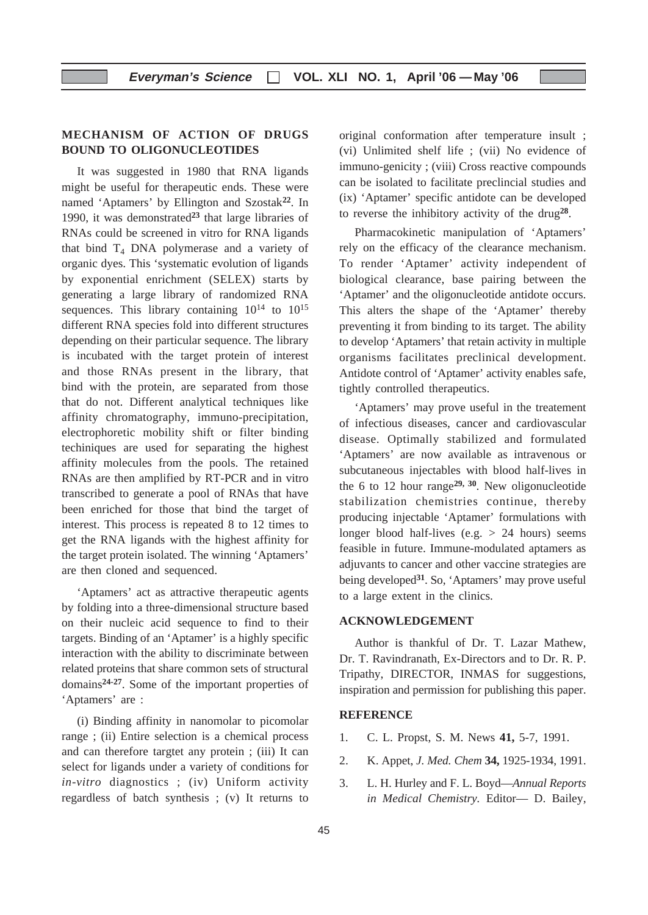## **MECHANISM OF ACTION OF DRUGS BOUND TO OLIGONUCLEOTIDES**

It was suggested in 1980 that RNA ligands might be useful for therapeutic ends. These were named 'Aptamers' by Ellington and Szostak**22**. In 1990, it was demonstrated**23** that large libraries of RNAs could be screened in vitro for RNA ligands that bind  $T_4$  DNA polymerase and a variety of organic dyes. This 'systematic evolution of ligands by exponential enrichment (SELEX) starts by generating a large library of randomized RNA sequences. This library containing  $10^{14}$  to  $10^{15}$ different RNA species fold into different structures depending on their particular sequence. The library is incubated with the target protein of interest and those RNAs present in the library, that bind with the protein, are separated from those that do not. Different analytical techniques like affinity chromatography, immuno-precipitation, electrophoretic mobility shift or filter binding techiniques are used for separating the highest affinity molecules from the pools. The retained RNAs are then amplified by RT-PCR and in vitro transcribed to generate a pool of RNAs that have been enriched for those that bind the target of interest. This process is repeated 8 to 12 times to get the RNA ligands with the highest affinity for the target protein isolated. The winning 'Aptamers' are then cloned and sequenced.

'Aptamers' act as attractive therapeutic agents by folding into a three-dimensional structure based on their nucleic acid sequence to find to their targets. Binding of an 'Aptamer' is a highly specific interaction with the ability to discriminate between related proteins that share common sets of structural domains**24-27**. Some of the important properties of 'Aptamers' are :

(i) Binding affinity in nanomolar to picomolar range ; (ii) Entire selection is a chemical process and can therefore targtet any protein ; (iii) It can select for ligands under a variety of conditions for *in-vitro* diagnostics ; (iv) Uniform activity regardless of batch synthesis ; (v) It returns to original conformation after temperature insult ; (vi) Unlimited shelf life ; (vii) No evidence of immuno-genicity ; (viii) Cross reactive compounds can be isolated to facilitate preclincial studies and (ix) 'Aptamer' specific antidote can be developed to reverse the inhibitory activity of the drug**28**.

Pharmacokinetic manipulation of 'Aptamers' rely on the efficacy of the clearance mechanism. To render 'Aptamer' activity independent of biological clearance, base pairing between the 'Aptamer' and the oligonucleotide antidote occurs. This alters the shape of the 'Aptamer' thereby preventing it from binding to its target. The ability to develop 'Aptamers' that retain activity in multiple organisms facilitates preclinical development. Antidote control of 'Aptamer' activity enables safe, tightly controlled therapeutics.

'Aptamers' may prove useful in the treatement of infectious diseases, cancer and cardiovascular disease. Optimally stabilized and formulated 'Aptamers' are now available as intravenous or subcutaneous injectables with blood half-lives in the 6 to 12 hour range**29, 30**. New oligonucleotide stabilization chemistries continue, thereby producing injectable 'Aptamer' formulations with longer blood half-lives (e.g. > 24 hours) seems feasible in future. Immune-modulated aptamers as adjuvants to cancer and other vaccine strategies are being developed**<sup>31</sup>**. So, 'Aptamers' may prove useful to a large extent in the clinics.

### **ACKNOWLEDGEMENT**

Author is thankful of Dr. T. Lazar Mathew, Dr. T. Ravindranath, Ex-Directors and to Dr. R. P. Tripathy, DIRECTOR, INMAS for suggestions, inspiration and permission for publishing this paper.

## **REFERENCE**

- 1. C. L. Propst, S. M. News **41,** 5-7, 1991.
- 2. K. Appet, *J. Med. Chem* **34,** 1925-1934, 1991.
- 3. L. H. Hurley and F. L. Boyd—*Annual Reports in Medical Chemistry.* Editor— D. Bailey,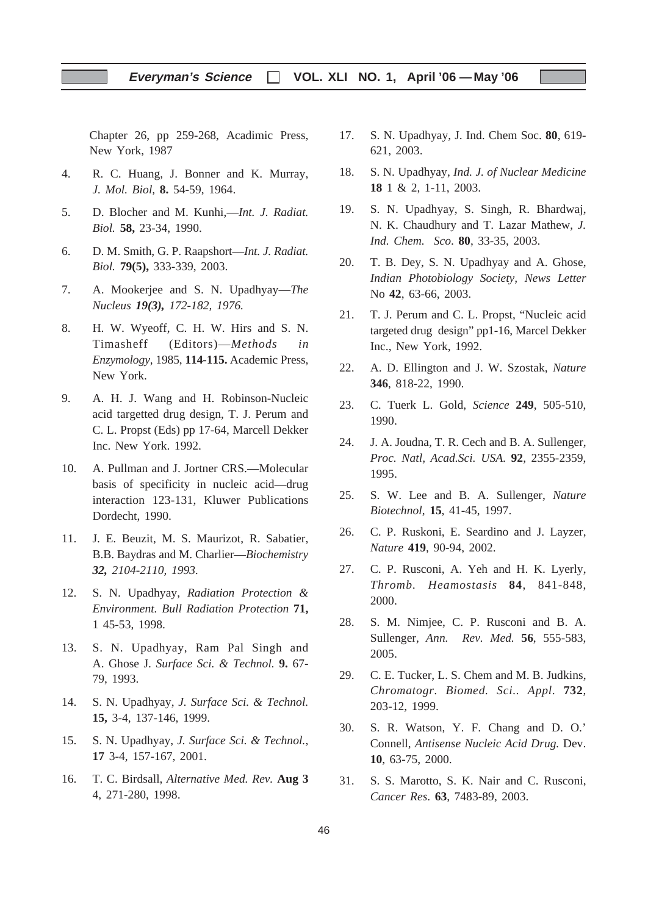Chapter 26, pp 259-268, Acadimic Press, New York, 1987

- 4. R. C. Huang, J. Bonner and K. Murray, *J. Mol. Biol,* **8.** 54-59, 1964.
- 5. D. Blocher and M. Kunhi,—*Int. J. Radiat. Biol.* **58,** 23-34, 1990.
- 6. D. M. Smith, G. P. Raapshort—*Int. J. Radiat. Biol.* **79(5),** 333-339, 2003.
- 7. A. Mookerjee and S. N. Upadhyay—*The Nucleus 19(3), 172-182, 1976.*
- 8. H. W. Wyeoff, C. H. W. Hirs and S. N. Timasheff (Editors)—*Methods in Enzymology,* 1985, **114-115.** Academic Press, New York.
- 9. A. H. J. Wang and H. Robinson-Nucleic acid targetted drug design, T. J. Perum and C. L. Propst (Eds) pp 17-64, Marcell Dekker Inc. New York. 1992.
- 10. A. Pullman and J. Jortner CRS.—Molecular basis of specificity in nucleic acid—drug interaction 123-131, Kluwer Publications Dordecht, 1990.
- 11. J. E. Beuzit, M. S. Maurizot, R. Sabatier, B.B. Baydras and M. Charlier—*Biochemistry 32, 2104-2110, 1993.*
- 12. S. N. Upadhyay, *Radiation Protection & Environment. Bull Radiation Protection* **71,** 1 45-53, 1998.
- 13. S. N. Upadhyay, Ram Pal Singh and A. Ghose J. *Surface Sci. & Technol.* **9.** 67- 79, 1993.
- 14. S. N. Upadhyay, *J. Surface Sci. & Technol.* **15,** 3-4, 137-146, 1999.
- 15. S. N. Upadhyay, *J. Surface Sci. & Technol.*, **17** 3-4, 157-167, 2001.
- 16. T. C. Birdsall, *Alternative Med. Rev.* **Aug 3** 4, 271-280, 1998.
- 17. S. N. Upadhyay, J. Ind. Chem Soc. **80**, 619- 621, 2003.
- 18. S. N. Upadhyay, *Ind. J. of Nuclear Medicine* **18** 1 & 2, 1-11, 2003.
- 19. S. N. Upadhyay, S. Singh, R. Bhardwaj, N. K. Chaudhury and T. Lazar Mathew, *J. Ind. Chem. Sco*. **80**, 33-35, 2003.
- 20. T. B. Dey, S. N. Upadhyay and A. Ghose, *Indian Photobiology Society, News Letter* No **42**, 63-66, 2003.
- 21. T. J. Perum and C. L. Propst, "Nucleic acid targeted drug design" pp1-16, Marcel Dekker Inc., New York, 1992.
- 22. A. D. Ellington and J. W. Szostak, *Nature* **346**, 818-22, 1990.
- 23. C. Tuerk L. Gold, *Science* **249**, 505-510, 1990.
- 24. J. A. Joudna, T. R. Cech and B. A. Sullenger, *Proc. Natl, Acad.Sci. USA*. **92**, 2355-2359, 1995.
- 25. S. W. Lee and B. A. Sullenger, *Nature Biotechnol*, **15**, 41-45, 1997.
- 26. C. P. Ruskoni, E. Seardino and J. Layzer, *Nature* **419**, 90-94, 2002.
- 27. C. P. Rusconi, A. Yeh and H. K. Lyerly, *Thromb. Heamostasis* **84**, 841-848, 2000.
- 28. S. M. Nimjee, C. P. Rusconi and B. A. Sullenger, *Ann. Rev. Med.* **56**, 555-583, 2005.
- 29. C. E. Tucker, L. S. Chem and M. B. Judkins, *Chromatogr. Biomed. Sci.. Appl.* **732**, 203-12, 1999.
- 30. S. R. Watson, Y. F. Chang and D. O.' Connell, *Antisense Nucleic Acid Drug.* Dev. **10**, 63-75, 2000.
- 31. S. S. Marotto, S. K. Nair and C. Rusconi, *Cancer Res*. **63**, 7483-89, 2003.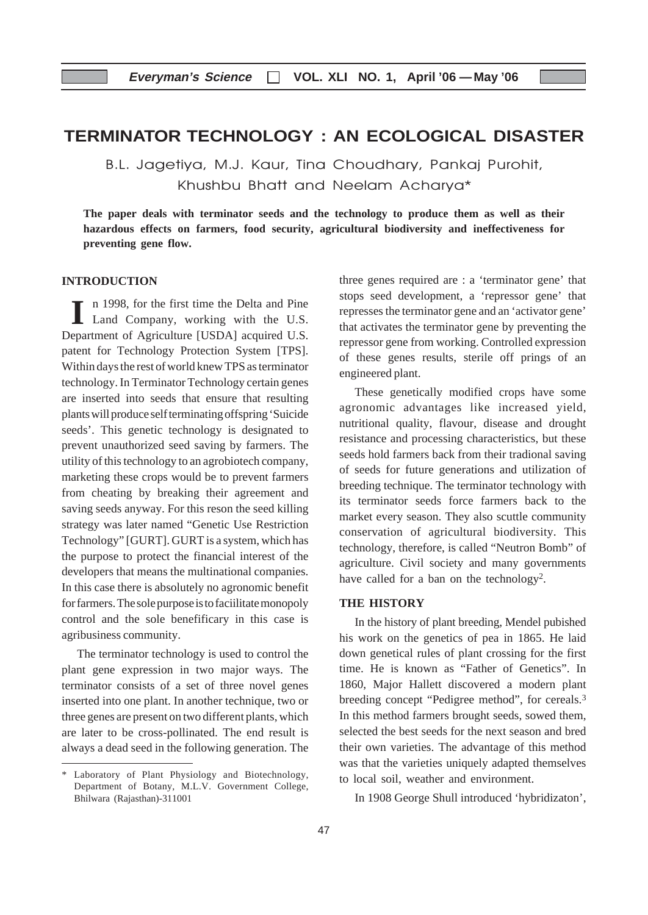# **TERMINATOR TECHNOLOGY : AN ECOLOGICAL DISASTER**

B.L. Jagetiya, M.J. Kaur, Tina Choudhary, Pankaj Purohit, Khushbu Bhatt and Neelam Acharya\*

**The paper deals with terminator seeds and the technology to produce them as well as their hazardous effects on farmers, food security, agricultural biodiversity and ineffectiveness for preventing gene flow.**

## **INTRODUCTION**

In 1998, for the first time the Delta and Pine<br>
Land Company, working with the U.S. n 1998, for the first time the Delta and Pine Department of Agriculture [USDA] acquired U.S. patent for Technology Protection System [TPS]. Within days the rest of world knew TPS as terminator technology. In Terminator Technology certain genes are inserted into seeds that ensure that resulting plants will produce self terminating offspring 'Suicide seeds'. This genetic technology is designated to prevent unauthorized seed saving by farmers. The utility of this technology to an agrobiotech company, marketing these crops would be to prevent farmers from cheating by breaking their agreement and saving seeds anyway. For this reson the seed killing strategy was later named "Genetic Use Restriction Technology" [GURT]. GURT is a system, which has the purpose to protect the financial interest of the developers that means the multinational companies. In this case there is absolutely no agronomic benefit for farmers. The sole purpose is to faciilitate monopoly control and the sole benefificary in this case is agribusiness community.

The terminator technology is used to control the plant gene expression in two major ways. The terminator consists of a set of three novel genes inserted into one plant. In another technique, two or three genes are present on two different plants, which are later to be cross-pollinated. The end result is always a dead seed in the following generation. The

three genes required are : a 'terminator gene' that stops seed development, a 'repressor gene' that represses the terminator gene and an 'activator gene' that activates the terminator gene by preventing the repressor gene from working. Controlled expression of these genes results, sterile off prings of an engineered plant.

These genetically modified crops have some agronomic advantages like increased yield, nutritional quality, flavour, disease and drought resistance and processing characteristics, but these seeds hold farmers back from their tradional saving of seeds for future generations and utilization of breeding technique. The terminator technology with its terminator seeds force farmers back to the market every season. They also scuttle community conservation of agricultural biodiversity. This technology, therefore, is called "Neutron Bomb" of agriculture. Civil society and many governments have called for a ban on the technology<sup>2</sup>.

## **THE HISTORY**

In the history of plant breeding, Mendel pubished his work on the genetics of pea in 1865. He laid down genetical rules of plant crossing for the first time. He is known as "Father of Genetics". In 1860, Major Hallett discovered a modern plant breeding concept "Pedigree method", for cereals.3 In this method farmers brought seeds, sowed them, selected the best seeds for the next season and bred their own varieties. The advantage of this method was that the varieties uniquely adapted themselves to local soil, weather and environment.

In 1908 George Shull introduced 'hybridizaton',

<sup>\*</sup> Laboratory of Plant Physiology and Biotechnology, Department of Botany, M.L.V. Government College, Bhilwara (Rajasthan)-311001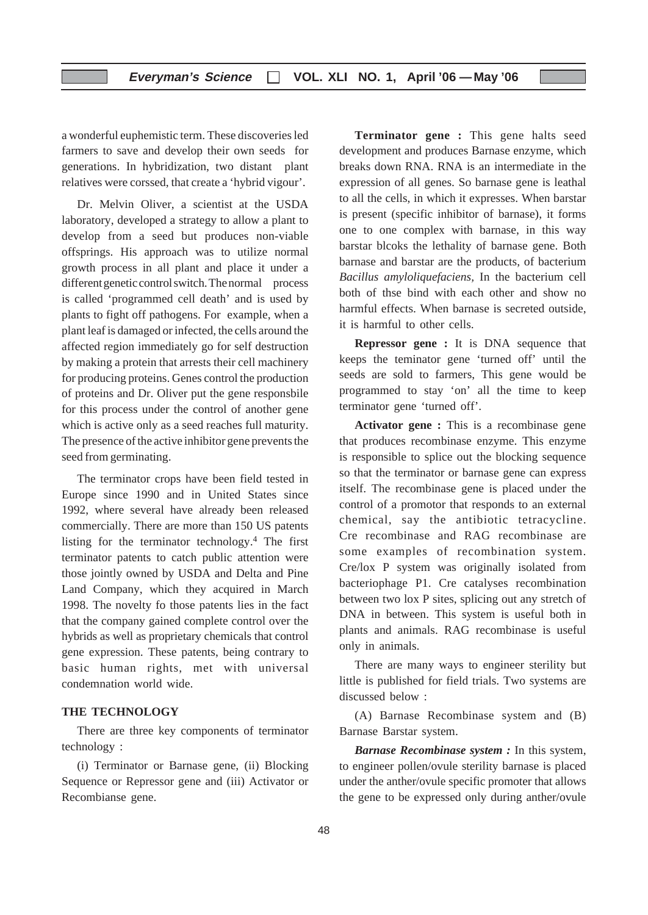## **Everyman's Science VOL. XLI NO. 1, April '06 —May '06**

a wonderful euphemistic term. These discoveries led farmers to save and develop their own seeds for generations. In hybridization, two distant plant relatives were corssed, that create a 'hybrid vigour'.

Dr. Melvin Oliver, a scientist at the USDA laboratory, developed a strategy to allow a plant to develop from a seed but produces non-viable offsprings. His approach was to utilize normal growth process in all plant and place it under a different genetic control switch. The normal process is called 'programmed cell death' and is used by plants to fight off pathogens. For example, when a plant leaf is damaged or infected, the cells around the affected region immediately go for self destruction by making a protein that arrests their cell machinery for producing proteins. Genes control the production of proteins and Dr. Oliver put the gene responsbile for this process under the control of another gene which is active only as a seed reaches full maturity. The presence of the active inhibitor gene prevents the seed from germinating.

The terminator crops have been field tested in Europe since 1990 and in United States since 1992, where several have already been released commercially. There are more than 150 US patents listing for the terminator technology.4 The first terminator patents to catch public attention were those jointly owned by USDA and Delta and Pine Land Company, which they acquired in March 1998. The novelty fo those patents lies in the fact that the company gained complete control over the hybrids as well as proprietary chemicals that control gene expression. These patents, being contrary to basic human rights, met with universal condemnation world wide.

## **THE TECHNOLOGY**

There are three key components of terminator technology :

(i) Terminator or Barnase gene, (ii) Blocking Sequence or Repressor gene and (iii) Activator or Recombianse gene.

**Terminator gene :** This gene halts seed development and produces Barnase enzyme, which breaks down RNA. RNA is an intermediate in the expression of all genes. So barnase gene is leathal to all the cells, in which it expresses. When barstar is present (specific inhibitor of barnase), it forms one to one complex with barnase, in this way barstar blcoks the lethality of barnase gene. Both barnase and barstar are the products, of bacterium *Bacillus amyloliquefaciens,* In the bacterium cell both of thse bind with each other and show no harmful effects. When barnase is secreted outside, it is harmful to other cells.

**Repressor gene :** It is DNA sequence that keeps the teminator gene 'turned off' until the seeds are sold to farmers, This gene would be programmed to stay 'on' all the time to keep terminator gene 'turned off'.

**Activator gene :** This is a recombinase gene that produces recombinase enzyme. This enzyme is responsible to splice out the blocking sequence so that the terminator or barnase gene can express itself. The recombinase gene is placed under the control of a promotor that responds to an external chemical, say the antibiotic tetracycline. Cre recombinase and RAG recombinase are some examples of recombination system. Cre/lox P system was originally isolated from bacteriophage P1. Cre catalyses recombination between two lox P sites, splicing out any stretch of DNA in between. This system is useful both in plants and animals. RAG recombinase is useful only in animals.

There are many ways to engineer sterility but little is published for field trials. Two systems are discussed below :

(A) Barnase Recombinase system and (B) Barnase Barstar system.

*Barnase Recombinase system :* In this system, to engineer pollen/ovule sterility barnase is placed under the anther/ovule specific promoter that allows the gene to be expressed only during anther/ovule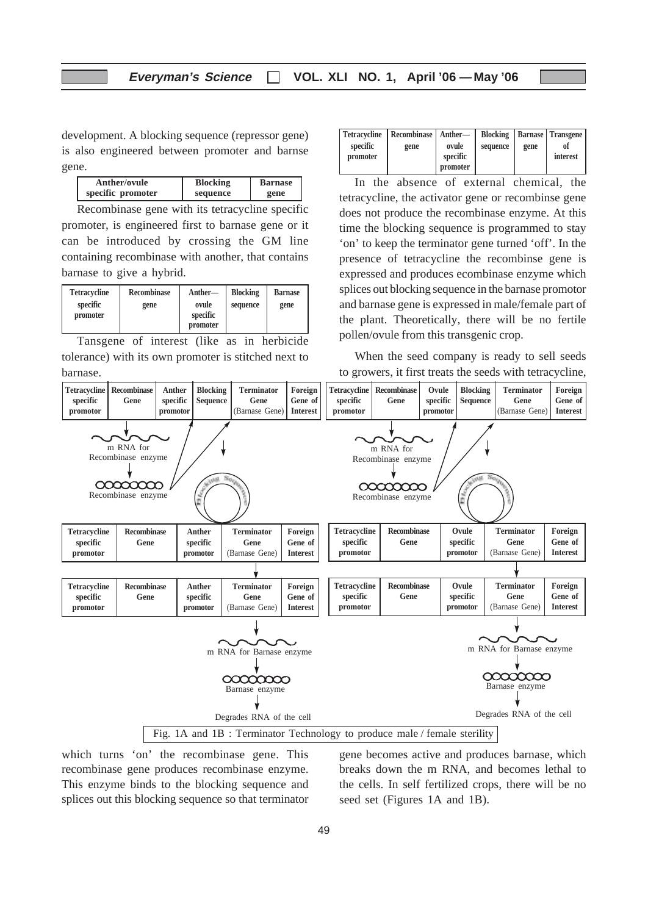## **Everyman's Science VOL. XLI NO. 1, April '06 —May '06**

development. A blocking sequence (repressor gene) is also engineered between promoter and barnse gene.

| Anther/ovule      | <b>Blocking</b> | <b>Barnase</b> |  |
|-------------------|-----------------|----------------|--|
| specific promoter | sequence        | gene           |  |

Recombinase gene with its tetracycline specific promoter, is engineered first to barnase gene or it can be introduced by crossing the GM line containing recombinase with another, that contains barnase to give a hybrid.

| <b>Tetracycline</b>  | <b>Recombinase</b> | Anther—                       | <b>Blocking</b> | <b>Barnase</b> |
|----------------------|--------------------|-------------------------------|-----------------|----------------|
| specific<br>promoter | gene               | ovule<br>specific<br>promoter | sequence        | gene           |

Tansgene of interest (like as in herbicide tolerance) with its own promoter is stitched next to barnase.

|          | Tetracvcline   Recombinase   Anther— |          | <b>Blocking</b> |      | Barnase   Transgene |
|----------|--------------------------------------|----------|-----------------|------|---------------------|
| specific | gene                                 | ovule    | sequence        | gene | оť                  |
| promoter |                                      | specific |                 |      | interest            |
|          |                                      | promoter |                 |      |                     |

In the absence of external chemical, the tetracycline, the activator gene or recombinse gene does not produce the recombinase enzyme. At this time the blocking sequence is programmed to stay 'on' to keep the terminator gene turned 'off'. In the presence of tetracycline the recombinse gene is expressed and produces ecombinase enzyme which splices out blocking sequence in the barnase promotor and barnase gene is expressed in male/female part of the plant. Theoretically, there will be no fertile pollen/ovule from this transgenic crop.

When the seed company is ready to sell seeds to growers, it first treats the seeds with tetracycline,



which turns 'on' the recombinase gene. This recombinase gene produces recombinase enzyme. This enzyme binds to the blocking sequence and splices out this blocking sequence so that terminator gene becomes active and produces barnase, which breaks down the m RNA, and becomes lethal to the cells. In self fertilized crops, there will be no seed set (Figures 1A and 1B).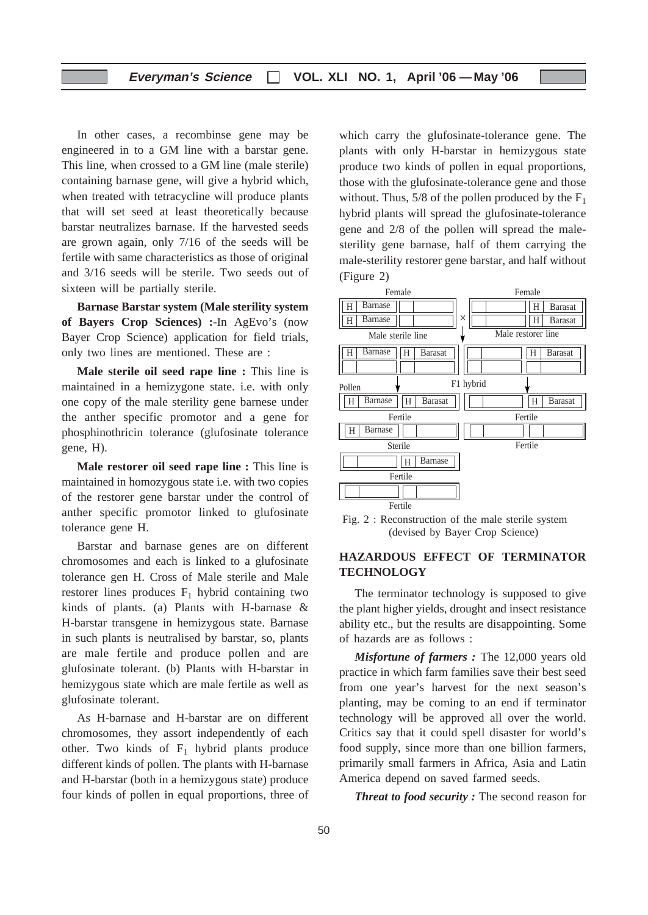In other cases, a recombinse gene may be engineered in to a GM line with a barstar gene. This line, when crossed to a GM line (male sterile) containing barnase gene, will give a hybrid which, when treated with tetracycline will produce plants that will set seed at least theoretically because barstar neutralizes barnase. If the harvested seeds are grown again, only 7/16 of the seeds will be fertile with same characteristics as those of original and 3/16 seeds will be sterile. Two seeds out of sixteen will be partially sterile.

**Barnase Barstar system (Male sterility system of Bayers Crop Sciences) :-**In AgEvo's (now Bayer Crop Science) application for field trials, only two lines are mentioned. These are :

**Male sterile oil seed rape line :** This line is maintained in a hemizygone state. i.e. with only one copy of the male sterility gene barnese under the anther specific promotor and a gene for phosphinothricin tolerance (glufosinate tolerance gene, H).

**Male restorer oil seed rape line :** This line is maintained in homozygous state i.e. with two copies of the restorer gene barstar under the control of anther specific promotor linked to glufosinate tolerance gene H.

Barstar and barnase genes are on different chromosomes and each is linked to a glufosinate tolerance gen H. Cross of Male sterile and Male restorer lines produces  $F_1$  hybrid containing two kinds of plants. (a) Plants with H-barnase & H-barstar transgene in hemizygous state. Barnase in such plants is neutralised by barstar, so, plants are male fertile and produce pollen and are glufosinate tolerant. (b) Plants with H-barstar in hemizygous state which are male fertile as well as glufosinate tolerant.

As H-barnase and H-barstar are on different chromosomes, they assort independently of each other. Two kinds of  $F_1$  hybrid plants produce different kinds of pollen. The plants with H-barnase and H-barstar (both in a hemizygous state) produce four kinds of pollen in equal proportions, three of which carry the glufosinate-tolerance gene. The plants with only H-barstar in hemizygous state produce two kinds of pollen in equal proportions, those with the glufosinate-tolerance gene and those without. Thus, 5/8 of the pollen produced by the  $F_1$ hybrid plants will spread the glufosinate-tolerance gene and 2/8 of the pollen will spread the malesterility gene barnase, half of them carrying the male-sterility restorer gene barstar, and half without (Figure 2)



Fig. 2 : Reconstruction of the male sterile system (devised by Bayer Crop Science)

## **HAZARDOUS EFFECT OF TERMINATOR TECHNOLOGY**

The terminator technology is supposed to give the plant higher yields, drought and insect resistance ability etc., but the results are disappointing. Some of hazards are as follows :

*Misfortune of farmers :* The 12,000 years old practice in which farm families save their best seed from one year's harvest for the next season's planting, may be coming to an end if terminator technology will be approved all over the world. Critics say that it could spell disaster for world's food supply, since more than one billion farmers, primarily small farmers in Africa, Asia and Latin America depend on saved farmed seeds.

*Threat to food security :* The second reason for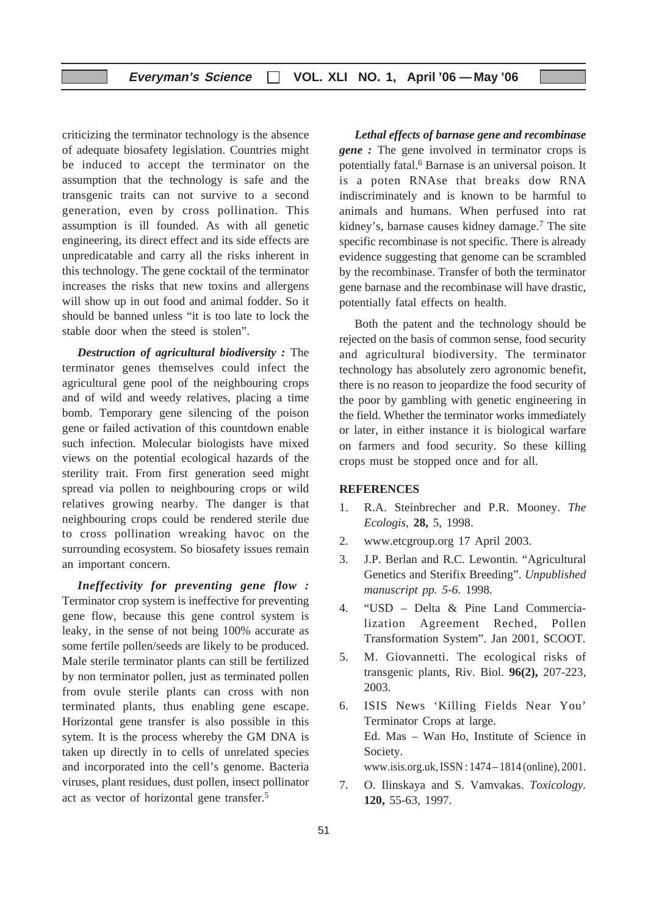criticizing the terminator technology is the absence of adequate biosafety legislation. Countries might be induced to accept the terminator on the assumption that the technology is safe and the transgenic traits can not survive to a second generation, even by cross pollination. This assumption is ill founded. As with all genetic engineering, its direct effect and its side effects are unpredicatable and carry all the risks inherent in this technology. The gene cocktail of the terminator increases the risks that new toxins and allergens will show up in out food and animal fodder. So it should be banned unless "it is too late to lock the stable door when the steed is stolen".

*Destruction of agricultural biodiversity :* The terminator genes themselves could infect the agricultural gene pool of the neighbouring crops and of wild and weedy relatives, placing a time bomb. Temporary gene silencing of the poison gene or failed activation of this countdown enable such infection. Molecular biologists have mixed views on the potential ecological hazards of the sterility trait. From first generation seed might spread via pollen to neighbouring crops or wild relatives growing nearby. The danger is that neighbouring crops could be rendered sterile due to cross pollination wreaking havoc on the surrounding ecosystem. So biosafety issues remain an important concern.

*Ineffectivity for preventing gene flow :* Terminator crop system is ineffective for preventing gene flow, because this gene control system is leaky, in the sense of not being 100% accurate as some fertile pollen/seeds are likely to be produced. Male sterile terminator plants can still be fertilized by non terminator pollen, just as terminated pollen from ovule sterile plants can cross with non terminated plants, thus enabling gene escape. Horizontal gene transfer is also possible in this sytem. It is the process whereby the GM DNA is taken up directly in to cells of unrelated species and incorporated into the cell's genome. Bacteria viruses, plant residues, dust pollen, insect pollinator act as vector of horizontal gene transfer.5

*Lethal effects of barnase gene and recombinase* **gene** : The gene involved in terminator crops is potentially fatal.<sup>6</sup> Barnase is an universal poison. It is a poten RNAse that breaks dow RNA indiscriminately and is known to be harmful to animals and humans. When perfused into rat kidney's, barnase causes kidney damage.7 The site specific recombinase is not specific. There is already evidence suggesting that genome can be scrambled by the recombinase. Transfer of both the terminator gene barnase and the recombinase will have drastic, potentially fatal effects on health.

Both the patent and the technology should be rejected on the basis of common sense, food security and agricultural biodiversity. The terminator technology has absolutely zero agronomic benefit, there is no reason to jeopardize the food security of the poor by gambling with genetic engineering in the field. Whether the terminator works immediately or later, in either instance it is biological warfare on farmers and food security. So these killing crops must be stopped once and for all.

### **REFERENCES**

- 1. R.A. Steinbrecher and P.R. Mooney. *The Ecologis,* **28,** 5, 1998.
- 2. www.etcgroup.org 17 April 2003.
- 3. J.P. Berlan and R.C. Lewontin. "Agricultural Genetics and Sterifix Breeding". *Unpublished manuscript pp. 5-6.* 1998*.*
- 4. "USD Delta & Pine Land Commercialization Agreement Reched, Pollen Transformation System". Jan 2001, SCOOT.
- 5. M. Giovannetti. The ecological risks of transgenic plants, Riv. Biol. **96(2),** 207-223, 2003.
- 6. ISIS News 'Killing Fields Near You' Terminator Crops at large. Ed. Mas – Wan Ho, Institute of Science in Society. www.isis.org.uk, ISSN : 1474 – 1814 (online), 2001.
- 7. O. Ilinskaya and S. Vamvakas. *Toxicology.* **120,** 55-63, 1997.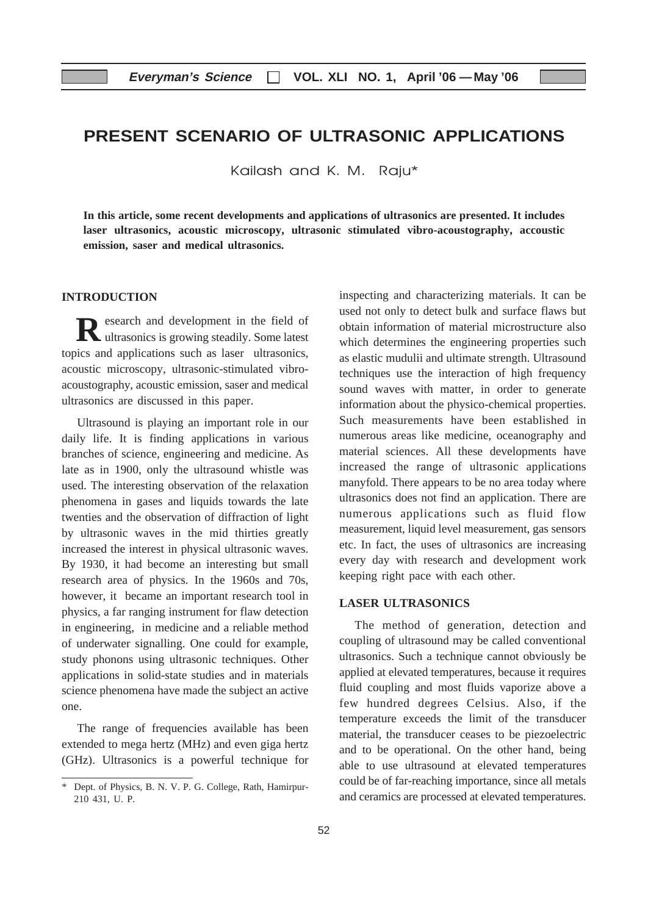# **PRESENT SCENARIO OF ULTRASONIC APPLICATIONS**

Kailash and K. M. Raju\*

**In this article, some recent developments and applications of ultrasonics are presented. It includes laser ultrasonics, acoustic microscopy, ultrasonic stimulated vibro-acoustography, accoustic emission, saser and medical ultrasonics.**

#### **INTRODUCTION**

**R** esearch and development in the field of ultrasonics is growing steadily. Some latest ultrasonics is growing steadily. Some latest topics and applications such as laser ultrasonics, acoustic microscopy, ultrasonic-stimulated vibroacoustography, acoustic emission, saser and medical ultrasonics are discussed in this paper.

Ultrasound is playing an important role in our daily life. It is finding applications in various branches of science, engineering and medicine. As late as in 1900, only the ultrasound whistle was used. The interesting observation of the relaxation phenomena in gases and liquids towards the late twenties and the observation of diffraction of light by ultrasonic waves in the mid thirties greatly increased the interest in physical ultrasonic waves. By 1930, it had become an interesting but small research area of physics. In the 1960s and 70s, however, it became an important research tool in physics, a far ranging instrument for flaw detection in engineering, in medicine and a reliable method of underwater signalling. One could for example, study phonons using ultrasonic techniques. Other applications in solid-state studies and in materials science phenomena have made the subject an active one.

The range of frequencies available has been extended to mega hertz (MHz) and even giga hertz (GHz). Ultrasonics is a powerful technique for inspecting and characterizing materials. It can be used not only to detect bulk and surface flaws but obtain information of material microstructure also which determines the engineering properties such as elastic mudulii and ultimate strength. Ultrasound techniques use the interaction of high frequency sound waves with matter, in order to generate information about the physico-chemical properties. Such measurements have been established in numerous areas like medicine, oceanography and material sciences. All these developments have increased the range of ultrasonic applications manyfold. There appears to be no area today where ultrasonics does not find an application. There are numerous applications such as fluid flow measurement, liquid level measurement, gas sensors etc. In fact, the uses of ultrasonics are increasing every day with research and development work keeping right pace with each other.

## **LASER ULTRASONICS**

The method of generation, detection and coupling of ultrasound may be called conventional ultrasonics. Such a technique cannot obviously be applied at elevated temperatures, because it requires fluid coupling and most fluids vaporize above a few hundred degrees Celsius. Also, if the temperature exceeds the limit of the transducer material, the transducer ceases to be piezoelectric and to be operational. On the other hand, being able to use ultrasound at elevated temperatures could be of far-reaching importance, since all metals and ceramics are processed at elevated temperatures.

Dept. of Physics, B. N. V. P. G. College, Rath, Hamirpur-210 431, U. P.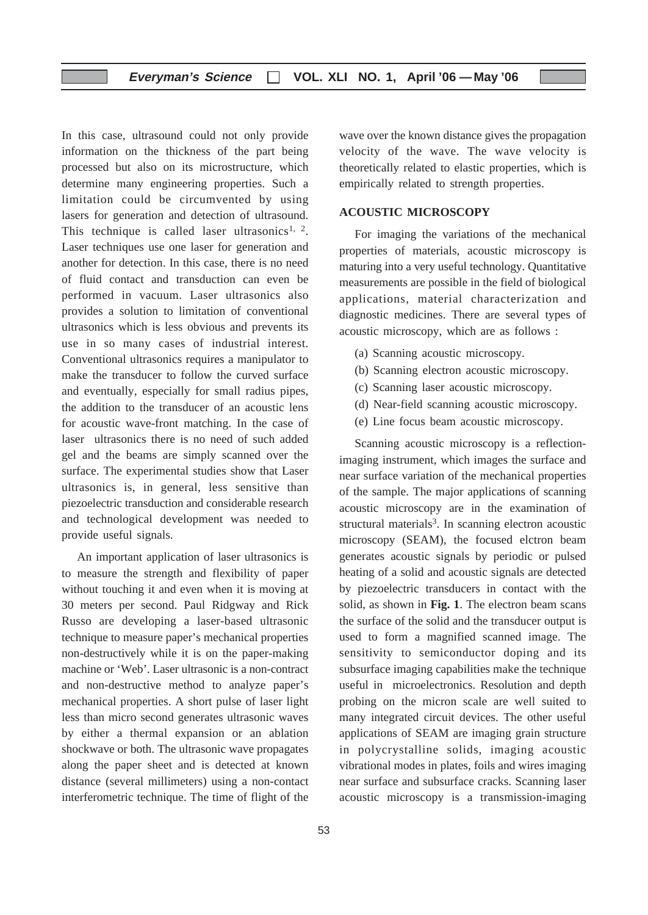In this case, ultrasound could not only provide information on the thickness of the part being processed but also on its microstructure, which determine many engineering properties. Such a limitation could be circumvented by using lasers for generation and detection of ultrasound. This technique is called laser ultrasonics<sup>1, 2</sup>. Laser techniques use one laser for generation and another for detection. In this case, there is no need of fluid contact and transduction can even be performed in vacuum. Laser ultrasonics also provides a solution to limitation of conventional ultrasonics which is less obvious and prevents its use in so many cases of industrial interest. Conventional ultrasonics requires a manipulator to make the transducer to follow the curved surface and eventually, especially for small radius pipes, the addition to the transducer of an acoustic lens for acoustic wave-front matching. In the case of laser ultrasonics there is no need of such added gel and the beams are simply scanned over the surface. The experimental studies show that Laser ultrasonics is, in general, less sensitive than piezoelectric transduction and considerable research and technological development was needed to provide useful signals.

An important application of laser ultrasonics is to measure the strength and flexibility of paper without touching it and even when it is moving at 30 meters per second. Paul Ridgway and Rick Russo are developing a laser-based ultrasonic technique to measure paper's mechanical properties non-destructively while it is on the paper-making machine or 'Web'. Laser ultrasonic is a non-contract and non-destructive method to analyze paper's mechanical properties. A short pulse of laser light less than micro second generates ultrasonic waves by either a thermal expansion or an ablation shockwave or both. The ultrasonic wave propagates along the paper sheet and is detected at known distance (several millimeters) using a non-contact interferometric technique. The time of flight of the

wave over the known distance gives the propagation velocity of the wave. The wave velocity is theoretically related to elastic properties, which is empirically related to strength properties.

## **ACOUSTIC MICROSCOPY**

For imaging the variations of the mechanical properties of materials, acoustic microscopy is maturing into a very useful technology. Quantitative measurements are possible in the field of biological applications, material characterization and diagnostic medicines. There are several types of acoustic microscopy, which are as follows :

- (a) Scanning acoustic microscopy.
- (b) Scanning electron acoustic microscopy.
- (c) Scanning laser acoustic microscopy.
- (d) Near-field scanning acoustic microscopy.
- (e) Line focus beam acoustic microscopy.

Scanning acoustic microscopy is a reflectionimaging instrument, which images the surface and near surface variation of the mechanical properties of the sample. The major applications of scanning acoustic microscopy are in the examination of structural materials<sup>3</sup>. In scanning electron acoustic microscopy (SEAM), the focused elctron beam generates acoustic signals by periodic or pulsed heating of a solid and acoustic signals are detected by piezoelectric transducers in contact with the solid, as shown in **Fig. 1**. The electron beam scans the surface of the solid and the transducer output is used to form a magnified scanned image. The sensitivity to semiconductor doping and its subsurface imaging capabilities make the technique useful in microelectronics. Resolution and depth probing on the micron scale are well suited to many integrated circuit devices. The other useful applications of SEAM are imaging grain structure in polycrystalline solids, imaging acoustic vibrational modes in plates, foils and wires imaging near surface and subsurface cracks. Scanning laser acoustic microscopy is a transmission-imaging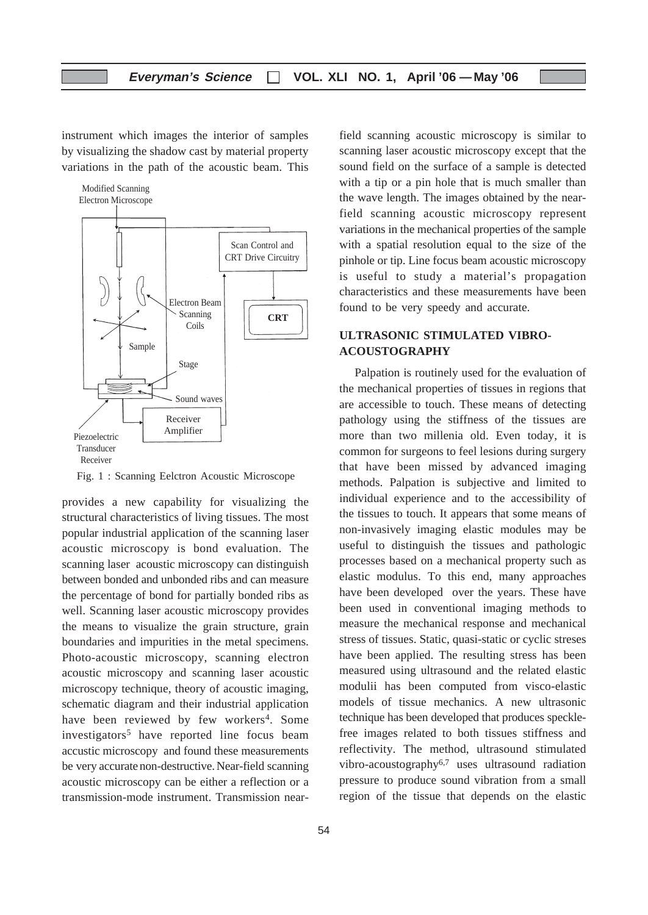instrument which images the interior of samples by visualizing the shadow cast by material property variations in the path of the acoustic beam. This



Fig. 1 : Scanning Eelctron Acoustic Microscope

provides a new capability for visualizing the structural characteristics of living tissues. The most popular industrial application of the scanning laser acoustic microscopy is bond evaluation. The scanning laser acoustic microscopy can distinguish between bonded and unbonded ribs and can measure the percentage of bond for partially bonded ribs as well. Scanning laser acoustic microscopy provides the means to visualize the grain structure, grain boundaries and impurities in the metal specimens. Photo-acoustic microscopy, scanning electron acoustic microscopy and scanning laser acoustic microscopy technique, theory of acoustic imaging, schematic diagram and their industrial application have been reviewed by few workers<sup>4</sup>. Some investigators<sup>5</sup> have reported line focus beam accustic microscopy and found these measurements be very accurate non-destructive. Near-field scanning acoustic microscopy can be either a reflection or a transmission-mode instrument. Transmission nearfield scanning acoustic microscopy is similar to scanning laser acoustic microscopy except that the sound field on the surface of a sample is detected with a tip or a pin hole that is much smaller than the wave length. The images obtained by the nearfield scanning acoustic microscopy represent variations in the mechanical properties of the sample with a spatial resolution equal to the size of the pinhole or tip. Line focus beam acoustic microscopy is useful to study a material's propagation characteristics and these measurements have been found to be very speedy and accurate.

# **ULTRASONIC STIMULATED VIBRO-ACOUSTOGRAPHY**

Palpation is routinely used for the evaluation of the mechanical properties of tissues in regions that are accessible to touch. These means of detecting pathology using the stiffness of the tissues are more than two millenia old. Even today, it is common for surgeons to feel lesions during surgery that have been missed by advanced imaging methods. Palpation is subjective and limited to individual experience and to the accessibility of the tissues to touch. It appears that some means of non-invasively imaging elastic modules may be useful to distinguish the tissues and pathologic processes based on a mechanical property such as elastic modulus. To this end, many approaches have been developed over the years. These have been used in conventional imaging methods to measure the mechanical response and mechanical stress of tissues. Static, quasi-static or cyclic streses have been applied. The resulting stress has been measured using ultrasound and the related elastic modulii has been computed from visco-elastic models of tissue mechanics. A new ultrasonic technique has been developed that produces specklefree images related to both tissues stiffness and reflectivity. The method, ultrasound stimulated vibro-acoustography<sup>6,7</sup> uses ultrasound radiation pressure to produce sound vibration from a small region of the tissue that depends on the elastic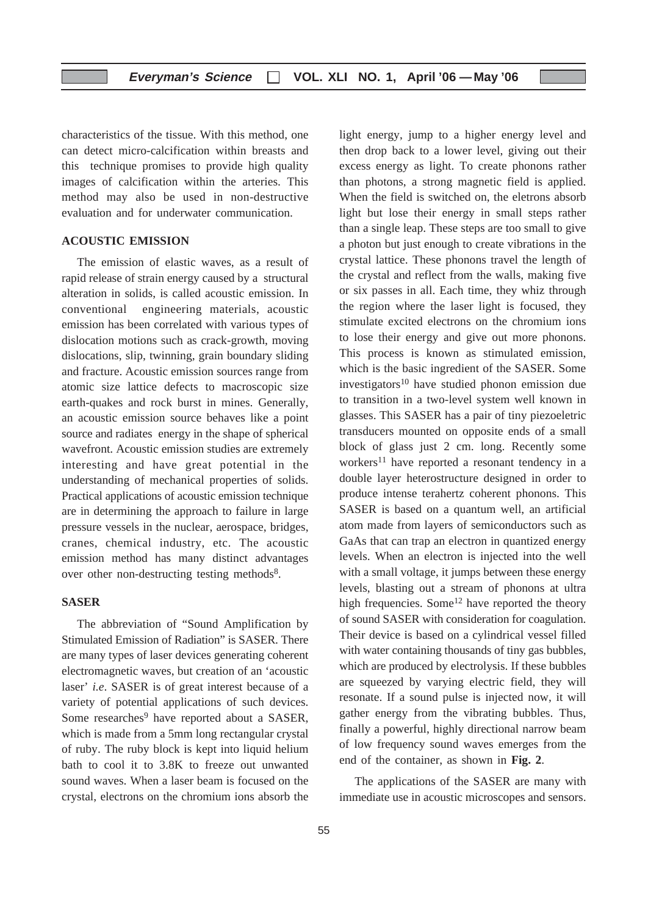characteristics of the tissue. With this method, one can detect micro-calcification within breasts and this technique promises to provide high quality images of calcification within the arteries. This method may also be used in non-destructive evaluation and for underwater communication.

## **ACOUSTIC EMISSION**

The emission of elastic waves, as a result of rapid release of strain energy caused by a structural alteration in solids, is called acoustic emission. In conventional engineering materials, acoustic emission has been correlated with various types of dislocation motions such as crack-growth, moving dislocations, slip, twinning, grain boundary sliding and fracture. Acoustic emission sources range from atomic size lattice defects to macroscopic size earth-quakes and rock burst in mines. Generally, an acoustic emission source behaves like a point source and radiates energy in the shape of spherical wavefront. Acoustic emission studies are extremely interesting and have great potential in the understanding of mechanical properties of solids. Practical applications of acoustic emission technique are in determining the approach to failure in large pressure vessels in the nuclear, aerospace, bridges, cranes, chemical industry, etc. The acoustic emission method has many distinct advantages over other non-destructing testing methods<sup>8</sup>.

### **SASER**

The abbreviation of "Sound Amplification by Stimulated Emission of Radiation" is SASER. There are many types of laser devices generating coherent electromagnetic waves, but creation of an 'acoustic laser' *i.e*. SASER is of great interest because of a variety of potential applications of such devices. Some researches<sup>9</sup> have reported about a SASER, which is made from a 5mm long rectangular crystal of ruby. The ruby block is kept into liquid helium bath to cool it to 3.8K to freeze out unwanted sound waves. When a laser beam is focused on the crystal, electrons on the chromium ions absorb the light energy, jump to a higher energy level and then drop back to a lower level, giving out their excess energy as light. To create phonons rather than photons, a strong magnetic field is applied. When the field is switched on, the eletrons absorb light but lose their energy in small steps rather than a single leap. These steps are too small to give a photon but just enough to create vibrations in the crystal lattice. These phonons travel the length of the crystal and reflect from the walls, making five or six passes in all. Each time, they whiz through the region where the laser light is focused, they stimulate excited electrons on the chromium ions to lose their energy and give out more phonons. This process is known as stimulated emission, which is the basic ingredient of the SASER. Some investigators10 have studied phonon emission due to transition in a two-level system well known in glasses. This SASER has a pair of tiny piezoeletric transducers mounted on opposite ends of a small block of glass just 2 cm. long. Recently some workers<sup>11</sup> have reported a resonant tendency in a double layer heterostructure designed in order to produce intense terahertz coherent phonons. This SASER is based on a quantum well, an artificial atom made from layers of semiconductors such as GaAs that can trap an electron in quantized energy levels. When an electron is injected into the well with a small voltage, it jumps between these energy levels, blasting out a stream of phonons at ultra high frequencies. Some $12$  have reported the theory of sound SASER with consideration for coagulation. Their device is based on a cylindrical vessel filled with water containing thousands of tiny gas bubbles, which are produced by electrolysis. If these bubbles are squeezed by varying electric field, they will resonate. If a sound pulse is injected now, it will gather energy from the vibrating bubbles. Thus, finally a powerful, highly directional narrow beam of low frequency sound waves emerges from the end of the container, as shown in **Fig. 2**.

The applications of the SASER are many with immediate use in acoustic microscopes and sensors.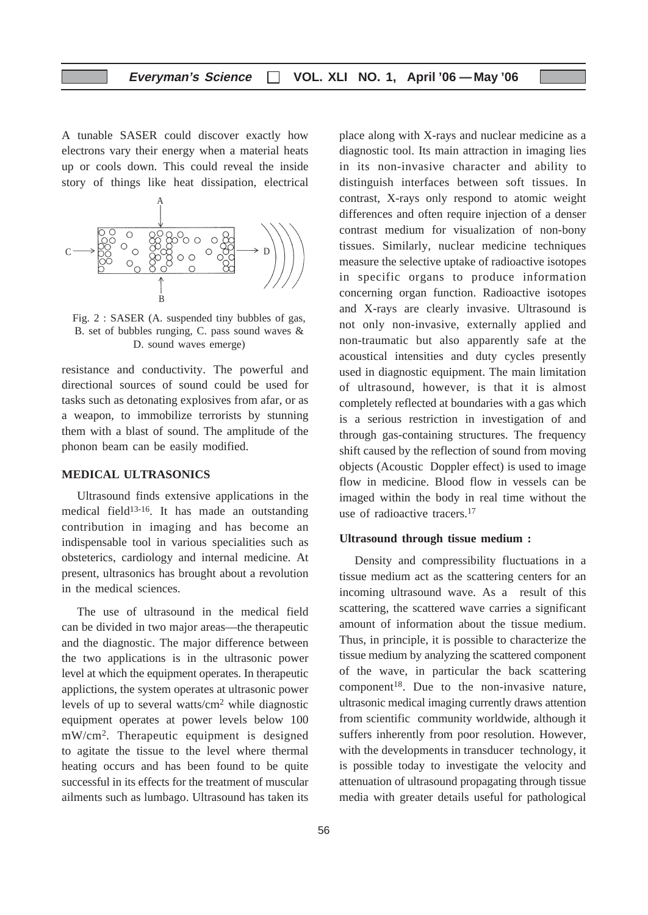A tunable SASER could discover exactly how electrons vary their energy when a material heats up or cools down. This could reveal the inside story of things like heat dissipation, electrical



Fig. 2 : SASER (A. suspended tiny bubbles of gas, B. set of bubbles runging, C. pass sound waves & D. sound waves emerge)

resistance and conductivity. The powerful and directional sources of sound could be used for tasks such as detonating explosives from afar, or as a weapon, to immobilize terrorists by stunning them with a blast of sound. The amplitude of the phonon beam can be easily modified.

#### **MEDICAL ULTRASONICS**

Ultrasound finds extensive applications in the medical field13-16. It has made an outstanding contribution in imaging and has become an indispensable tool in various specialities such as obsteterics, cardiology and internal medicine. At present, ultrasonics has brought about a revolution in the medical sciences.

The use of ultrasound in the medical field can be divided in two major areas—the therapeutic and the diagnostic. The major difference between the two applications is in the ultrasonic power level at which the equipment operates. In therapeutic applictions, the system operates at ultrasonic power levels of up to several watts/cm2 while diagnostic equipment operates at power levels below 100 mW/cm2. Therapeutic equipment is designed to agitate the tissue to the level where thermal heating occurs and has been found to be quite successful in its effects for the treatment of muscular ailments such as lumbago. Ultrasound has taken its

place along with X-rays and nuclear medicine as a diagnostic tool. Its main attraction in imaging lies in its non-invasive character and ability to distinguish interfaces between soft tissues. In contrast, X-rays only respond to atomic weight differences and often require injection of a denser contrast medium for visualization of non-bony tissues. Similarly, nuclear medicine techniques measure the selective uptake of radioactive isotopes in specific organs to produce information concerning organ function. Radioactive isotopes and X-rays are clearly invasive. Ultrasound is not only non-invasive, externally applied and non-traumatic but also apparently safe at the acoustical intensities and duty cycles presently used in diagnostic equipment. The main limitation of ultrasound, however, is that it is almost completely reflected at boundaries with a gas which is a serious restriction in investigation of and through gas-containing structures. The frequency shift caused by the reflection of sound from moving objects (Acoustic Doppler effect) is used to image flow in medicine. Blood flow in vessels can be imaged within the body in real time without the use of radioactive tracers.<sup>17</sup>

#### **Ultrasound through tissue medium :**

Density and compressibility fluctuations in a tissue medium act as the scattering centers for an incoming ultrasound wave. As a result of this scattering, the scattered wave carries a significant amount of information about the tissue medium. Thus, in principle, it is possible to characterize the tissue medium by analyzing the scattered component of the wave, in particular the back scattering  $component<sup>18</sup>$ . Due to the non-invasive nature, ultrasonic medical imaging currently draws attention from scientific community worldwide, although it suffers inherently from poor resolution. However, with the developments in transducer technology, it is possible today to investigate the velocity and attenuation of ultrasound propagating through tissue media with greater details useful for pathological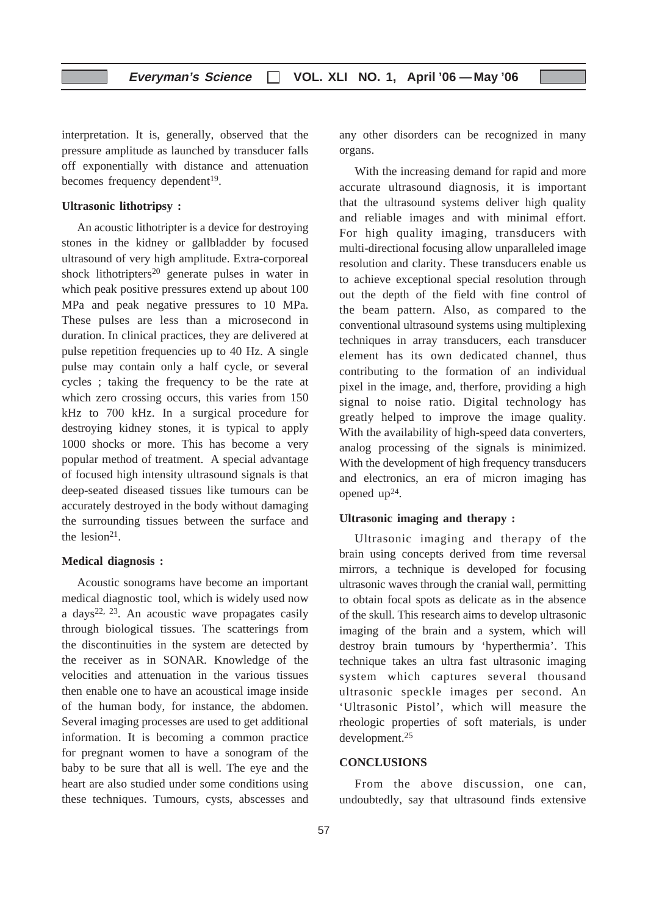interpretation. It is, generally, observed that the pressure amplitude as launched by transducer falls off exponentially with distance and attenuation becomes frequency dependent<sup>19</sup>.

## **Ultrasonic lithotripsy :**

An acoustic lithotripter is a device for destroying stones in the kidney or gallbladder by focused ultrasound of very high amplitude. Extra-corporeal shock lithotripters<sup>20</sup> generate pulses in water in which peak positive pressures extend up about 100 MPa and peak negative pressures to 10 MPa. These pulses are less than a microsecond in duration. In clinical practices, they are delivered at pulse repetition frequencies up to 40 Hz. A single pulse may contain only a half cycle, or several cycles ; taking the frequency to be the rate at which zero crossing occurs, this varies from 150 kHz to 700 kHz. In a surgical procedure for destroying kidney stones, it is typical to apply 1000 shocks or more. This has become a very popular method of treatment. A special advantage of focused high intensity ultrasound signals is that deep-seated diseased tissues like tumours can be accurately destroyed in the body without damaging the surrounding tissues between the surface and the lesion<sup>21</sup>.

### **Medical diagnosis :**

Acoustic sonograms have become an important medical diagnostic tool, which is widely used now a days<sup>22, 23</sup>. An acoustic wave propagates casily through biological tissues. The scatterings from the discontinuities in the system are detected by the receiver as in SONAR. Knowledge of the velocities and attenuation in the various tissues then enable one to have an acoustical image inside of the human body, for instance, the abdomen. Several imaging processes are used to get additional information. It is becoming a common practice for pregnant women to have a sonogram of the baby to be sure that all is well. The eye and the heart are also studied under some conditions using these techniques. Tumours, cysts, abscesses and

any other disorders can be recognized in many organs.

With the increasing demand for rapid and more accurate ultrasound diagnosis, it is important that the ultrasound systems deliver high quality and reliable images and with minimal effort. For high quality imaging, transducers with multi-directional focusing allow unparalleled image resolution and clarity. These transducers enable us to achieve exceptional special resolution through out the depth of the field with fine control of the beam pattern. Also, as compared to the conventional ultrasound systems using multiplexing techniques in array transducers, each transducer element has its own dedicated channel, thus contributing to the formation of an individual pixel in the image, and, therfore, providing a high signal to noise ratio. Digital technology has greatly helped to improve the image quality. With the availability of high-speed data converters, analog processing of the signals is minimized. With the development of high frequency transducers and electronics, an era of micron imaging has opened up24.

## **Ultrasonic imaging and therapy :**

Ultrasonic imaging and therapy of the brain using concepts derived from time reversal mirrors, a technique is developed for focusing ultrasonic waves through the cranial wall, permitting to obtain focal spots as delicate as in the absence of the skull. This research aims to develop ultrasonic imaging of the brain and a system, which will destroy brain tumours by 'hyperthermia'. This technique takes an ultra fast ultrasonic imaging system which captures several thousand ultrasonic speckle images per second. An 'Ultrasonic Pistol', which will measure the rheologic properties of soft materials, is under development.25

#### **CONCLUSIONS**

From the above discussion, one can, undoubtedly, say that ultrasound finds extensive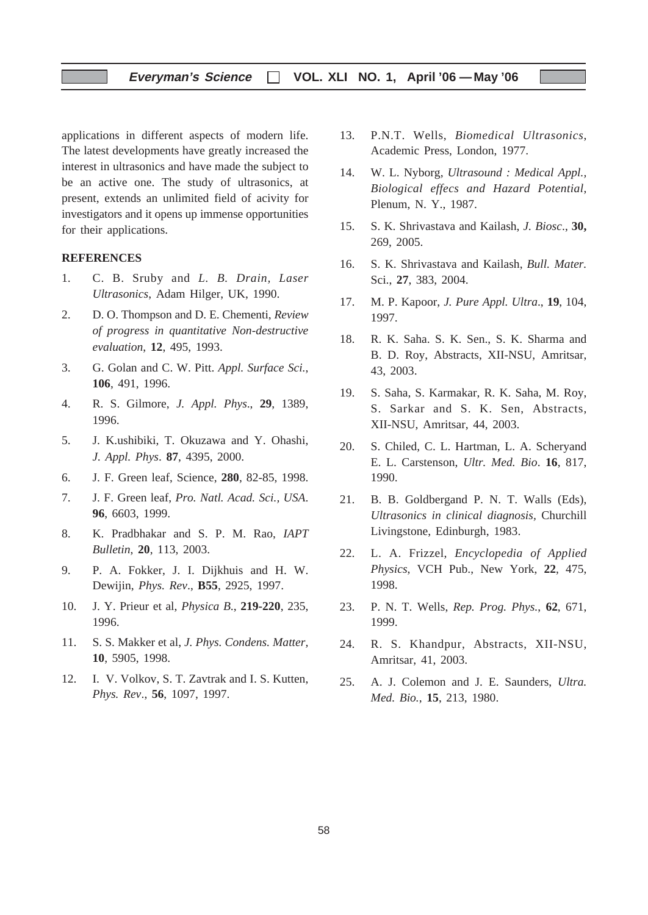applications in different aspects of modern life. The latest developments have greatly increased the interest in ultrasonics and have made the subject to be an active one. The study of ultrasonics, at present, extends an unlimited field of acivity for investigators and it opens up immense opportunities for their applications.

## **REFERENCES**

- 1. C. B. Sruby and *L. B. Drain, Laser Ultrasonics*, Adam Hilger, UK, 1990.
- 2. D. O. Thompson and D. E. Chementi, *Review of progress in quantitative Non-destructive evaluation*, **12**, 495, 1993.
- 3. G. Golan and C. W. Pitt. *Appl. Surface Sci.*, **106**, 491, 1996.
- 4. R. S. Gilmore, *J. Appl. Phys*., **29**, 1389, 1996.
- 5. J. K.ushibiki, T. Okuzawa and Y. Ohashi, *J. Appl. Phys*. **87**, 4395, 2000.
- 6. J. F. Green leaf, Science, **280**, 82-85, 1998.
- 7. J. F. Green leaf, *Pro. Natl. Acad. Sci., USA*. **96**, 6603, 1999.
- 8. K. Pradbhakar and S. P. M. Rao, *IAPT Bulletin*, **20**, 113, 2003.
- 9. P. A. Fokker, J. I. Dijkhuis and H. W. Dewijin, *Phys. Rev*., **B55**, 2925, 1997.
- 10. J. Y. Prieur et al, *Physica B*., **219-220**, 235, 1996.
- 11. S. S. Makker et al, *J. Phys. Condens. Matter,* **10**, 5905, 1998.
- 12. I. V. Volkov, S. T. Zavtrak and I. S. Kutten, *Phys. Rev*., **56**, 1097, 1997.
- 13. P.N.T. Wells, *Biomedical Ultrasonics*, Academic Press, London, 1977.
- 14. W. L. Nyborg, *Ultrasound : Medical Appl., Biological effecs and Hazard Potential*, Plenum, N. Y., 1987.
- 15. S. K. Shrivastava and Kailash, *J. Biosc*., **30,** 269, 2005.
- 16. S. K. Shrivastava and Kailash, *Bull. Mater.* Sci., **27**, 383, 2004.
- 17. M. P. Kapoor, *J. Pure Appl. Ultra*., **19**, 104, 1997.
- 18. R. K. Saha. S. K. Sen., S. K. Sharma and B. D. Roy, Abstracts, XII-NSU, Amritsar, 43, 2003.
- 19. S. Saha, S. Karmakar, R. K. Saha, M. Roy, S. Sarkar and S. K. Sen, Abstracts, XII-NSU, Amritsar, 44, 2003.
- 20. S. Chiled, C. L. Hartman, L. A. Scheryand E. L. Carstenson, *Ultr. Med. Bio*. **16**, 817, 1990.
- 21. B. B. Goldbergand P. N. T. Walls (Eds), *Ultrasonics in clinical diagnosis,* Churchill Livingstone, Edinburgh, 1983.
- 22. L. A. Frizzel, *Encyclopedia of Applied Physics*, VCH Pub., New York, **22**, 475, 1998.
- 23. P. N. T. Wells, *Rep. Prog. Phys.*, **62**, 671, 1999.
- 24. R. S. Khandpur, Abstracts, XII-NSU, Amritsar, 41, 2003.
- 25. A. J. Colemon and J. E. Saunders, *Ultra. Med. Bio.*, **15**, 213, 1980.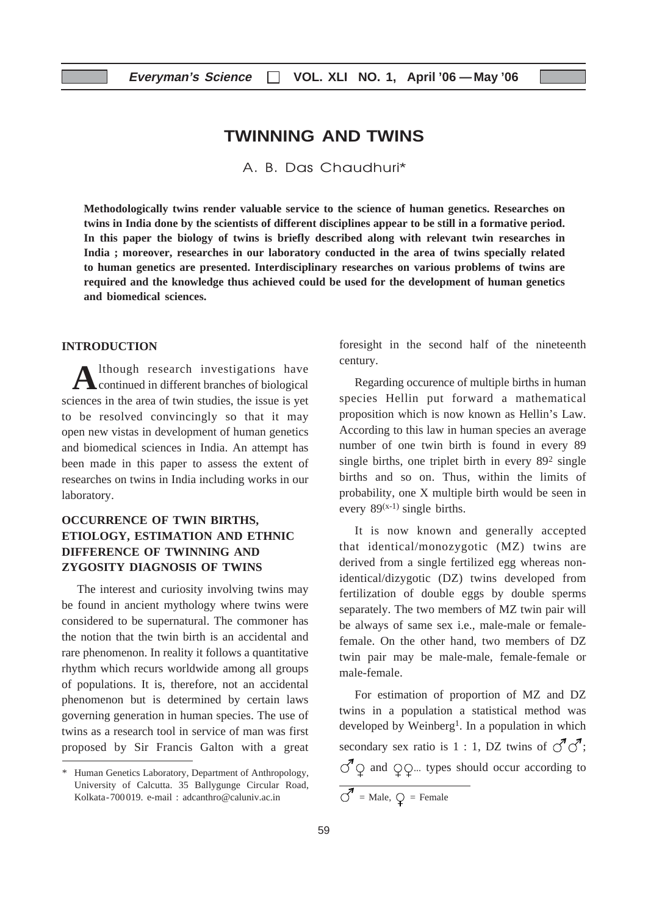# **TWINNING AND TWINS**

A. B. Das Chaudhuri\*

**Methodologically twins render valuable service to the science of human genetics. Researches on twins in India done by the scientists of different disciplines appear to be still in a formative period. In this paper the biology of twins is briefly described along with relevant twin researches in India ; moreover, researches in our laboratory conducted in the area of twins specially related to human genetics are presented. Interdisciplinary researches on various problems of twins are required and the knowledge thus achieved could be used for the development of human genetics and biomedical sciences.**

## **INTRODUCTION**

A lthough research investigations have<br>continued in different branches of biological lthough research investigations have sciences in the area of twin studies, the issue is yet to be resolved convincingly so that it may open new vistas in development of human genetics and biomedical sciences in India. An attempt has been made in this paper to assess the extent of researches on twins in India including works in our laboratory.

# **OCCURRENCE OF TWIN BIRTHS, ETIOLOGY, ESTIMATION AND ETHNIC DIFFERENCE OF TWINNING AND ZYGOSITY DIAGNOSIS OF TWINS**

The interest and curiosity involving twins may be found in ancient mythology where twins were considered to be supernatural. The commoner has the notion that the twin birth is an accidental and rare phenomenon. In reality it follows a quantitative rhythm which recurs worldwide among all groups of populations. It is, therefore, not an accidental phenomenon but is determined by certain laws governing generation in human species. The use of twins as a research tool in service of man was first proposed by Sir Francis Galton with a great foresight in the second half of the nineteenth century.

Regarding occurence of multiple births in human species Hellin put forward a mathematical proposition which is now known as Hellin's Law. According to this law in human species an average number of one twin birth is found in every 89 single births, one triplet birth in every 89<sup>2</sup> single births and so on. Thus, within the limits of probability, one X multiple birth would be seen in every  $89^{(x-1)}$  single births.

It is now known and generally accepted that identical/monozygotic (MZ) twins are derived from a single fertilized egg whereas nonidentical/dizygotic (DZ) twins developed from fertilization of double eggs by double sperms separately. The two members of MZ twin pair will be always of same sex i.e., male-male or femalefemale. On the other hand, two members of DZ twin pair may be male-male, female-female or male-female.

For estimation of proportion of MZ and DZ twins in a population a statistical method was developed by Weinberg<sup>1</sup>. In a population in which secondary sex ratio is 1 : 1, DZ twins of  $\mathcal{O}^7 \mathcal{O}^7$ ;  $\overrightarrow{O}$  and  $\overrightarrow{O}$  and  $\overrightarrow{O}$  types should occur according to  $\overline{C}^7$  = Male,  $\overline{Q}$  = Female

<sup>\*</sup> Human Genetics Laboratory, Department of Anthropology, University of Calcutta. 35 Ballygunge Circular Road, Kolkata-700 019. e-mail : adcanthro@caluniv.ac.in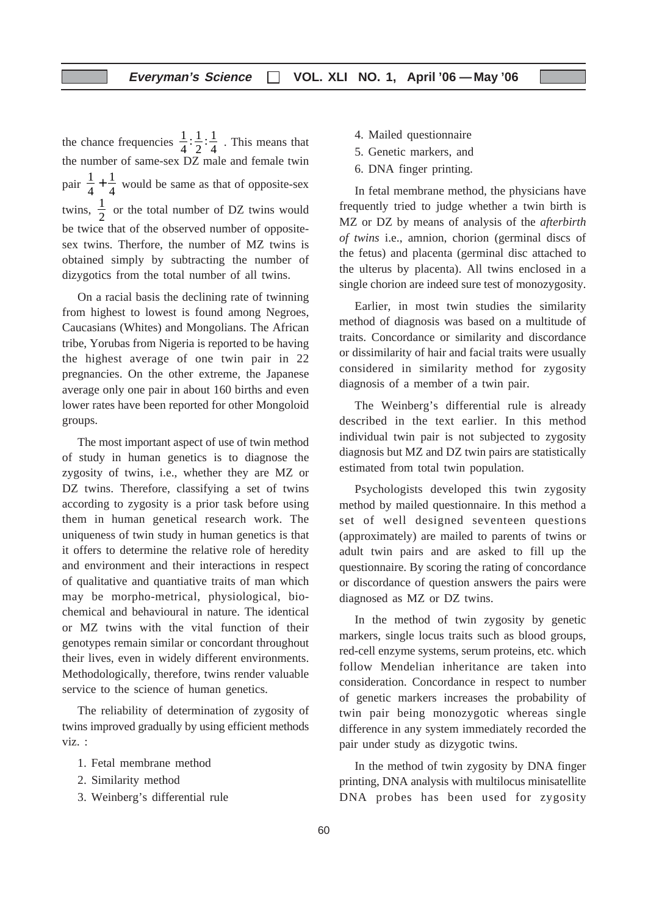the chance frequencies  $\frac{1}{4}$ 1 2 1  $:\frac{1}{2}:\frac{1}{4}$ . This means that the number of same-sex DZ male and female twin pair  $\frac{1}{4}$ 1  $+\frac{1}{4}$  would be same as that of opposite-sex twins,  $\frac{1}{2}$  or the total number of DZ twins would be twice that of the observed number of oppositesex twins. Therfore, the number of MZ twins is obtained simply by subtracting the number of dizygotics from the total number of all twins.

On a racial basis the declining rate of twinning from highest to lowest is found among Negroes, Caucasians (Whites) and Mongolians. The African tribe, Yorubas from Nigeria is reported to be having the highest average of one twin pair in 22 pregnancies. On the other extreme, the Japanese average only one pair in about 160 births and even lower rates have been reported for other Mongoloid groups.

The most important aspect of use of twin method of study in human genetics is to diagnose the zygosity of twins, i.e., whether they are MZ or DZ twins. Therefore, classifying a set of twins according to zygosity is a prior task before using them in human genetical research work. The uniqueness of twin study in human genetics is that it offers to determine the relative role of heredity and environment and their interactions in respect of qualitative and quantiative traits of man which may be morpho-metrical, physiological, biochemical and behavioural in nature. The identical or MZ twins with the vital function of their genotypes remain similar or concordant throughout their lives, even in widely different environments. Methodologically, therefore, twins render valuable service to the science of human genetics.

The reliability of determination of zygosity of twins improved gradually by using efficient methods viz. :

- 1. Fetal membrane method
- 2. Similarity method
- 3. Weinberg's differential rule
- 4. Mailed questionnaire
- 5. Genetic markers, and
- 6. DNA finger printing.

In fetal membrane method, the physicians have frequently tried to judge whether a twin birth is MZ or DZ by means of analysis of the *afterbirth of twins* i.e., amnion, chorion (germinal discs of the fetus) and placenta (germinal disc attached to the ulterus by placenta). All twins enclosed in a single chorion are indeed sure test of monozygosity.

Earlier, in most twin studies the similarity method of diagnosis was based on a multitude of traits. Concordance or similarity and discordance or dissimilarity of hair and facial traits were usually considered in similarity method for zygosity diagnosis of a member of a twin pair.

The Weinberg's differential rule is already described in the text earlier. In this method individual twin pair is not subjected to zygosity diagnosis but MZ and DZ twin pairs are statistically estimated from total twin population.

Psychologists developed this twin zygosity method by mailed questionnaire. In this method a set of well designed seventeen questions (approximately) are mailed to parents of twins or adult twin pairs and are asked to fill up the questionnaire. By scoring the rating of concordance or discordance of question answers the pairs were diagnosed as MZ or DZ twins.

In the method of twin zygosity by genetic markers, single locus traits such as blood groups, red-cell enzyme systems, serum proteins, etc. which follow Mendelian inheritance are taken into consideration. Concordance in respect to number of genetic markers increases the probability of twin pair being monozygotic whereas single difference in any system immediately recorded the pair under study as dizygotic twins.

In the method of twin zygosity by DNA finger printing, DNA analysis with multilocus minisatellite DNA probes has been used for zygosity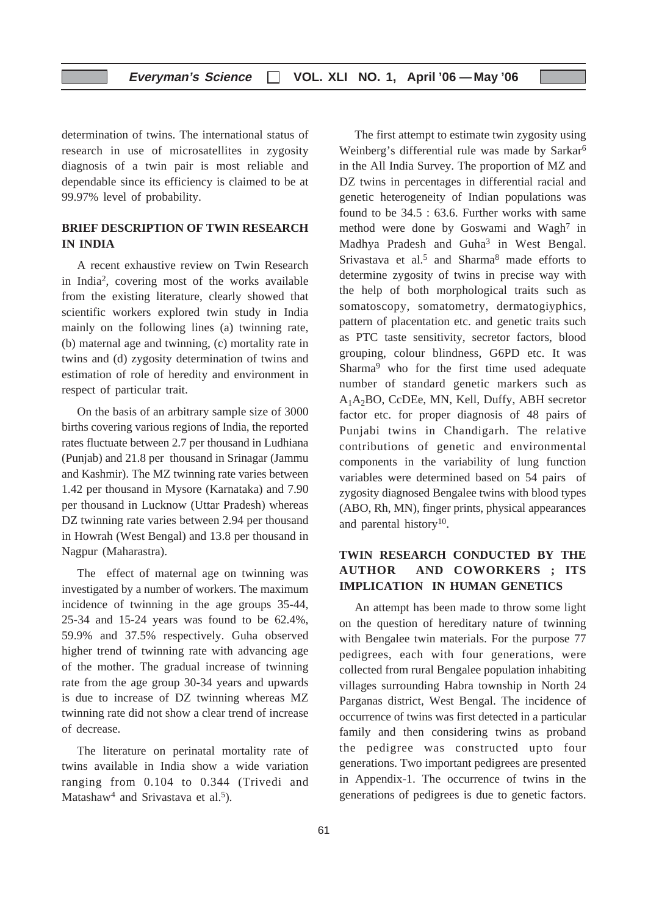determination of twins. The international status of research in use of microsatellites in zygosity diagnosis of a twin pair is most reliable and dependable since its efficiency is claimed to be at 99.97% level of probability.

## **BRIEF DESCRIPTION OF TWIN RESEARCH IN INDIA**

A recent exhaustive review on Twin Research in India2, covering most of the works available from the existing literature, clearly showed that scientific workers explored twin study in India mainly on the following lines (a) twinning rate, (b) maternal age and twinning, (c) mortality rate in twins and (d) zygosity determination of twins and estimation of role of heredity and environment in respect of particular trait.

On the basis of an arbitrary sample size of 3000 births covering various regions of India, the reported rates fluctuate between 2.7 per thousand in Ludhiana (Punjab) and 21.8 per thousand in Srinagar (Jammu and Kashmir). The MZ twinning rate varies between 1.42 per thousand in Mysore (Karnataka) and 7.90 per thousand in Lucknow (Uttar Pradesh) whereas DZ twinning rate varies between 2.94 per thousand in Howrah (West Bengal) and 13.8 per thousand in Nagpur (Maharastra).

The effect of maternal age on twinning was investigated by a number of workers. The maximum incidence of twinning in the age groups 35-44, 25-34 and 15-24 years was found to be 62.4%, 59.9% and 37.5% respectively. Guha observed higher trend of twinning rate with advancing age of the mother. The gradual increase of twinning rate from the age group 30-34 years and upwards is due to increase of DZ twinning whereas MZ twinning rate did not show a clear trend of increase of decrease.

The literature on perinatal mortality rate of twins available in India show a wide variation ranging from 0.104 to 0.344 (Trivedi and Matashaw<sup>4</sup> and Srivastava et al.<sup>5</sup>).

The first attempt to estimate twin zygosity using Weinberg's differential rule was made by Sarkar<sup>6</sup> in the All India Survey. The proportion of MZ and DZ twins in percentages in differential racial and genetic heterogeneity of Indian populations was found to be 34.5 : 63.6. Further works with same method were done by Goswami and Wagh<sup>7</sup> in Madhya Pradesh and Guha<sup>3</sup> in West Bengal. Srivastava et al.<sup>5</sup> and Sharma<sup>8</sup> made efforts to determine zygosity of twins in precise way with the help of both morphological traits such as somatoscopy, somatometry, dermatogiyphics, pattern of placentation etc. and genetic traits such as PTC taste sensitivity, secretor factors, blood grouping, colour blindness, G6PD etc. It was Sharma9 who for the first time used adequate number of standard genetic markers such as A1A2BO, CcDEe, MN, Kell, Duffy, ABH secretor factor etc. for proper diagnosis of 48 pairs of Punjabi twins in Chandigarh. The relative contributions of genetic and environmental components in the variability of lung function variables were determined based on 54 pairs of zygosity diagnosed Bengalee twins with blood types (ABO, Rh, MN), finger prints, physical appearances and parental history<sup>10</sup>.

## **TWIN RESEARCH CONDUCTED BY THE AUTHOR AND COWORKERS ; ITS IMPLICATION IN HUMAN GENETICS**

An attempt has been made to throw some light on the question of hereditary nature of twinning with Bengalee twin materials. For the purpose 77 pedigrees, each with four generations, were collected from rural Bengalee population inhabiting villages surrounding Habra township in North 24 Parganas district, West Bengal. The incidence of occurrence of twins was first detected in a particular family and then considering twins as proband the pedigree was constructed upto four generations. Two important pedigrees are presented in Appendix-1. The occurrence of twins in the generations of pedigrees is due to genetic factors.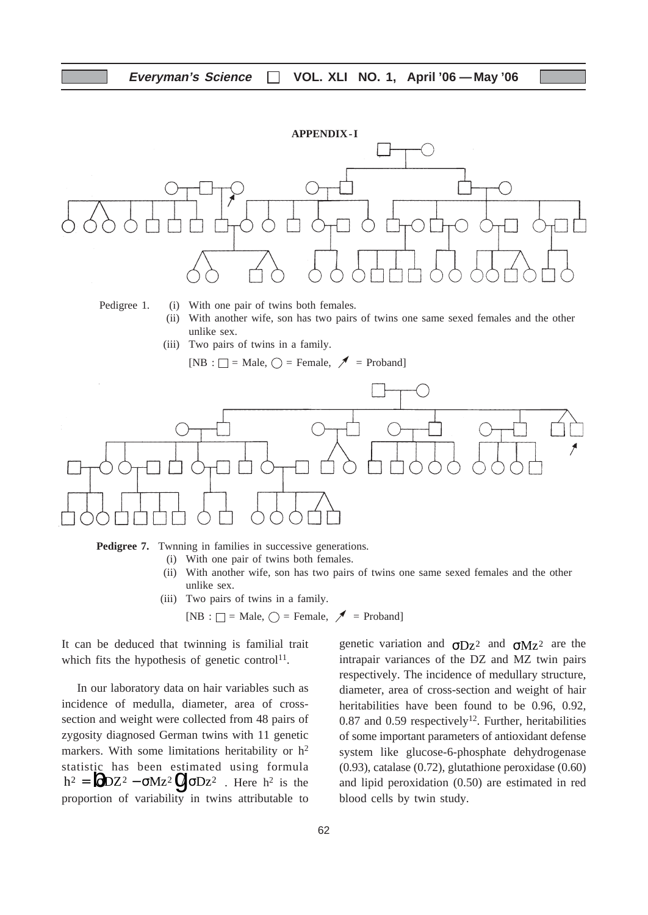

- (i) With one pair of twins both females.
- (ii) With another wife, son has two pairs of twins one same sexed females and the other unlike sex.
- (iii) Two pairs of twins in a family.

[NB : 
$$
\square
$$
 = Male,  $\bigcirc$  = Female,  $\nearrow$  = Proband]

It can be deduced that twinning is familial trait which fits the hypothesis of genetic control<sup>11</sup>.

In our laboratory data on hair variables such as incidence of medulla, diameter, area of crosssection and weight were collected from 48 pairs of zygosity diagnosed German twins with 11 genetic markers. With some limitations heritability or  $h^2$ statistic has been estimated using formula  $h^2 = \text{CD}Z^2 - \sigma Mz^2 \text{ }Q \sigma Dz^2$ . Here  $h^2$  is the proportion of variability in twins attributable to

genetic variation and  $\sigma Dz^2$  and  $\sigma Mz^2$  are the intrapair variances of the DZ and MZ twin pairs respectively. The incidence of medullary structure, diameter, area of cross-section and weight of hair heritabilities have been found to be 0.96, 0.92, 0.87 and 0.59 respectively<sup>12</sup>. Further, heritabilities of some important parameters of antioxidant defense system like glucose-6-phosphate dehydrogenase (0.93), catalase (0.72), glutathione peroxidase (0.60) and lipid peroxidation (0.50) are estimated in red blood cells by twin study.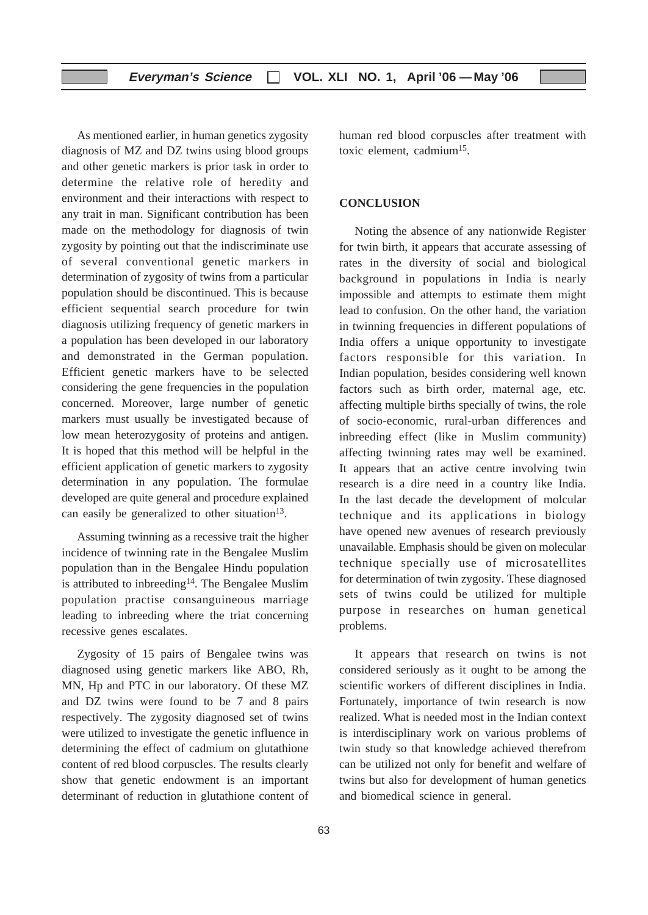As mentioned earlier, in human genetics zygosity diagnosis of MZ and DZ twins using blood groups and other genetic markers is prior task in order to determine the relative role of heredity and environment and their interactions with respect to any trait in man. Significant contribution has been made on the methodology for diagnosis of twin zygosity by pointing out that the indiscriminate use of several conventional genetic markers in determination of zygosity of twins from a particular population should be discontinued. This is because efficient sequential search procedure for twin diagnosis utilizing frequency of genetic markers in a population has been developed in our laboratory and demonstrated in the German population. Efficient genetic markers have to be selected considering the gene frequencies in the population concerned. Moreover, large number of genetic markers must usually be investigated because of low mean heterozygosity of proteins and antigen. It is hoped that this method will be helpful in the efficient application of genetic markers to zygosity determination in any population. The formulae developed are quite general and procedure explained can easily be generalized to other situation<sup>13</sup>.

Assuming twinning as a recessive trait the higher incidence of twinning rate in the Bengalee Muslim population than in the Bengalee Hindu population is attributed to inbreeding<sup>14</sup>. The Bengalee Muslim population practise consanguineous marriage leading to inbreeding where the triat concerning recessive genes escalates.

Zygosity of 15 pairs of Bengalee twins was diagnosed using genetic markers like ABO, Rh, MN, Hp and PTC in our laboratory. Of these MZ and DZ twins were found to be 7 and 8 pairs respectively. The zygosity diagnosed set of twins were utilized to investigate the genetic influence in determining the effect of cadmium on glutathione content of red blood corpuscles. The results clearly show that genetic endowment is an important determinant of reduction in glutathione content of human red blood corpuscles after treatment with toxic element, cadmium15.

#### **CONCLUSION**

Noting the absence of any nationwide Register for twin birth, it appears that accurate assessing of rates in the diversity of social and biological background in populations in India is nearly impossible and attempts to estimate them might lead to confusion. On the other hand, the variation in twinning frequencies in different populations of India offers a unique opportunity to investigate factors responsible for this variation. In Indian population, besides considering well known factors such as birth order, maternal age, etc. affecting multiple births specially of twins, the role of socio-economic, rural-urban differences and inbreeding effect (like in Muslim community) affecting twinning rates may well be examined. It appears that an active centre involving twin research is a dire need in a country like India. In the last decade the development of molcular technique and its applications in biology have opened new avenues of research previously unavailable. Emphasis should be given on molecular technique specially use of microsatellites for determination of twin zygosity. These diagnosed sets of twins could be utilized for multiple purpose in researches on human genetical problems.

It appears that research on twins is not considered seriously as it ought to be among the scientific workers of different disciplines in India. Fortunately, importance of twin research is now realized. What is needed most in the Indian context is interdisciplinary work on various problems of twin study so that knowledge achieved therefrom can be utilized not only for benefit and welfare of twins but also for development of human genetics and biomedical science in general.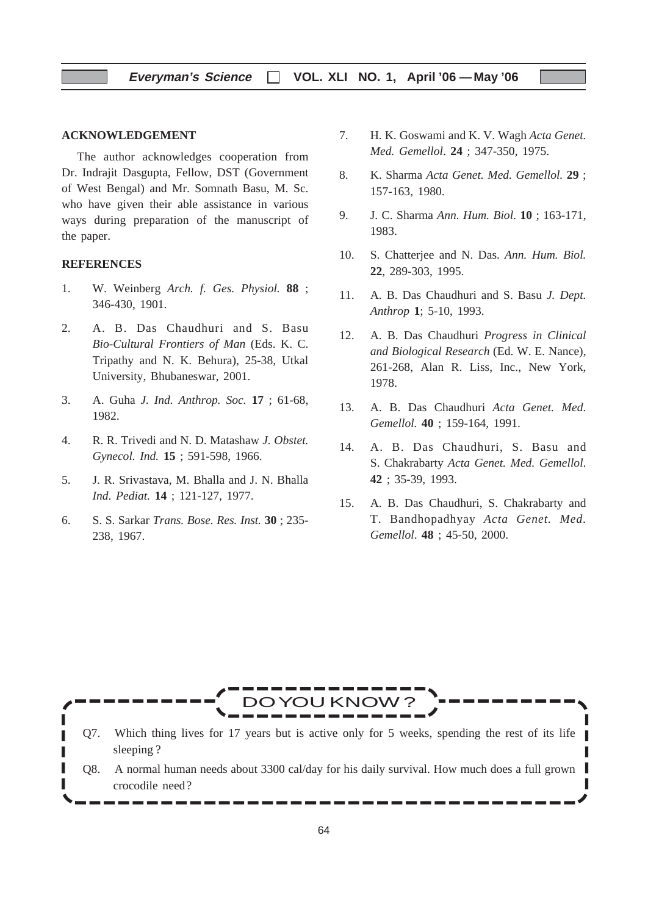### **ACKNOWLEDGEMENT**

The author acknowledges cooperation from Dr. Indrajit Dasgupta, Fellow, DST (Government of West Bengal) and Mr. Somnath Basu, M. Sc. who have given their able assistance in various ways during preparation of the manuscript of the paper.

### **REFERENCES**

- 1. W. Weinberg *Arch. f. Ges. Physiol.* **88** ; 346-430, 1901.
- 2. A. B. Das Chaudhuri and S. Basu *Bio-Cultural Frontiers of Man* (Eds. K. C. Tripathy and N. K. Behura), 25-38, Utkal University, Bhubaneswar, 2001.
- 3. A. Guha *J. Ind. Anthrop. Soc.* **17** ; 61-68, 1982.
- 4. R. R. Trivedi and N. D. Matashaw *J. Obstet. Gynecol. Ind.* **15** ; 591-598, 1966.
- 5. J. R. Srivastava, M. Bhalla and J. N. Bhalla *Ind*. *Pediat.* **14** ; 121-127, 1977.
- 6. S. S. Sarkar *Trans. Bose. Res. Inst.* **30** ; 235- 238, 1967.
- 7. H. K. Goswami and K. V. Wagh *Acta Genet. Med. Gemellol*. **24** ; 347-350, 1975.
- 8. K. Sharma *Acta Genet. Med. Gemellol.* **29** ; 157-163, 1980.
- 9. J. C. Sharma *Ann. Hum. Biol*. **10** ; 163-171, 1983.
- 10. S. Chatterjee and N. Das. *Ann. Hum. Biol.* **22**, 289-303, 1995.
- 11. A. B. Das Chaudhuri and S. Basu *J. Dept. Anthrop* **1**; 5-10, 1993.
- 12. A. B. Das Chaudhuri *Progress in Clinical and Biological Research* (Ed. W. E. Nance), 261-268, Alan R. Liss, Inc., New York, 1978.
- 13. A. B. Das Chaudhuri *Acta Genet. Med. Gemellol.* **40** ; 159-164, 1991.
- 14. A. B. Das Chaudhuri, S. Basu and S. Chakrabarty *Acta Genet. Med. Gemellol*. **42** ; 35-39, 1993.
- 15. A. B. Das Chaudhuri, S. Chakrabarty and T. Bandhopadhyay *Acta Genet. Med. Gemellol*. **48** ; 45-50, 2000.

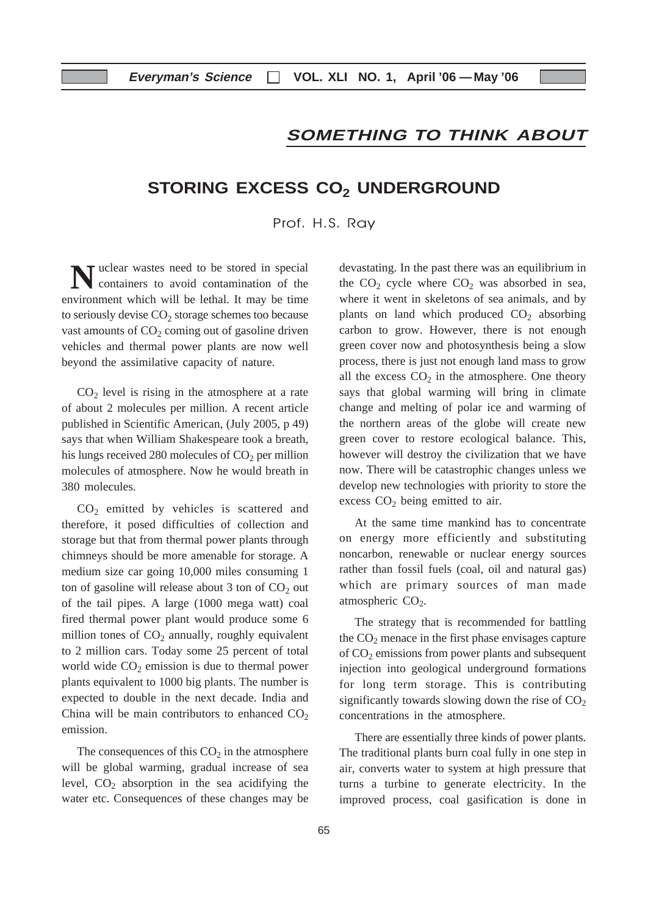# **SOMETHING TO THINK ABOUT**

# **STORING EXCESS CO<sub>2</sub> UNDERGROUND**

Prof. H.S. Ray

**N**uclear wastes need to be stored in special containers to avoid contamination of the environment which will be lethal. It may be time to seriously devise  $CO<sub>2</sub>$  storage schemes too because vast amounts of  $CO<sub>2</sub>$  coming out of gasoline driven vehicles and thermal power plants are now well beyond the assimilative capacity of nature.

 $CO<sub>2</sub>$  level is rising in the atmosphere at a rate of about 2 molecules per million. A recent article published in Scientific American, (July 2005, p 49) says that when William Shakespeare took a breath, his lungs received 280 molecules of  $CO<sub>2</sub>$  per million molecules of atmosphere. Now he would breath in 380 molecules.

CO2 emitted by vehicles is scattered and therefore, it posed difficulties of collection and storage but that from thermal power plants through chimneys should be more amenable for storage. A medium size car going 10,000 miles consuming 1 ton of gasoline will release about 3 ton of  $CO<sub>2</sub>$  out of the tail pipes. A large (1000 mega watt) coal fired thermal power plant would produce some 6 million tones of  $CO<sub>2</sub>$  annually, roughly equivalent to 2 million cars. Today some 25 percent of total world wide  $CO<sub>2</sub>$  emission is due to thermal power plants equivalent to 1000 big plants. The number is expected to double in the next decade. India and China will be main contributors to enhanced  $CO<sub>2</sub>$ emission.

The consequences of this  $CO<sub>2</sub>$  in the atmosphere will be global warming, gradual increase of sea level,  $CO<sub>2</sub>$  absorption in the sea acidifying the water etc. Consequences of these changes may be devastating. In the past there was an equilibrium in the  $CO<sub>2</sub>$  cycle where  $CO<sub>2</sub>$  was absorbed in sea, where it went in skeletons of sea animals, and by plants on land which produced  $CO<sub>2</sub>$  absorbing carbon to grow. However, there is not enough green cover now and photosynthesis being a slow process, there is just not enough land mass to grow all the excess  $CO<sub>2</sub>$  in the atmosphere. One theory says that global warming will bring in climate change and melting of polar ice and warming of the northern areas of the globe will create new green cover to restore ecological balance. This, however will destroy the civilization that we have now. There will be catastrophic changes unless we develop new technologies with priority to store the excess  $CO<sub>2</sub>$  being emitted to air.

At the same time mankind has to concentrate on energy more efficiently and substituting noncarbon, renewable or nuclear energy sources rather than fossil fuels (coal, oil and natural gas) which are primary sources of man made atmospheric  $CO<sub>2</sub>$ .

The strategy that is recommended for battling the  $CO<sub>2</sub>$  menace in the first phase envisages capture of  $CO<sub>2</sub>$  emissions from power plants and subsequent injection into geological underground formations for long term storage. This is contributing significantly towards slowing down the rise of  $CO<sub>2</sub>$ concentrations in the atmosphere.

There are essentially three kinds of power plants. The traditional plants burn coal fully in one step in air, converts water to system at high pressure that turns a turbine to generate electricity. In the improved process, coal gasification is done in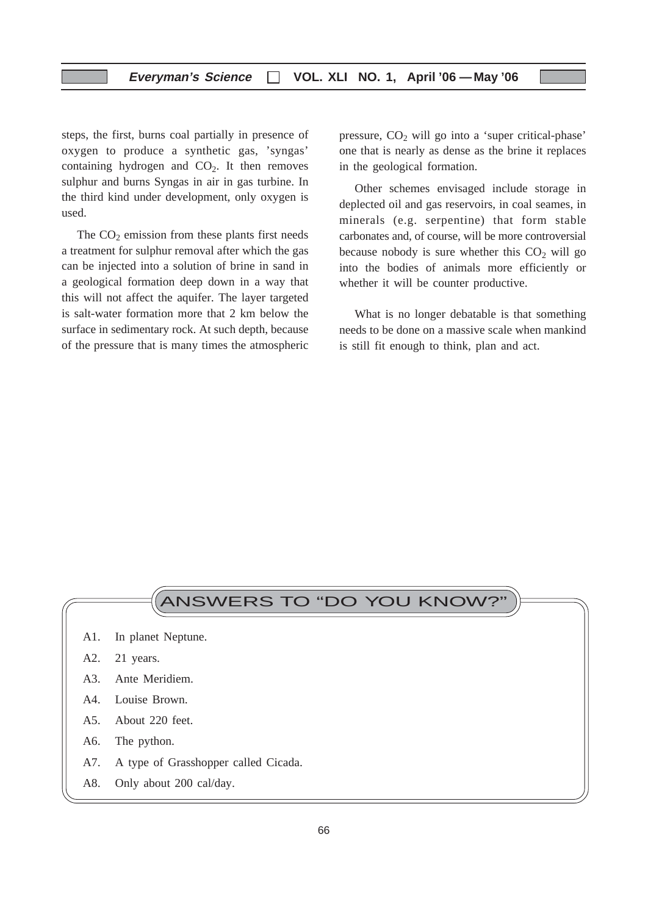steps, the first, burns coal partially in presence of oxygen to produce a synthetic gas, 'syngas' containing hydrogen and  $CO<sub>2</sub>$ . It then removes sulphur and burns Syngas in air in gas turbine. In the third kind under development, only oxygen is used.

The  $CO<sub>2</sub>$  emission from these plants first needs a treatment for sulphur removal after which the gas can be injected into a solution of brine in sand in a geological formation deep down in a way that this will not affect the aquifer. The layer targeted is salt-water formation more that 2 km below the surface in sedimentary rock. At such depth, because of the pressure that is many times the atmospheric pressure,  $CO<sub>2</sub>$  will go into a 'super critical-phase' one that is nearly as dense as the brine it replaces in the geological formation.

Other schemes envisaged include storage in deplected oil and gas reservoirs, in coal seames, in minerals (e.g. serpentine) that form stable carbonates and, of course, will be more controversial because nobody is sure whether this  $CO<sub>2</sub>$  will go into the bodies of animals more efficiently or whether it will be counter productive.

What is no longer debatable is that something needs to be done on a massive scale when mankind is still fit enough to think, plan and act.

# ANSWERS TO "DO YOU KNOW?

- A1. In planet Neptune.
- A2. 21 years.
- A3. Ante Meridiem.
- A4. Louise Brown.
- A5. About 220 feet.
- A6. The python.
- A7. A type of Grasshopper called Cicada.
- A8. Only about 200 cal/day.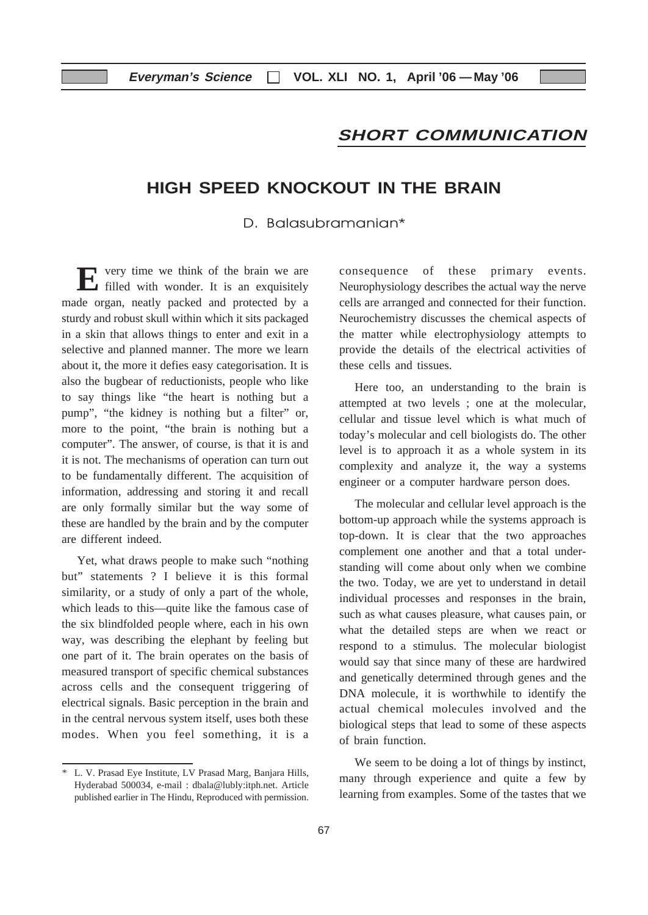# **SHORT COMMUNICATION**

# **HIGH SPEED KNOCKOUT IN THE BRAIN**

D. Balasubramanian\*

**E** very time we think of the brain we are filled with wonder. It is an exquisitely made organ, neatly packed and protected by a sturdy and robust skull within which it sits packaged in a skin that allows things to enter and exit in a selective and planned manner. The more we learn about it, the more it defies easy categorisation. It is also the bugbear of reductionists, people who like to say things like "the heart is nothing but a pump", "the kidney is nothing but a filter" or, more to the point, "the brain is nothing but a computer". The answer, of course, is that it is and it is not. The mechanisms of operation can turn out to be fundamentally different. The acquisition of information, addressing and storing it and recall are only formally similar but the way some of these are handled by the brain and by the computer are different indeed.

Yet, what draws people to make such "nothing but" statements ? I believe it is this formal similarity, or a study of only a part of the whole, which leads to this—quite like the famous case of the six blindfolded people where, each in his own way, was describing the elephant by feeling but one part of it. The brain operates on the basis of measured transport of specific chemical substances across cells and the consequent triggering of electrical signals. Basic perception in the brain and in the central nervous system itself, uses both these modes. When you feel something, it is a consequence of these primary events. Neurophysiology describes the actual way the nerve cells are arranged and connected for their function. Neurochemistry discusses the chemical aspects of the matter while electrophysiology attempts to provide the details of the electrical activities of these cells and tissues.

Here too, an understanding to the brain is attempted at two levels ; one at the molecular, cellular and tissue level which is what much of today's molecular and cell biologists do. The other level is to approach it as a whole system in its complexity and analyze it, the way a systems engineer or a computer hardware person does.

The molecular and cellular level approach is the bottom-up approach while the systems approach is top-down. It is clear that the two approaches complement one another and that a total understanding will come about only when we combine the two. Today, we are yet to understand in detail individual processes and responses in the brain, such as what causes pleasure, what causes pain, or what the detailed steps are when we react or respond to a stimulus. The molecular biologist would say that since many of these are hardwired and genetically determined through genes and the DNA molecule, it is worthwhile to identify the actual chemical molecules involved and the biological steps that lead to some of these aspects of brain function.

We seem to be doing a lot of things by instinct, many through experience and quite a few by learning from examples. Some of the tastes that we

<sup>\*</sup> L. V. Prasad Eye Institute, LV Prasad Marg, Banjara Hills, Hyderabad 500034, e-mail : dbala@lubly:itph.net. Article published earlier in The Hindu, Reproduced with permission.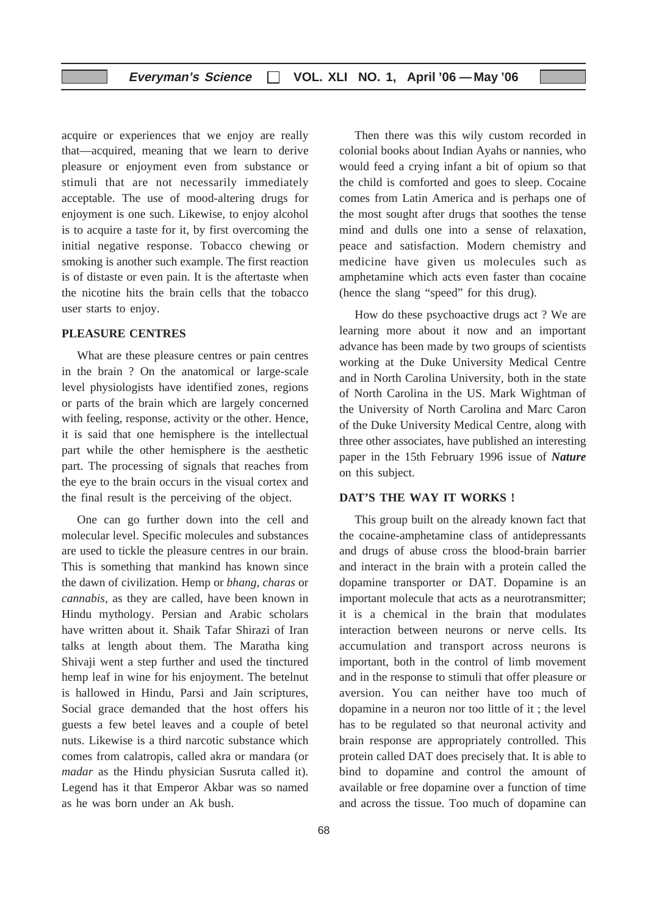acquire or experiences that we enjoy are really that—acquired, meaning that we learn to derive pleasure or enjoyment even from substance or stimuli that are not necessarily immediately acceptable. The use of mood-altering drugs for enjoyment is one such. Likewise, to enjoy alcohol is to acquire a taste for it, by first overcoming the initial negative response. Tobacco chewing or smoking is another such example. The first reaction is of distaste or even pain. It is the aftertaste when the nicotine hits the brain cells that the tobacco user starts to enjoy.

## **PLEASURE CENTRES**

What are these pleasure centres or pain centres in the brain ? On the anatomical or large-scale level physiologists have identified zones, regions or parts of the brain which are largely concerned with feeling, response, activity or the other. Hence, it is said that one hemisphere is the intellectual part while the other hemisphere is the aesthetic part. The processing of signals that reaches from the eye to the brain occurs in the visual cortex and the final result is the perceiving of the object.

One can go further down into the cell and molecular level. Specific molecules and substances are used to tickle the pleasure centres in our brain. This is something that mankind has known since the dawn of civilization. Hemp or *bhang, charas* or *cannabis,* as they are called, have been known in Hindu mythology. Persian and Arabic scholars have written about it. Shaik Tafar Shirazi of Iran talks at length about them. The Maratha king Shivaji went a step further and used the tinctured hemp leaf in wine for his enjoyment. The betelnut is hallowed in Hindu, Parsi and Jain scriptures, Social grace demanded that the host offers his guests a few betel leaves and a couple of betel nuts. Likewise is a third narcotic substance which comes from calatropis, called akra or mandara (or *madar* as the Hindu physician Susruta called it). Legend has it that Emperor Akbar was so named as he was born under an Ak bush.

Then there was this wily custom recorded in colonial books about Indian Ayahs or nannies, who would feed a crying infant a bit of opium so that the child is comforted and goes to sleep. Cocaine comes from Latin America and is perhaps one of the most sought after drugs that soothes the tense mind and dulls one into a sense of relaxation, peace and satisfaction. Modern chemistry and medicine have given us molecules such as amphetamine which acts even faster than cocaine (hence the slang "speed" for this drug).

How do these psychoactive drugs act ? We are learning more about it now and an important advance has been made by two groups of scientists working at the Duke University Medical Centre and in North Carolina University, both in the state of North Carolina in the US. Mark Wightman of the University of North Carolina and Marc Caron of the Duke University Medical Centre, along with three other associates, have published an interesting paper in the 15th February 1996 issue of *Nature* on this subject.

#### **DAT'S THE WAY IT WORKS !**

This group built on the already known fact that the cocaine-amphetamine class of antidepressants and drugs of abuse cross the blood-brain barrier and interact in the brain with a protein called the dopamine transporter or DAT. Dopamine is an important molecule that acts as a neurotransmitter; it is a chemical in the brain that modulates interaction between neurons or nerve cells. Its accumulation and transport across neurons is important, both in the control of limb movement and in the response to stimuli that offer pleasure or aversion. You can neither have too much of dopamine in a neuron nor too little of it ; the level has to be regulated so that neuronal activity and brain response are appropriately controlled. This protein called DAT does precisely that. It is able to bind to dopamine and control the amount of available or free dopamine over a function of time and across the tissue. Too much of dopamine can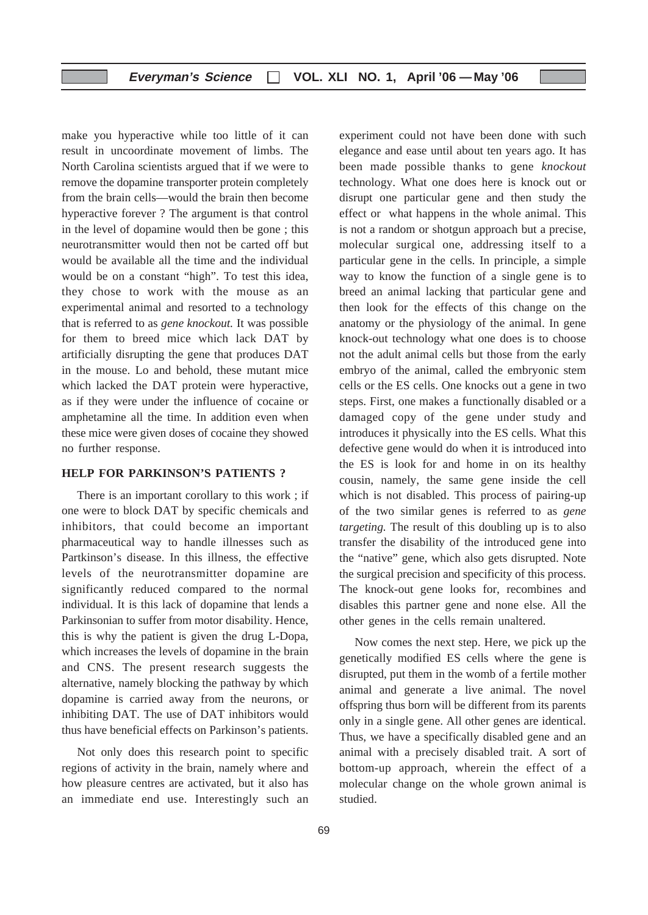make you hyperactive while too little of it can result in uncoordinate movement of limbs. The North Carolina scientists argued that if we were to remove the dopamine transporter protein completely from the brain cells—would the brain then become hyperactive forever ? The argument is that control in the level of dopamine would then be gone ; this neurotransmitter would then not be carted off but would be available all the time and the individual would be on a constant "high". To test this idea, they chose to work with the mouse as an experimental animal and resorted to a technology that is referred to as *gene knockout.* It was possible for them to breed mice which lack DAT by artificially disrupting the gene that produces DAT in the mouse. Lo and behold, these mutant mice which lacked the DAT protein were hyperactive, as if they were under the influence of cocaine or amphetamine all the time. In addition even when these mice were given doses of cocaine they showed no further response.

### **HELP FOR PARKINSON'S PATIENTS ?**

There is an important corollary to this work ; if one were to block DAT by specific chemicals and inhibitors, that could become an important pharmaceutical way to handle illnesses such as Partkinson's disease. In this illness, the effective levels of the neurotransmitter dopamine are significantly reduced compared to the normal individual. It is this lack of dopamine that lends a Parkinsonian to suffer from motor disability. Hence, this is why the patient is given the drug L-Dopa, which increases the levels of dopamine in the brain and CNS. The present research suggests the alternative, namely blocking the pathway by which dopamine is carried away from the neurons, or inhibiting DAT. The use of DAT inhibitors would thus have beneficial effects on Parkinson's patients.

Not only does this research point to specific regions of activity in the brain, namely where and how pleasure centres are activated, but it also has an immediate end use. Interestingly such an

experiment could not have been done with such elegance and ease until about ten years ago. It has been made possible thanks to gene *knockout* technology. What one does here is knock out or disrupt one particular gene and then study the effect or what happens in the whole animal. This is not a random or shotgun approach but a precise, molecular surgical one, addressing itself to a particular gene in the cells. In principle, a simple way to know the function of a single gene is to breed an animal lacking that particular gene and then look for the effects of this change on the anatomy or the physiology of the animal. In gene knock-out technology what one does is to choose not the adult animal cells but those from the early embryo of the animal, called the embryonic stem cells or the ES cells. One knocks out a gene in two steps. First, one makes a functionally disabled or a damaged copy of the gene under study and introduces it physically into the ES cells. What this defective gene would do when it is introduced into the ES is look for and home in on its healthy cousin, namely, the same gene inside the cell which is not disabled. This process of pairing-up of the two similar genes is referred to as *gene targeting.* The result of this doubling up is to also transfer the disability of the introduced gene into the "native" gene, which also gets disrupted. Note the surgical precision and specificity of this process. The knock-out gene looks for, recombines and disables this partner gene and none else. All the other genes in the cells remain unaltered.

Now comes the next step. Here, we pick up the genetically modified ES cells where the gene is disrupted, put them in the womb of a fertile mother animal and generate a live animal. The novel offspring thus born will be different from its parents only in a single gene. All other genes are identical. Thus, we have a specifically disabled gene and an animal with a precisely disabled trait. A sort of bottom-up approach, wherein the effect of a molecular change on the whole grown animal is studied.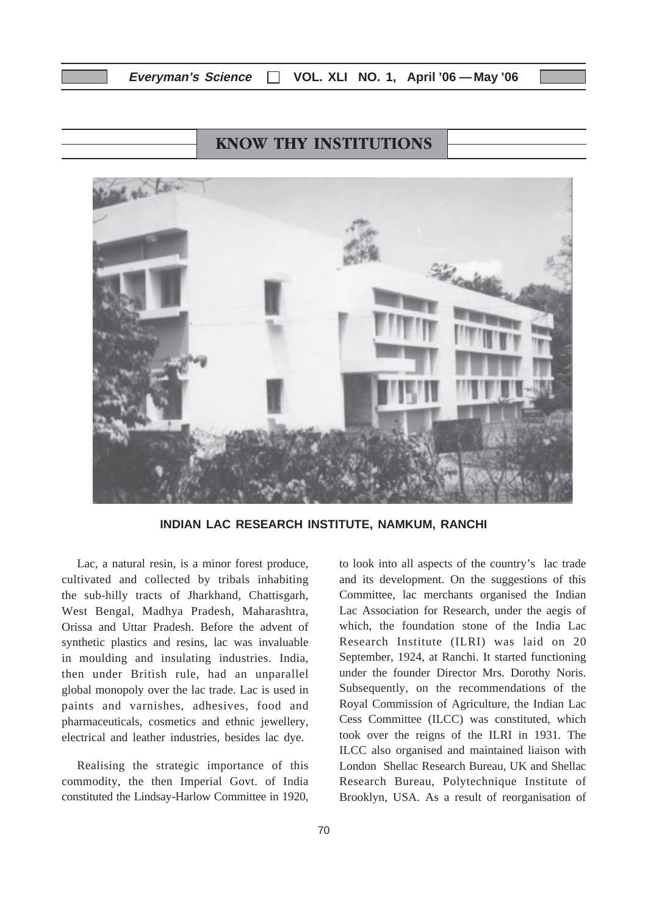# **KNOW THY INSTITUTIONS**



**INDIAN LAC RESEARCH INSTITUTE, NAMKUM, RANCHI**

Lac, a natural resin, is a minor forest produce, cultivated and collected by tribals inhabiting the sub-hilly tracts of Jharkhand, Chattisgarh, West Bengal, Madhya Pradesh, Maharashtra, Orissa and Uttar Pradesh. Before the advent of synthetic plastics and resins, lac was invaluable in moulding and insulating industries. India, then under British rule, had an unparallel global monopoly over the lac trade. Lac is used in paints and varnishes, adhesives, food and pharmaceuticals, cosmetics and ethnic jewellery, electrical and leather industries, besides lac dye.

Realising the strategic importance of this commodity, the then Imperial Govt. of India constituted the Lindsay-Harlow Committee in 1920, and its development. On the suggestions of this Committee, lac merchants organised the Indian Lac Association for Research, under the aegis of which, the foundation stone of the India Lac Research Institute (ILRI) was laid on 20 September, 1924, at Ranchi. It started functioning under the founder Director Mrs. Dorothy Noris. Subsequently, on the recommendations of the Royal Commission of Agriculture, the Indian Lac Cess Committee (ILCC) was constituted, which took over the reigns of the ILRI in 1931. The ILCC also organised and maintained liaison with London Shellac Research Bureau, UK and Shellac Research Bureau, Polytechnique Institute of Brooklyn, USA. As a result of reorganisation of

to look into all aspects of the country's lac trade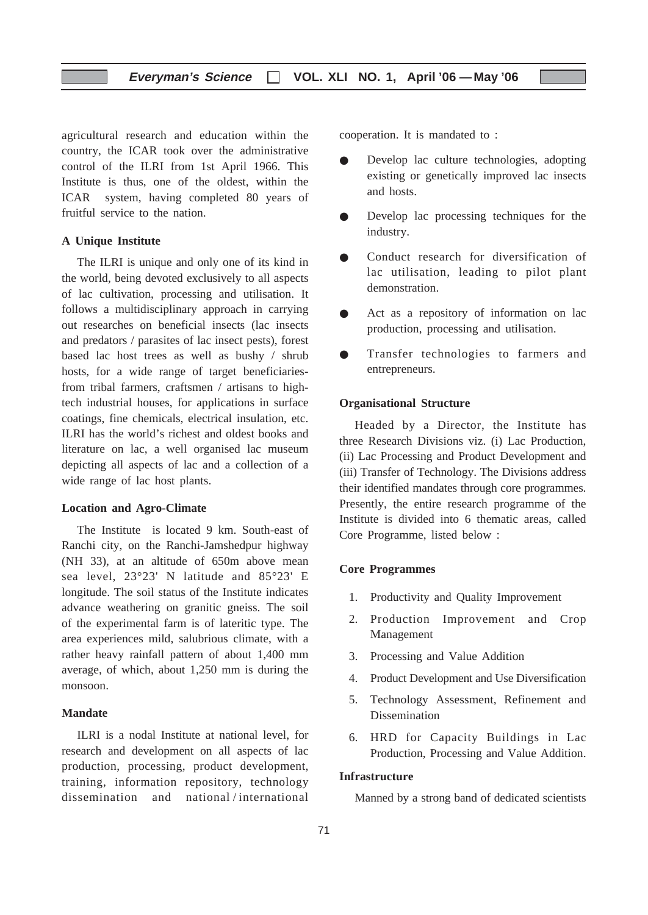agricultural research and education within the country, the ICAR took over the administrative control of the ILRI from 1st April 1966. This Institute is thus, one of the oldest, within the ICAR system, having completed 80 years of fruitful service to the nation.

## **A Unique Institute**

The ILRI is unique and only one of its kind in the world, being devoted exclusively to all aspects of lac cultivation, processing and utilisation. It follows a multidisciplinary approach in carrying out researches on beneficial insects (lac insects and predators / parasites of lac insect pests), forest based lac host trees as well as bushy / shrub hosts, for a wide range of target beneficiariesfrom tribal farmers, craftsmen / artisans to hightech industrial houses, for applications in surface coatings, fine chemicals, electrical insulation, etc. ILRI has the world's richest and oldest books and literature on lac, a well organised lac museum depicting all aspects of lac and a collection of a wide range of lac host plants.

### **Location and Agro-Climate**

The Institute is located 9 km. South-east of Ranchi city, on the Ranchi-Jamshedpur highway (NH 33), at an altitude of 650m above mean sea level, 23°23' N latitude and 85°23' E longitude. The soil status of the Institute indicates advance weathering on granitic gneiss. The soil of the experimental farm is of lateritic type. The area experiences mild, salubrious climate, with a rather heavy rainfall pattern of about 1,400 mm average, of which, about 1,250 mm is during the monsoon.

### **Mandate**

ILRI is a nodal Institute at national level, for research and development on all aspects of lac production, processing, product development, training, information repository, technology dissemination and national / international cooperation. It is mandated to :

- Develop lac culture technologies, adopting existing or genetically improved lac insects and hosts.
- Develop lac processing techniques for the industry.
- Conduct research for diversification of lac utilisation, leading to pilot plant demonstration.
- Act as a repository of information on lac production, processing and utilisation.
- Transfer technologies to farmers and entrepreneurs.

#### **Organisational Structure**

Headed by a Director, the Institute has three Research Divisions viz. (i) Lac Production, (ii) Lac Processing and Product Development and (iii) Transfer of Technology. The Divisions address their identified mandates through core programmes. Presently, the entire research programme of the Institute is divided into 6 thematic areas, called Core Programme, listed below :

## **Core Programmes**

- 1. Productivity and Quality Improvement
- 2. Production Improvement and Crop Management
- 3. Processing and Value Addition
- 4. Product Development and Use Diversification
- 5. Technology Assessment, Refinement and Dissemination
- 6. HRD for Capacity Buildings in Lac Production, Processing and Value Addition.

#### **Infrastructure**

Manned by a strong band of dedicated scientists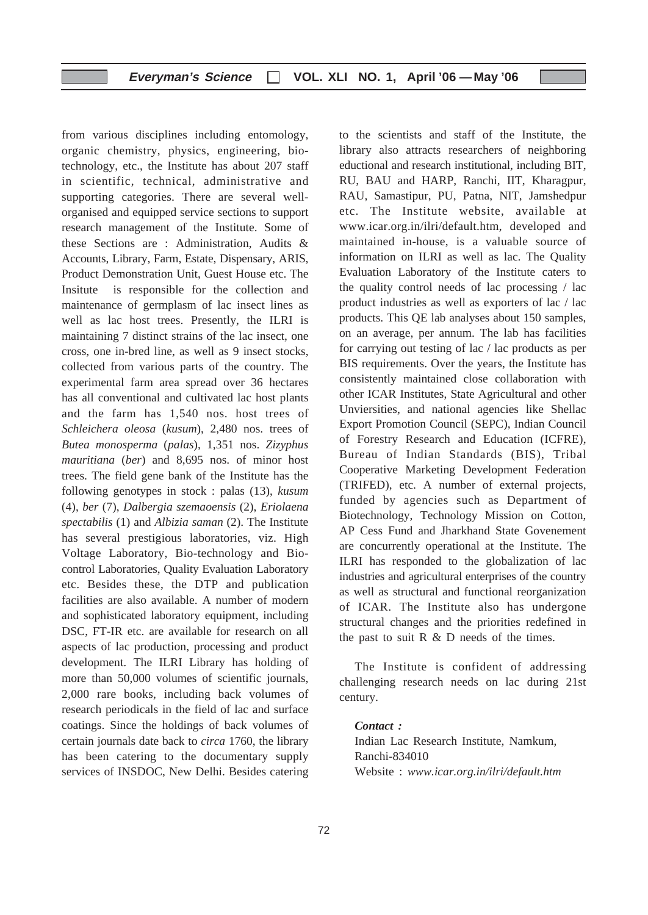from various disciplines including entomology, organic chemistry, physics, engineering, biotechnology, etc., the Institute has about 207 staff in scientific, technical, administrative and supporting categories. There are several wellorganised and equipped service sections to support research management of the Institute. Some of these Sections are : Administration, Audits & Accounts, Library, Farm, Estate, Dispensary, ARIS, Product Demonstration Unit, Guest House etc. The Insitute is responsible for the collection and maintenance of germplasm of lac insect lines as well as lac host trees. Presently, the ILRI is maintaining 7 distinct strains of the lac insect, one cross, one in-bred line, as well as 9 insect stocks, collected from various parts of the country. The experimental farm area spread over 36 hectares has all conventional and cultivated lac host plants and the farm has 1,540 nos. host trees of *Schleichera oleosa* (*kusum*), 2,480 nos. trees of *Butea monosperma* (*palas*), 1,351 nos. *Zizyphus mauritiana* (*ber*) and 8,695 nos. of minor host trees. The field gene bank of the Institute has the following genotypes in stock : palas (13), *kusum* (4), *ber* (7), *Dalbergia szemaoensis* (2), *Eriolaena spectabilis* (1) and *Albizia saman* (2). The Institute has several prestigious laboratories, viz. High Voltage Laboratory, Bio-technology and Biocontrol Laboratories, Quality Evaluation Laboratory etc. Besides these, the DTP and publication facilities are also available. A number of modern and sophisticated laboratory equipment, including DSC, FT-IR etc. are available for research on all aspects of lac production, processing and product development. The ILRI Library has holding of more than 50,000 volumes of scientific journals, 2,000 rare books, including back volumes of research periodicals in the field of lac and surface coatings. Since the holdings of back volumes of certain journals date back to *circa* 1760, the library has been catering to the documentary supply services of INSDOC, New Delhi. Besides catering to the scientists and staff of the Institute, the library also attracts researchers of neighboring eductional and research institutional, including BIT, RU, BAU and HARP, Ranchi, IIT, Kharagpur, RAU, Samastipur, PU, Patna, NIT, Jamshedpur etc. The Institute website, available at www.icar.org.in/ilri/default.htm, developed and maintained in-house, is a valuable source of information on ILRI as well as lac. The Quality Evaluation Laboratory of the Institute caters to the quality control needs of lac processing / lac product industries as well as exporters of lac / lac products. This QE lab analyses about 150 samples, on an average, per annum. The lab has facilities for carrying out testing of lac / lac products as per BIS requirements. Over the years, the Institute has consistently maintained close collaboration with other ICAR Institutes, State Agricultural and other Unviersities, and national agencies like Shellac Export Promotion Council (SEPC), Indian Council of Forestry Research and Education (ICFRE), Bureau of Indian Standards (BIS), Tribal Cooperative Marketing Development Federation (TRIFED), etc. A number of external projects, funded by agencies such as Department of Biotechnology, Technology Mission on Cotton, AP Cess Fund and Jharkhand State Govenement are concurrently operational at the Institute. The ILRI has responded to the globalization of lac industries and agricultural enterprises of the country as well as structural and functional reorganization of ICAR. The Institute also has undergone structural changes and the priorities redefined in the past to suit  $R \& D$  needs of the times.

The Institute is confident of addressing challenging research needs on lac during 21st century.

## *Contact :*

Indian Lac Research Institute, Namkum, Ranchi-834010 Website : *www.icar.org.in/ilri/default.htm*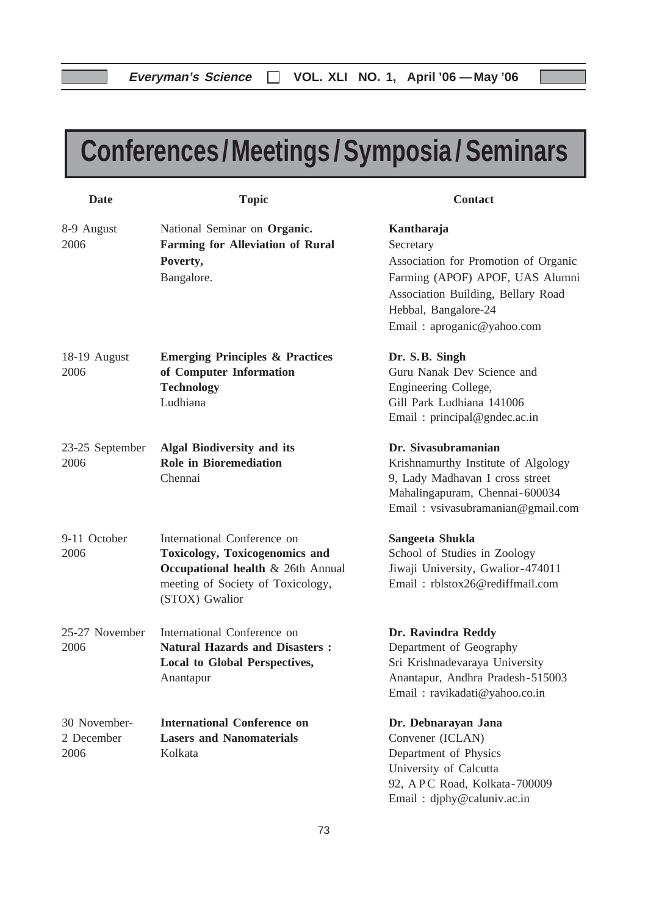# **Conferences /Meetings / Symposia / Seminars**

| <b>Date</b>                        | <b>Topic</b>                                                                                                                                                     | <b>Contact</b>                                                                                                                                                                                 |
|------------------------------------|------------------------------------------------------------------------------------------------------------------------------------------------------------------|------------------------------------------------------------------------------------------------------------------------------------------------------------------------------------------------|
| 8-9 August<br>2006                 | National Seminar on Organic.<br><b>Farming for Alleviation of Rural</b><br>Poverty,<br>Bangalore.                                                                | Kantharaja<br>Secretary<br>Association for Promotion of Organic<br>Farming (APOF) APOF, UAS Alumni<br>Association Building, Bellary Road<br>Hebbal, Bangalore-24<br>Email: aproganic@yahoo.com |
| 18-19 August<br>2006               | <b>Emerging Principles &amp; Practices</b><br>of Computer Information<br><b>Technology</b><br>Ludhiana                                                           | Dr. S.B. Singh<br>Guru Nanak Dev Science and<br>Engineering College,<br>Gill Park Ludhiana 141006<br>Email: principal@gndec.ac.in                                                              |
| 23-25 September<br>2006            | <b>Algal Biodiversity and its</b><br><b>Role in Bioremediation</b><br>Chennai                                                                                    | Dr. Sivasubramanian<br>Krishnamurthy Institute of Algology<br>9, Lady Madhavan I cross street<br>Mahalingapuram, Chennai-600034<br>Email: vsivasubramanian@gmail.com                           |
| 9-11 October<br>2006               | International Conference on<br><b>Toxicology, Toxicogenomics and</b><br>Occupational health & 26th Annual<br>meeting of Society of Toxicology,<br>(STOX) Gwalior | Sangeeta Shukla<br>School of Studies in Zoology<br>Jiwaji University, Gwalior-474011<br>Email: rblstox26@rediffmail.com                                                                        |
| 25-27 November<br>2006             | International Conference on<br><b>Natural Hazards and Disasters:</b><br><b>Local to Global Perspectives,</b><br>Anantapur                                        | Dr. Ravindra Reddy<br>Department of Geography<br>Sri Krishnadevaraya University<br>Anantapur, Andhra Pradesh-515003<br>Email: ravikadati@yahoo.co.in                                           |
| 30 November-<br>2 December<br>2006 | <b>International Conference on</b><br><b>Lasers and Nanomaterials</b><br>Kolkata                                                                                 | Dr. Debnarayan Jana<br>Convener (ICLAN)<br>Department of Physics<br>University of Calcutta<br>92, APC Road, Kolkata-700009<br>Email: djphy@caluniv.ac.in                                       |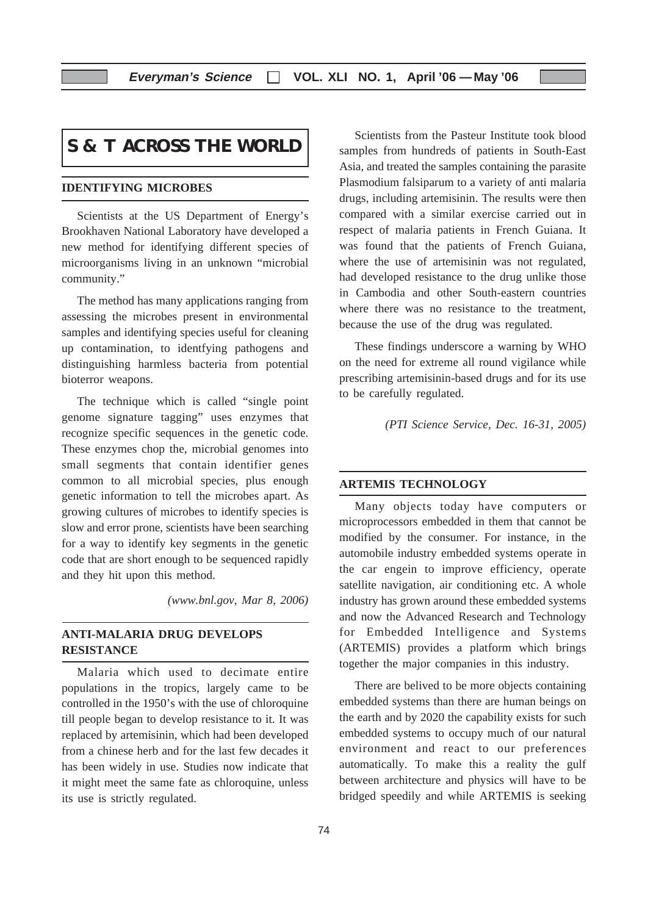## **S & T ACROSS THE WORLD**

#### **IDENTIFYING MICROBES**

Scientists at the US Department of Energy's Brookhaven National Laboratory have developed a new method for identifying different species of microorganisms living in an unknown "microbial community."

The method has many applications ranging from assessing the microbes present in environmental samples and identifying species useful for cleaning up contamination, to identfying pathogens and distinguishing harmless bacteria from potential bioterror weapons.

The technique which is called "single point genome signature tagging" uses enzymes that recognize specific sequences in the genetic code. These enzymes chop the, microbial genomes into small segments that contain identifier genes common to all microbial species, plus enough genetic information to tell the microbes apart. As growing cultures of microbes to identify species is slow and error prone, scientists have been searching for a way to identify key segments in the genetic code that are short enough to be sequenced rapidly and they hit upon this method.

*(www.bnl.gov, Mar 8, 2006)*

#### **ANTI-MALARIA DRUG DEVELOPS RESISTANCE**

Malaria which used to decimate entire populations in the tropics, largely came to be controlled in the 1950's with the use of chloroquine till people began to develop resistance to it. It was replaced by artemisinin, which had been developed from a chinese herb and for the last few decades it has been widely in use. Studies now indicate that it might meet the same fate as chloroquine, unless its use is strictly regulated.

Scientists from the Pasteur Institute took blood samples from hundreds of patients in South-East Asia, and treated the samples containing the parasite Plasmodium falsiparum to a variety of anti malaria drugs, including artemisinin. The results were then compared with a similar exercise carried out in respect of malaria patients in French Guiana. It was found that the patients of French Guiana, where the use of artemisinin was not regulated, had developed resistance to the drug unlike those in Cambodia and other South-eastern countries where there was no resistance to the treatment, because the use of the drug was regulated.

These findings underscore a warning by WHO on the need for extreme all round vigilance while prescribing artemisinin-based drugs and for its use to be carefully regulated.

*(PTI Science Service, Dec. 16-31, 2005)*

#### **ARTEMIS TECHNOLOGY**

Many objects today have computers or microprocessors embedded in them that cannot be modified by the consumer. For instance, in the automobile industry embedded systems operate in the car engein to improve efficiency, operate satellite navigation, air conditioning etc. A whole industry has grown around these embedded systems and now the Advanced Research and Technology for Embedded Intelligence and Systems (ARTEMIS) provides a platform which brings together the major companies in this industry.

There are belived to be more objects containing embedded systems than there are human beings on the earth and by 2020 the capability exists for such embedded systems to occupy much of our natural environment and react to our preferences automatically. To make this a reality the gulf between architecture and physics will have to be bridged speedily and while ARTEMIS is seeking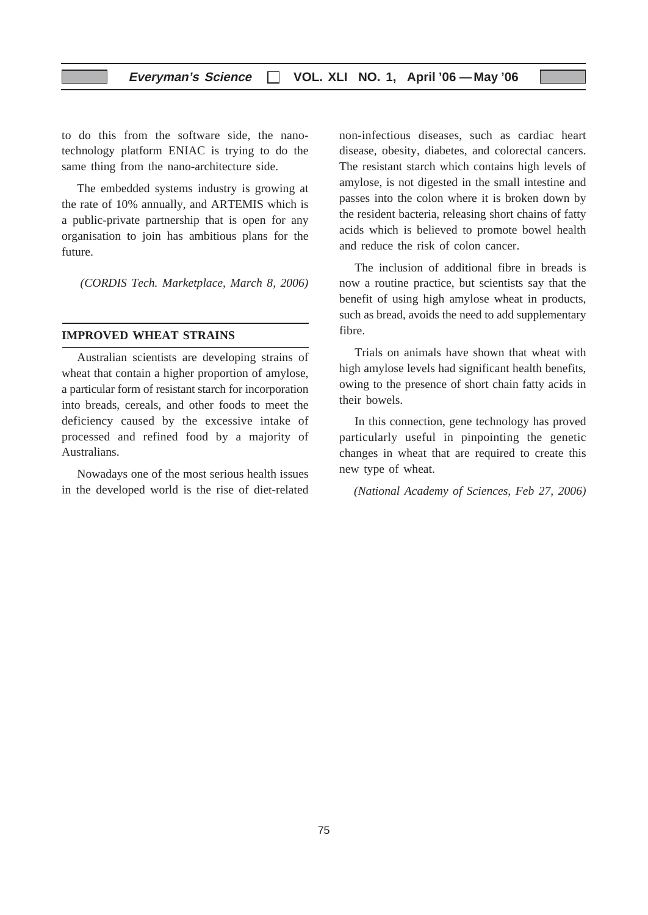to do this from the software side, the nanotechnology platform ENIAC is trying to do the same thing from the nano-architecture side.

The embedded systems industry is growing at the rate of 10% annually, and ARTEMIS which is a public-private partnership that is open for any organisation to join has ambitious plans for the future.

*(CORDIS Tech. Marketplace, March 8, 2006)*

#### **IMPROVED WHEAT STRAINS**

Australian scientists are developing strains of wheat that contain a higher proportion of amylose, a particular form of resistant starch for incorporation into breads, cereals, and other foods to meet the deficiency caused by the excessive intake of processed and refined food by a majority of Australians.

Nowadays one of the most serious health issues in the developed world is the rise of diet-related

non-infectious diseases, such as cardiac heart disease, obesity, diabetes, and colorectal cancers. The resistant starch which contains high levels of amylose, is not digested in the small intestine and passes into the colon where it is broken down by the resident bacteria, releasing short chains of fatty acids which is believed to promote bowel health and reduce the risk of colon cancer.

The inclusion of additional fibre in breads is now a routine practice, but scientists say that the benefit of using high amylose wheat in products, such as bread, avoids the need to add supplementary fibre.

Trials on animals have shown that wheat with high amylose levels had significant health benefits, owing to the presence of short chain fatty acids in their bowels.

In this connection, gene technology has proved particularly useful in pinpointing the genetic changes in wheat that are required to create this new type of wheat.

*(National Academy of Sciences, Feb 27, 2006)*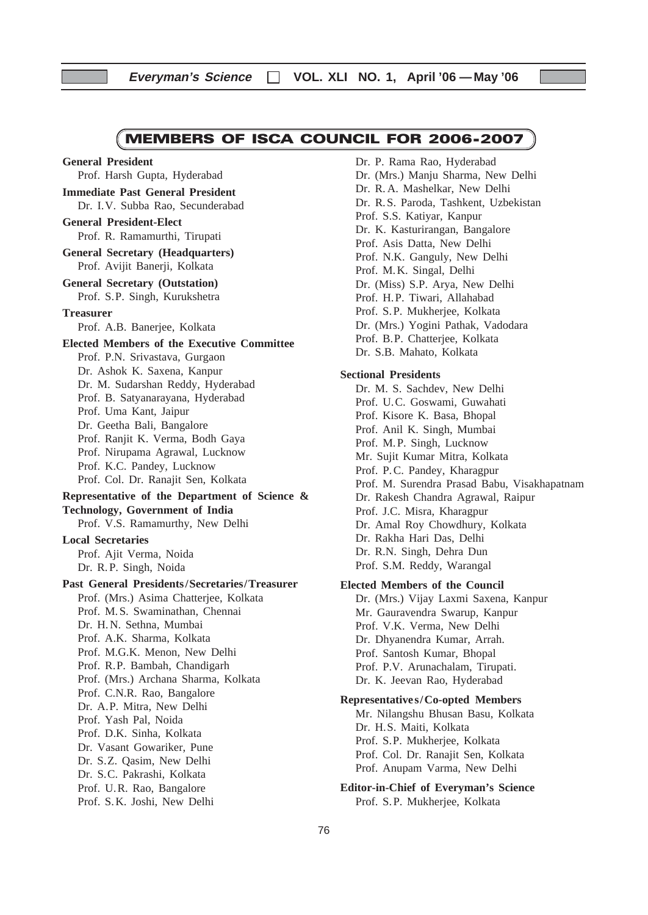**Everyman's Science VOL. XLI NO. 1, April '06 —May '06**

### MEMBERS OF ISCA COUNCIL FOR 2006-2007

**General President** Prof. Harsh Gupta, Hyderabad **Immediate Past General President** Dr. I.V. Subba Rao, Secunderabad **General President-Elect** Prof. R. Ramamurthi, Tirupati **General Secretary (Headquarters)** Prof. Avijit Banerji, Kolkata **General Secretary (Outstation)** Prof. S.P. Singh, Kurukshetra **Treasurer** Prof. A.B. Banerjee, Kolkata **Elected Members of the Executive Committee** Prof. P.N. Srivastava, Gurgaon Dr. Ashok K. Saxena, Kanpur Dr. M. Sudarshan Reddy, Hyderabad Prof. B. Satyanarayana, Hyderabad Prof. Uma Kant, Jaipur Dr. Geetha Bali, Bangalore Prof. Ranjit K. Verma, Bodh Gaya Prof. Nirupama Agrawal, Lucknow Prof. K.C. Pandey, Lucknow Prof. Col. Dr. Ranajit Sen, Kolkata **Representative of the Department of Science & Technology, Government of India** Prof. V.S. Ramamurthy, New Delhi **Local Secretaries** Prof. Ajit Verma, Noida Dr. R. P. Singh, Noida **Past General Presidents /Secretaries/Treasurer** Prof. (Mrs.) Asima Chatterjee, Kolkata Prof. M. S. Swaminathan, Chennai Dr. H. N. Sethna, Mumbai Prof. A.K. Sharma, Kolkata Prof. M.G.K. Menon, New Delhi Prof. R.P. Bambah, Chandigarh Prof. (Mrs.) Archana Sharma, Kolkata Prof. C.N.R. Rao, Bangalore Dr. A.P. Mitra, New Delhi Prof. Yash Pal, Noida Prof. D.K. Sinha, Kolkata Dr. Vasant Gowariker, Pune Dr. S.Z. Qasim, New Delhi Dr. S.C. Pakrashi, Kolkata Prof. U.R. Rao, Bangalore Prof. S. K. Joshi, New Delhi

Dr. P. Rama Rao, Hyderabad Dr. (Mrs.) Manju Sharma, New Delhi Dr. R. A. Mashelkar, New Delhi Dr. R. S. Paroda, Tashkent, Uzbekistan Prof. S.S. Katiyar, Kanpur Dr. K. Kasturirangan, Bangalore Prof. Asis Datta, New Delhi Prof. N.K. Ganguly, New Delhi Prof. M. K. Singal, Delhi Dr. (Miss) S.P. Arya, New Delhi Prof. H.P. Tiwari, Allahabad Prof. S.P. Mukherjee, Kolkata Dr. (Mrs.) Yogini Pathak, Vadodara Prof. B.P. Chatterjee, Kolkata Dr. S.B. Mahato, Kolkata **Sectional Presidents** Dr. M. S. Sachdev, New Delhi

Prof. U.C. Goswami, Guwahati Prof. Kisore K. Basa, Bhopal Prof. Anil K. Singh, Mumbai Prof. M.P. Singh, Lucknow Mr. Sujit Kumar Mitra, Kolkata Prof. P. C. Pandey, Kharagpur Prof. M. Surendra Prasad Babu, Visakhapatnam Dr. Rakesh Chandra Agrawal, Raipur Prof. J.C. Misra, Kharagpur Dr. Amal Roy Chowdhury, Kolkata Dr. Rakha Hari Das, Delhi Dr. R.N. Singh, Dehra Dun Prof. S.M. Reddy, Warangal

#### **Elected Members of the Council**

Dr. (Mrs.) Vijay Laxmi Saxena, Kanpur Mr. Gauravendra Swarup, Kanpur Prof. V.K. Verma, New Delhi Dr. Dhyanendra Kumar, Arrah. Prof. Santosh Kumar, Bhopal Prof. P.V. Arunachalam, Tirupati. Dr. K. Jeevan Rao, Hyderabad

#### **Representatives/Co-opted Members**

Mr. Nilangshu Bhusan Basu, Kolkata Dr. H.S. Maiti, Kolkata Prof. S.P. Mukherjee, Kolkata Prof. Col. Dr. Ranajit Sen, Kolkata Prof. Anupam Varma, New Delhi

**Editor-in-Chief of Everyman's Science** Prof. S.P. Mukherjee, Kolkata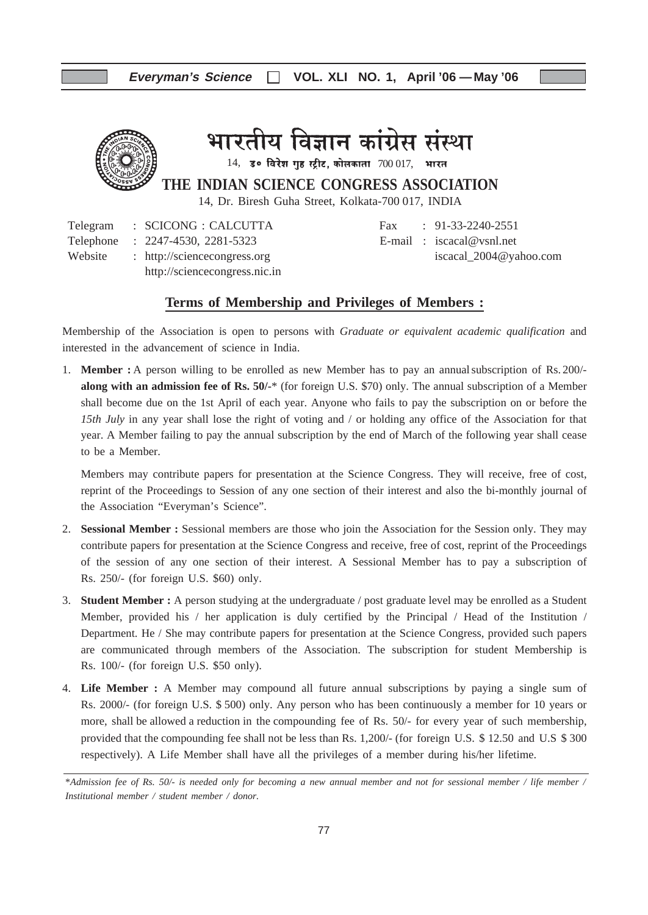

भारतीय विज्ञान कांग्रेस संस्था

 $14$ , उ० विरेश गुह स्ट्रीट, कोलकाता  $700017$ , भारत

**THE INDIAN SCIENCE CONGRESS ASSOCIATION**

14, Dr. Biresh Guha Street, Kolkata-700 017, INDIA

Telegram : SCICONG : CALCUTTA Fax : 91-33-2240-2551 Telephone : 2247-4530, 2281-5323 E-mail : iscacal@vsnl.net Website : http://sciencecongress.org iscacal 2004@yahoo.com http://sciencecongress.nic.in

#### **Terms of Membership and Privileges of Members :**

Membership of the Association is open to persons with *Graduate or equivalent academic qualification* and interested in the advancement of science in India.

1. **Member :** A person willing to be enrolled as new Member has to pay an annualsubscription of Rs. 200/ **along with an admission fee of Rs. 50/-**\* (for foreign U.S. \$70) only. The annual subscription of a Member shall become due on the 1st April of each year. Anyone who fails to pay the subscription on or before the *15th July* in any year shall lose the right of voting and / or holding any office of the Association for that year. A Member failing to pay the annual subscription by the end of March of the following year shall cease to be a Member.

Members may contribute papers for presentation at the Science Congress. They will receive, free of cost, reprint of the Proceedings to Session of any one section of their interest and also the bi-monthly journal of the Association "Everyman's Science".

- 2. **Sessional Member :** Sessional members are those who join the Association for the Session only. They may contribute papers for presentation at the Science Congress and receive, free of cost, reprint of the Proceedings of the session of any one section of their interest. A Sessional Member has to pay a subscription of Rs. 250/- (for foreign U.S. \$60) only.
- 3. **Student Member :** A person studying at the undergraduate / post graduate level may be enrolled as a Student Member, provided his / her application is duly certified by the Principal / Head of the Institution / Department. He / She may contribute papers for presentation at the Science Congress, provided such papers are communicated through members of the Association. The subscription for student Membership is Rs. 100/- (for foreign U.S. \$50 only).
- 4. **Life Member :** A Member may compound all future annual subscriptions by paying a single sum of Rs. 2000/- (for foreign U.S. \$ 500) only. Any person who has been continuously a member for 10 years or more, shall be allowed a reduction in the compounding fee of Rs. 50/- for every year of such membership, provided that the compounding fee shall not be less than Rs. 1,200/- (for foreign U.S. \$ 12.50 and U.S \$ 300 respectively). A Life Member shall have all the privileges of a member during his/her lifetime.

<sup>\*</sup>*Admission fee of Rs. 50/- is needed only for becoming a new annual member and not for sessional member / life member / Institutional member / student member / donor.*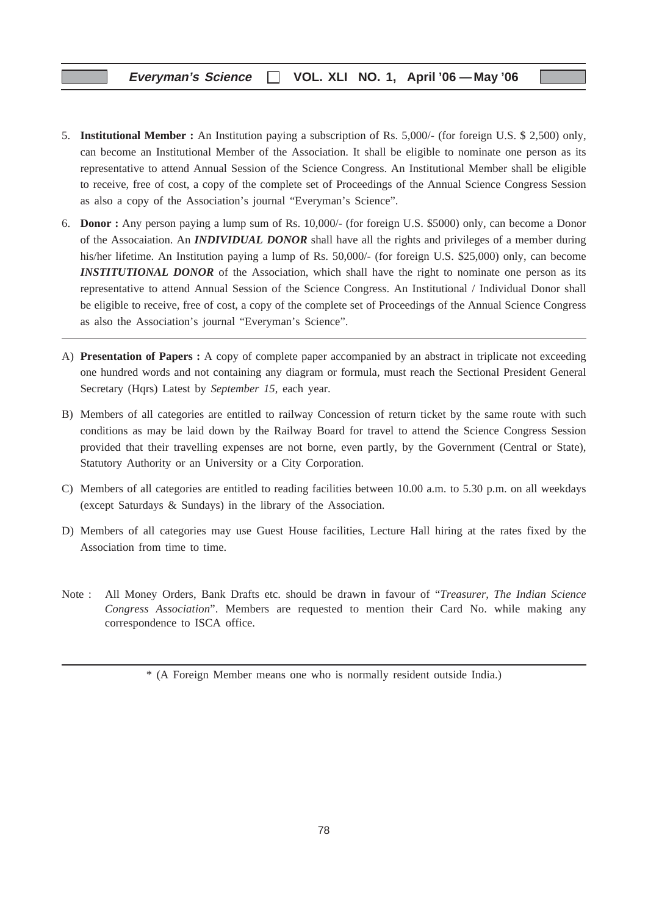- 5. **Institutional Member :** An Institution paying a subscription of Rs. 5,000/- (for foreign U.S. \$ 2,500) only, can become an Institutional Member of the Association. It shall be eligible to nominate one person as its representative to attend Annual Session of the Science Congress. An Institutional Member shall be eligible to receive, free of cost, a copy of the complete set of Proceedings of the Annual Science Congress Session as also a copy of the Association's journal "Everyman's Science".
- 6. **Donor :** Any person paying a lump sum of Rs. 10,000/- (for foreign U.S. \$5000) only, can become a Donor of the Assocaiation. An *INDIVIDUAL DONOR* shall have all the rights and privileges of a member during his/her lifetime. An Institution paying a lump of Rs. 50,000/- (for foreign U.S. \$25,000) only, can become *INSTITUTIONAL DONOR* of the Association, which shall have the right to nominate one person as its representative to attend Annual Session of the Science Congress. An Institutional / Individual Donor shall be eligible to receive, free of cost, a copy of the complete set of Proceedings of the Annual Science Congress as also the Association's journal "Everyman's Science".
- A) **Presentation of Papers :** A copy of complete paper accompanied by an abstract in triplicate not exceeding one hundred words and not containing any diagram or formula, must reach the Sectional President General Secretary (Hqrs) Latest by *September 15*, each year.
- B) Members of all categories are entitled to railway Concession of return ticket by the same route with such conditions as may be laid down by the Railway Board for travel to attend the Science Congress Session provided that their travelling expenses are not borne, even partly, by the Government (Central or State), Statutory Authority or an University or a City Corporation.
- C) Members of all categories are entitled to reading facilities between 10.00 a.m. to 5.30 p.m. on all weekdays (except Saturdays & Sundays) in the library of the Association.
- D) Members of all categories may use Guest House facilities, Lecture Hall hiring at the rates fixed by the Association from time to time.
- Note : All Money Orders, Bank Drafts etc. should be drawn in favour of "*Treasurer, The Indian Science Congress Association*". Members are requested to mention their Card No. while making any correspondence to ISCA office.

<sup>\* (</sup>A Foreign Member means one who is normally resident outside India.)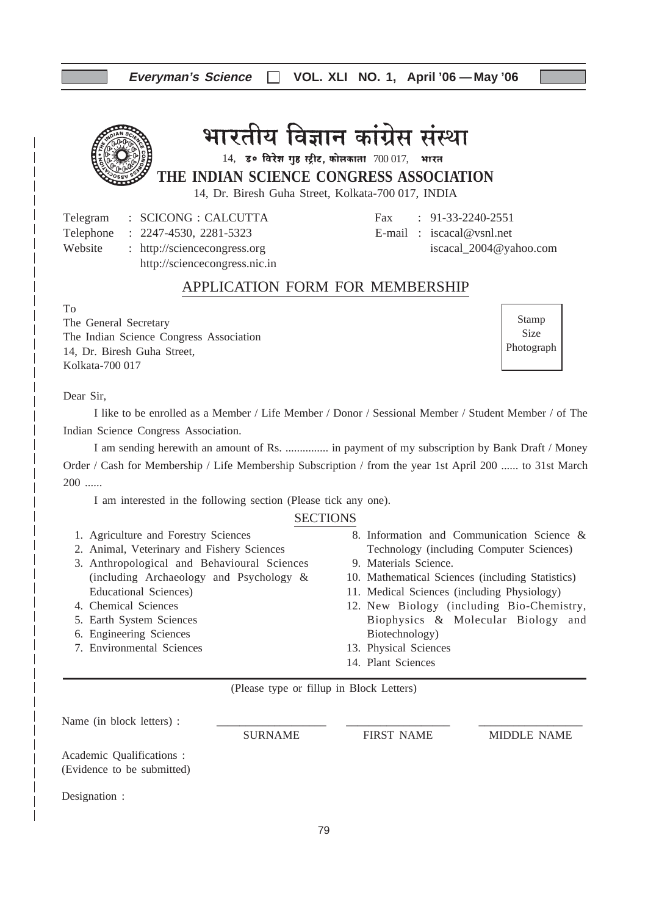#### **Everyman's Science VOL. XLI NO. 1, April '06 —May '06**

## भारतीय विज्ञान कांग्रेस संस्था

 $14$ , उ० विरेश गृह स्ट्रीट, कोलकाता  $700017$ , भारत

**THE INDIAN SCIENCE CONGRESS ASSOCIATION**

14, Dr. Biresh Guha Street, Kolkata-700 017, INDIA

Telegram : SCICONG : CALCUTTA Fax : 91-33-2240-2551

http://sciencecongress.nic.in

Telephone : 2247-4530, 2281-5323 E-mail : iscacal@vsnl.net Website : http://sciencecongress.org iscacal\_2004@yahoo.com

### APPLICATION FORM FOR MEMBERSHIP

To

The General Secretary The Indian Science Congress Association 14, Dr. Biresh Guha Street, Kolkata-700 017

Stamp Size Photograph

#### Dear Sir,

I like to be enrolled as a Member / Life Member / Donor / Sessional Member / Student Member / of The Indian Science Congress Association.

I am sending herewith an amount of Rs. ............... in payment of my subscription by Bank Draft / Money Order / Cash for Membership / Life Membership Subscription / from the year 1st April 200 ...... to 31st March 200 ......

I am interested in the following section (Please tick any one).

#### **SECTIONS**

- 1. Agriculture and Forestry Sciences
- 2. Animal, Veterinary and Fishery Sciences
- 3. Anthropological and Behavioural Sciences (including Archaeology and Psychology & Educational Sciences)
- 4. Chemical Sciences
- 5. Earth System Sciences
- 6. Engineering Sciences
- 7. Environmental Sciences
- 8. Information and Communication Science & Technology (including Computer Sciences)
- 9. Materials Science.
- 10. Mathematical Sciences (including Statistics)
- 11. Medical Sciences (including Physiology)
- 12. New Biology (including Bio-Chemistry, Biophysics & Molecular Biology and Biotechnology)
- 13. Physical Sciences
- 14. Plant Sciences

(Please type or fillup in Block Letters)

Name (in block letters) : SURNAME FIRST NAME MIDDLE NAME Academic Qualifications : (Evidence to be submitted) Designation :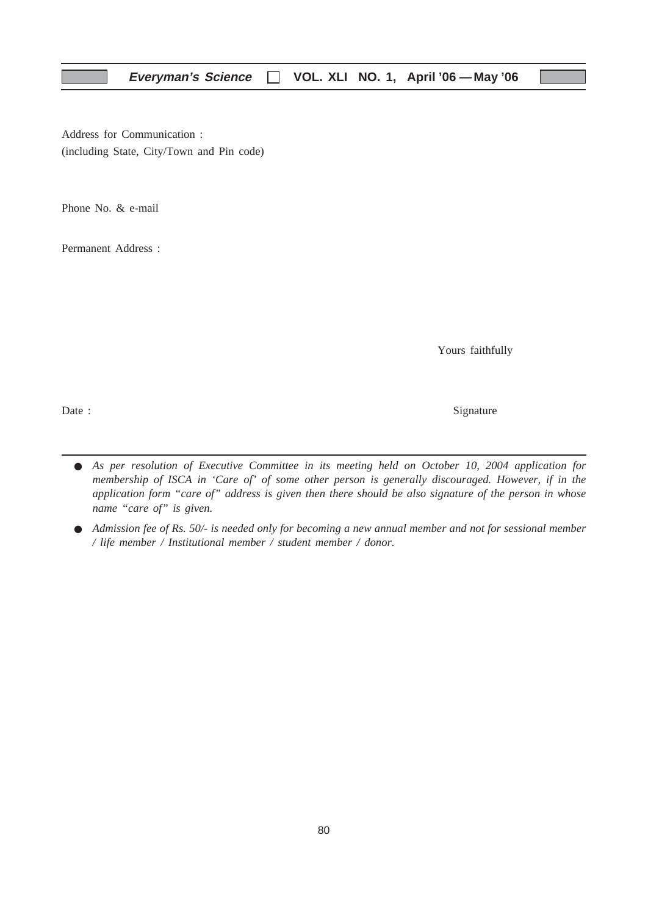Address for Communication : (including State, City/Town and Pin code)

Phone No. & e-mail

Permanent Address :

Yours faithfully

Date : Signature  $\sum_{n=1}^{\infty}$  Signature

- *As per resolution of Executive Committee in its meeting held on October 10, 2004 application for membership of ISCA in 'Care of' of some other person is generally discouraged. However, if in the application form "care of" address is given then there should be also signature of the person in whose name "care of" is given.*
- *Admission fee of Rs. 50/- is needed only for becoming a new annual member and not for sessional member / life member / Institutional member / student member / donor.*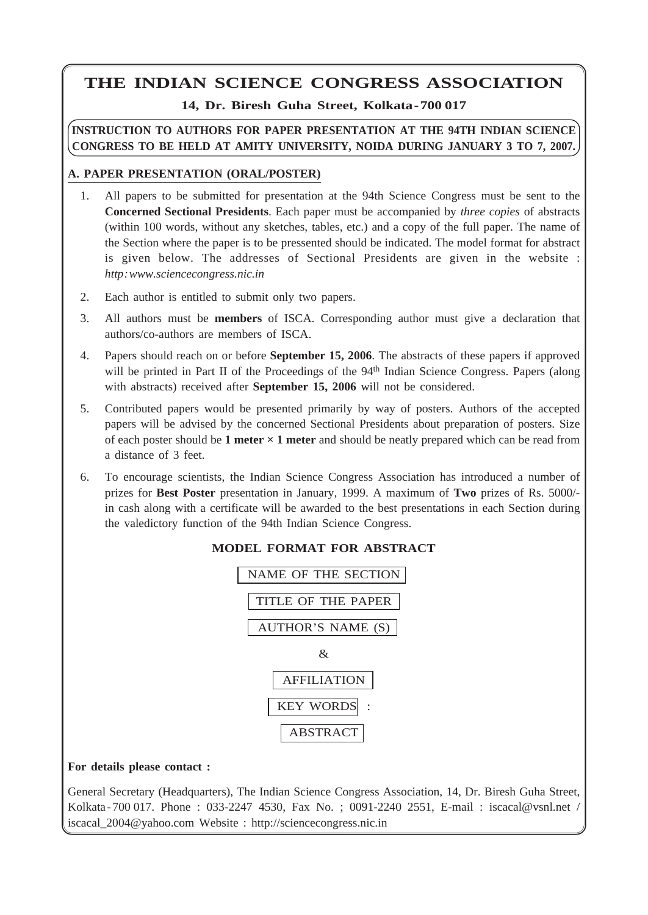## THE INDIAN SCIENCE CONGRESS ASSOCIATION

#### **14, Dr. Biresh Guha Street, Kolkata-700 017**

**INSTRUCTION TO AUTHORS FOR PAPER PRESENTATION AT THE 94TH INDIAN SCIENCE CONGRESS TO BE HELD AT AMITY UNIVERSITY, NOIDA DURING JANUARY 3 TO 7, 2007.**

#### **A. PAPER PRESENTATION (ORAL/POSTER)**

- 1. All papers to be submitted for presentation at the 94th Science Congress must be sent to the **Concerned Sectional Presidents**. Each paper must be accompanied by *three copies* of abstracts (within 100 words, without any sketches, tables, etc.) and a copy of the full paper. The name of the Section where the paper is to be pressented should be indicated. The model format for abstract is given below. The addresses of Sectional Presidents are given in the website : *http:www.sciencecongress.nic.in*
- 2. Each author is entitled to submit only two papers.
- 3. All authors must be **members** of ISCA. Corresponding author must give a declaration that authors/co-authors are members of ISCA.
- 4. Papers should reach on or before **September 15, 2006**. The abstracts of these papers if approved will be printed in Part II of the Proceedings of the 94<sup>th</sup> Indian Science Congress. Papers (along with abstracts) received after **September 15, 2006** will not be considered.
- 5. Contributed papers would be presented primarily by way of posters. Authors of the accepted papers will be advised by the concerned Sectional Presidents about preparation of posters. Size of each poster should be **1 meter × 1 meter** and should be neatly prepared which can be read from a distance of 3 feet.
- 6. To encourage scientists, the Indian Science Congress Association has introduced a number of prizes for **Best Poster** presentation in January, 1999. A maximum of **Two** prizes of Rs. 5000/ in cash along with a certificate will be awarded to the best presentations in each Section during the valedictory function of the 94th Indian Science Congress.



#### **MODEL FORMAT FOR ABSTRACT**

#### **For details please contact :**

81 iscacal\_2004@yahoo.com Website : http://sciencecongress.nic.inGeneral Secretary (Headquarters), The Indian Science Congress Association, 14, Dr. Biresh Guha Street, Kolkata- 700 017. Phone : 033-2247 4530, Fax No. ; 0091-2240 2551, E-mail : iscacal@vsnl.net /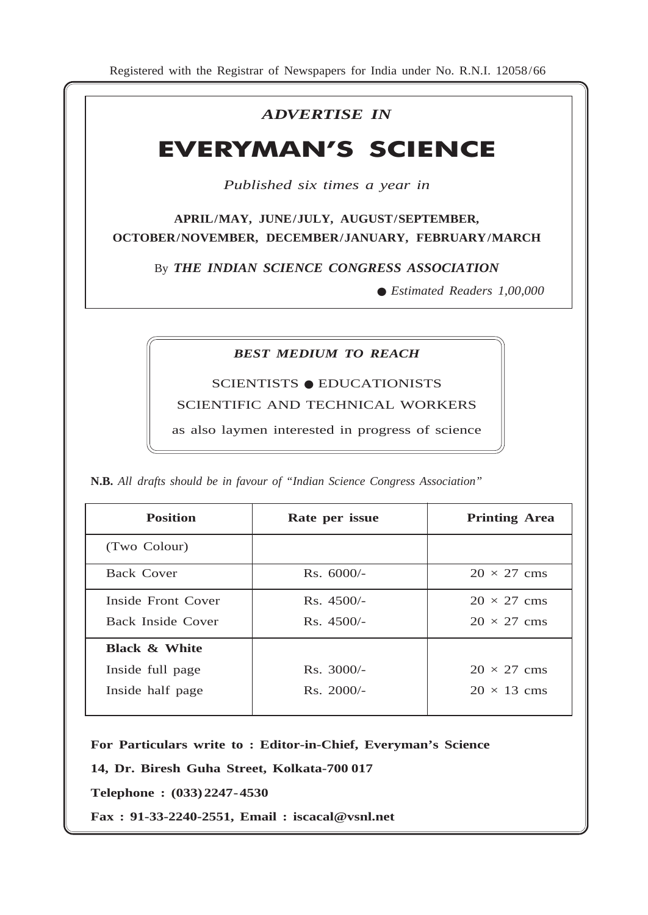## *ADVERTISE IN*

## **EVERYMAN'S SCIENCE**

#### *Published six times a year in*

## **APRIL/MAY, JUNE/JULY, AUGUST/SEPTEMBER, OCTOBER/NOVEMBER, DECEMBER/JANUARY, FEBRUARY/MARCH**

By *THE INDIAN SCIENCE CONGRESS ASSOCIATION*

● *Estimated Readers 1,00,000* 

#### *BEST MEDIUM TO REACH*

## SCIENTISTS ● EDUCATIONISTS SCIENTIFIC AND TECHNICAL WORKERS

as also laymen interested in progress of science

**N.B.** *All drafts should be in favour of "Indian Science Congress Association"*

| <b>Position</b>          | Rate per issue | <b>Printing Area</b> |
|--------------------------|----------------|----------------------|
| (Two Colour)             |                |                      |
| Back Cover               | $Rs. 6000/-$   | $20 \times 27$ cms   |
| Inside Front Cover       | $Rs.4500/-$    | $20 \times 27$ cms   |
| Back Inside Cover        | $Rs.4500/-$    | $20 \times 27$ cms   |
| <b>Black &amp; White</b> |                |                      |
| Inside full page         | $Rs. 3000/-$   | $20 \times 27$ cms   |
| Inside half page         | $Rs. 2000/-$   | $20 \times 13$ cms   |

82

**For Particulars write to : Editor-in-Chief, Everyman's Science**

**14, Dr. Biresh Guha Street, Kolkata-700 017**

**Telephone : (033) 2247-4530**

**Fax : 91-33-2240-2551, Email : iscacal@vsnl.net**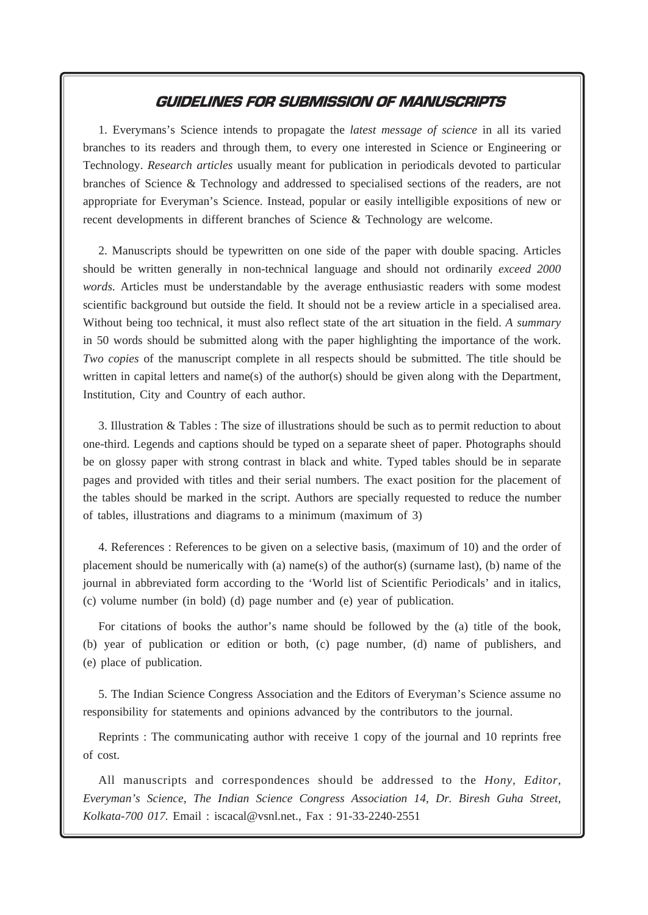## GUIDELINES FOR SUBMISSION OF MANUSCRIPTS

**Everyman's Science VOL. XLI NO. 1, April '06 —May '06**

1. Everymans's Science intends to propagate the *latest message of science* in all its varied branches to its readers and through them, to every one interested in Science or Engineering or Technology. *Research articles* usually meant for publication in periodicals devoted to particular branches of Science & Technology and addressed to specialised sections of the readers, are not appropriate for Everyman's Science. Instead, popular or easily intelligible expositions of new or recent developments in different branches of Science & Technology are welcome.

2. Manuscripts should be typewritten on one side of the paper with double spacing. Articles should be written generally in non-technical language and should not ordinarily *exceed 2000 words*. Articles must be understandable by the average enthusiastic readers with some modest scientific background but outside the field. It should not be a review article in a specialised area. Without being too technical, it must also reflect state of the art situation in the field. *A summary* in 50 words should be submitted along with the paper highlighting the importance of the work. *Two copies* of the manuscript complete in all respects should be submitted. The title should be written in capital letters and name(s) of the author(s) should be given along with the Department, Institution, City and Country of each author.

3. Illustration & Tables : The size of illustrations should be such as to permit reduction to about one-third. Legends and captions should be typed on a separate sheet of paper. Photographs should be on glossy paper with strong contrast in black and white. Typed tables should be in separate pages and provided with titles and their serial numbers. The exact position for the placement of the tables should be marked in the script. Authors are specially requested to reduce the number of tables, illustrations and diagrams to a minimum (maximum of 3)

4. References : References to be given on a selective basis, (maximum of 10) and the order of placement should be numerically with (a) name(s) of the author(s) (surname last), (b) name of the journal in abbreviated form according to the 'World list of Scientific Periodicals' and in italics, (c) volume number (in bold) (d) page number and (e) year of publication.

For citations of books the author's name should be followed by the (a) title of the book, (b) year of publication or edition or both, (c) page number, (d) name of publishers, and (e) place of publication.

5. The Indian Science Congress Association and the Editors of Everyman's Science assume no responsibility for statements and opinions advanced by the contributors to the journal.

Reprints : The communicating author with receive 1 copy of the journal and 10 reprints free of cost.

All manuscripts and correspondences should be addressed to the *Hony, Editor, Everyman's Science, The Indian Science Congress Association 14, Dr. Biresh Guha Street, Kolkata-700 017.* Email : iscacal@vsnl.net., Fax : 91-33-2240-2551

83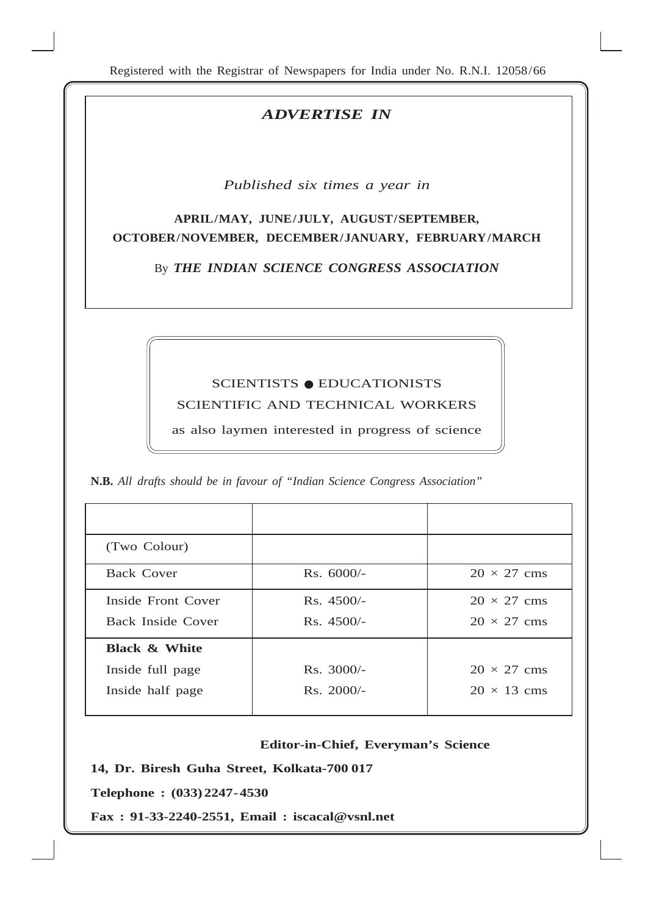Registered with the Registrar of Newspapers for India under No. R.N.I. 12058/66

### *ADVERTISE IN*

#### *Published six times a year in*

## **APRIL/MAY, JUNE/JULY, AUGUST/SEPTEMBER, OCTOBER/NOVEMBER, DECEMBER/JANUARY, FEBRUARY/MARCH**

By *THE INDIAN SCIENCE CONGRESS ASSOCIATION*

## SCIENTISTS ● EDUCATIONISTS SCIENTIFIC AND TECHNICAL WORKERS

as also laymen interested in progress of science

**N.B.** *All drafts should be in favour of "Indian Science Congress Association"*

| (Two Colour)             |              |                    |
|--------------------------|--------------|--------------------|
| <b>Back Cover</b>        | $Rs. 6000/-$ | $20 \times 27$ cms |
| Inside Front Cover       | $Rs.4500/-$  | $20 \times 27$ cms |
| Back Inside Cover        | $Rs.4500/-$  | $20 \times 27$ cms |
| <b>Black &amp; White</b> |              |                    |
| Inside full page         | $Rs. 3000/-$ | $20 \times 27$ cms |
| Inside half page         | $Rs. 2000/-$ | $20 \times 13$ cms |

 $\overline{a}$ 

#### **Editor-in-Chief, Everyman's Science**

**14, Dr. Biresh Guha Street, Kolkata-700 017**

**Telephone : (033) 2247-4530**

**Fax : 91-33-2240-2551, Email : iscacal@vsnl.net**